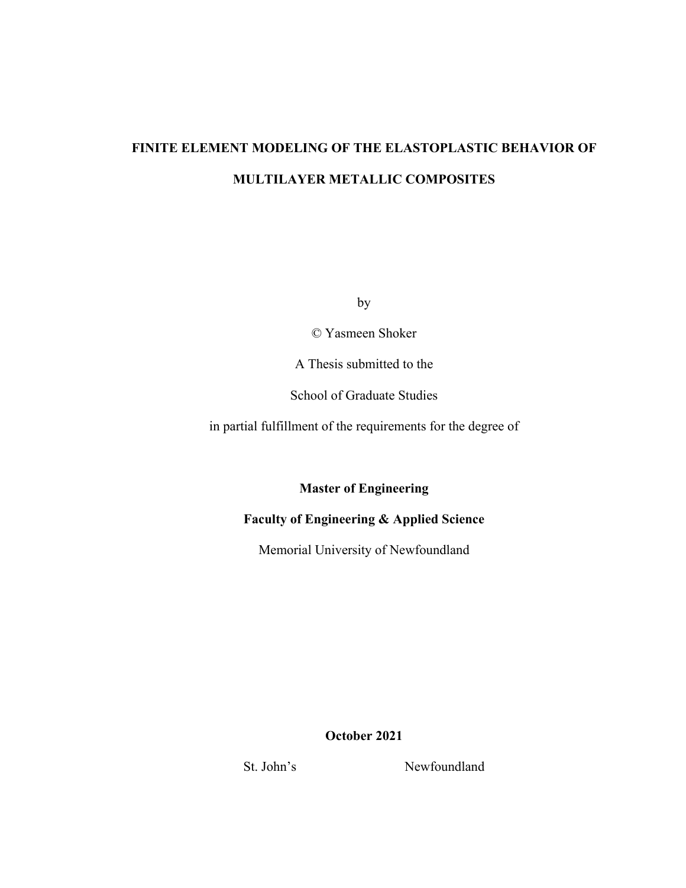# **FINITE ELEMENT MODELING OF THE ELASTOPLASTIC BEHAVIOR OF MULTILAYER METALLIC COMPOSITES**

by

© Yasmeen Shoker

A Thesis submitted to the

School of Graduate Studies

in partial fulfillment of the requirements for the degree of

**Master of Engineering**

# **Faculty of Engineering & Applied Science**

Memorial University of Newfoundland

**October 2021**

St. John's Newfoundland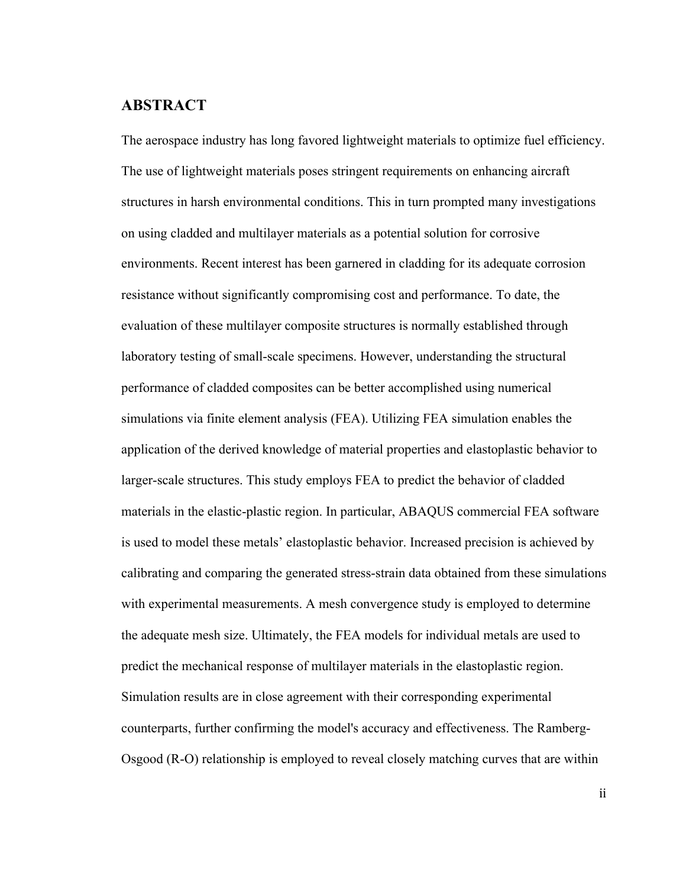### **ABSTRACT**

The aerospace industry has long favored lightweight materials to optimize fuel efficiency. The use of lightweight materials poses stringent requirements on enhancing aircraft structures in harsh environmental conditions. This in turn prompted many investigations on using cladded and multilayer materials as a potential solution for corrosive environments. Recent interest has been garnered in cladding for its adequate corrosion resistance without significantly compromising cost and performance. To date, the evaluation of these multilayer composite structures is normally established through laboratory testing of small-scale specimens. However, understanding the structural performance of cladded composites can be better accomplished using numerical simulations via finite element analysis (FEA). Utilizing FEA simulation enables the application of the derived knowledge of material properties and elastoplastic behavior to larger-scale structures. This study employs FEA to predict the behavior of cladded materials in the elastic-plastic region. In particular, ABAQUS commercial FEA software is used to model these metals' elastoplastic behavior. Increased precision is achieved by calibrating and comparing the generated stress-strain data obtained from these simulations with experimental measurements. A mesh convergence study is employed to determine the adequate mesh size. Ultimately, the FEA models for individual metals are used to predict the mechanical response of multilayer materials in the elastoplastic region. Simulation results are in close agreement with their corresponding experimental counterparts, further confirming the model's accuracy and effectiveness. The Ramberg-Osgood (R-O) relationship is employed to reveal closely matching curves that are within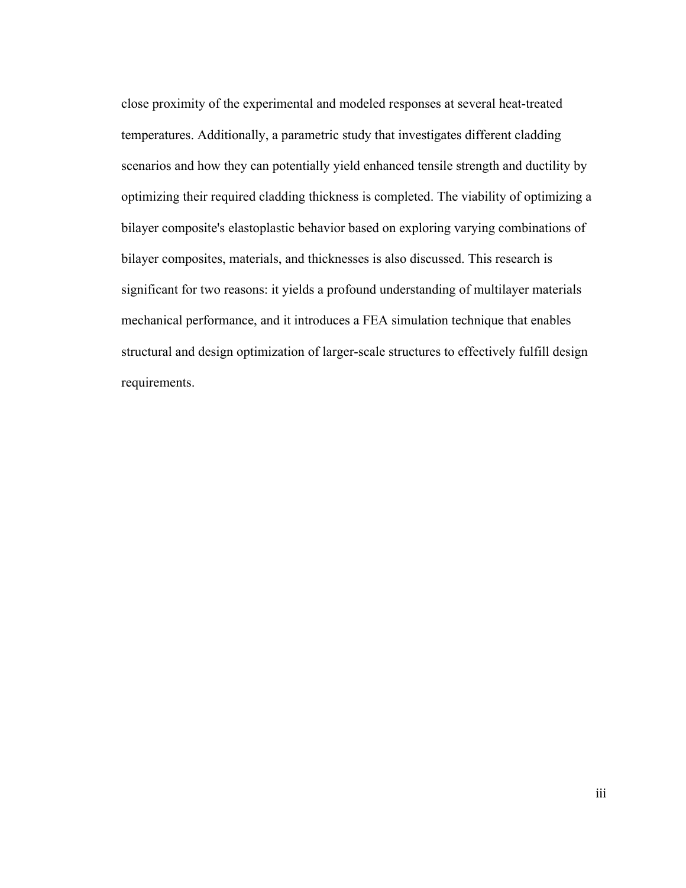close proximity of the experimental and modeled responses at several heat-treated temperatures. Additionally, a parametric study that investigates different cladding scenarios and how they can potentially yield enhanced tensile strength and ductility by optimizing their required cladding thickness is completed. The viability of optimizing a bilayer composite's elastoplastic behavior based on exploring varying combinations of bilayer composites, materials, and thicknesses is also discussed. This research is significant for two reasons: it yields a profound understanding of multilayer materials mechanical performance, and it introduces a FEA simulation technique that enables structural and design optimization of larger-scale structures to effectively fulfill design requirements.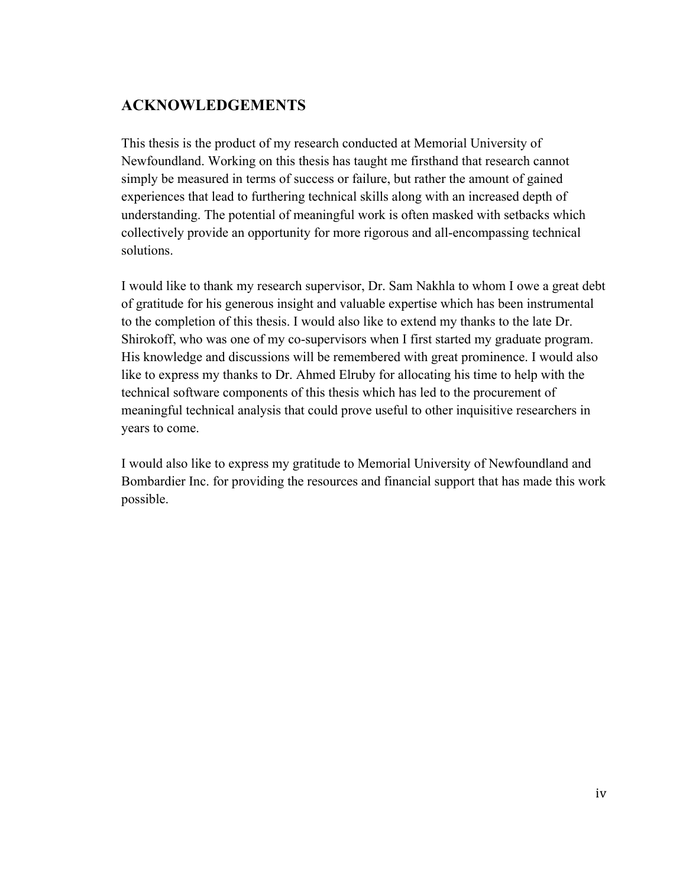# **ACKNOWLEDGEMENTS**

This thesis is the product of my research conducted at Memorial University of Newfoundland. Working on this thesis has taught me firsthand that research cannot simply be measured in terms of success or failure, but rather the amount of gained experiences that lead to furthering technical skills along with an increased depth of understanding. The potential of meaningful work is often masked with setbacks which collectively provide an opportunity for more rigorous and all-encompassing technical solutions.

I would like to thank my research supervisor, Dr. Sam Nakhla to whom I owe a great debt of gratitude for his generous insight and valuable expertise which has been instrumental to the completion of this thesis. I would also like to extend my thanks to the late Dr. Shirokoff, who was one of my co-supervisors when I first started my graduate program. His knowledge and discussions will be remembered with great prominence. I would also like to express my thanks to Dr. Ahmed Elruby for allocating his time to help with the technical software components of this thesis which has led to the procurement of meaningful technical analysis that could prove useful to other inquisitive researchers in years to come.

I would also like to express my gratitude to Memorial University of Newfoundland and Bombardier Inc. for providing the resources and financial support that has made this work possible.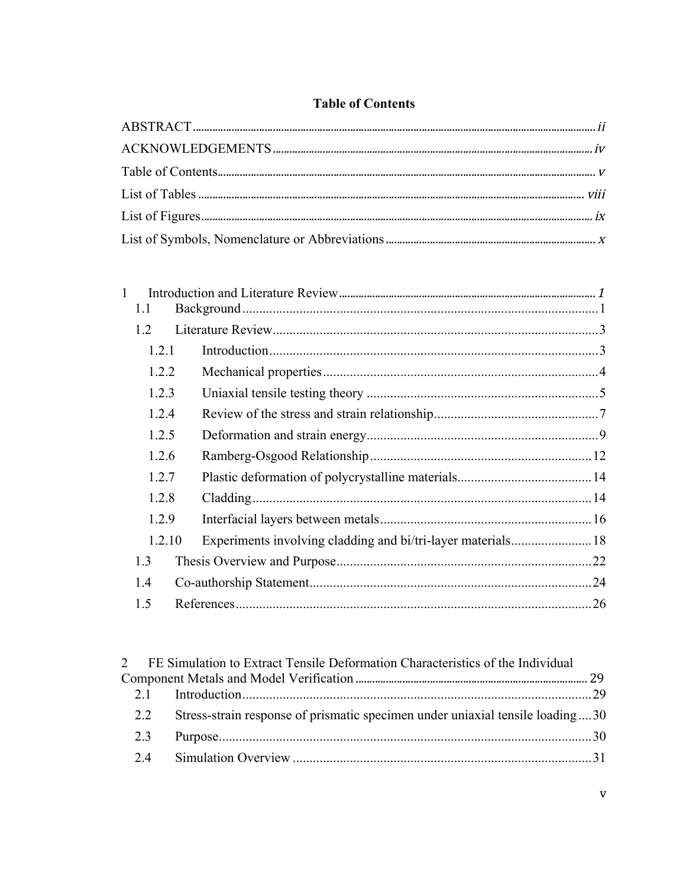# **Table of Contents**

| 1.1    |  |  |
|--------|--|--|
| 12     |  |  |
| 1.2.1  |  |  |
| 1.2.2  |  |  |
| 1.2.3  |  |  |
| 1.2.4  |  |  |
| 1.2.5  |  |  |
| 1.2.6  |  |  |
| 1.2.7  |  |  |
| 1.2.8  |  |  |
| 1.2.9  |  |  |
| 1.2.10 |  |  |
| 1.3    |  |  |
| 1.4    |  |  |
| 1.5    |  |  |
|        |  |  |

|     | 2 FE Simulation to Extract Tensile Deformation Characteristics of the Individual |  |
|-----|----------------------------------------------------------------------------------|--|
|     |                                                                                  |  |
|     |                                                                                  |  |
| 2.2 | Stress-strain response of prismatic specimen under uniaxial tensile loading30    |  |
| 2.3 |                                                                                  |  |
|     |                                                                                  |  |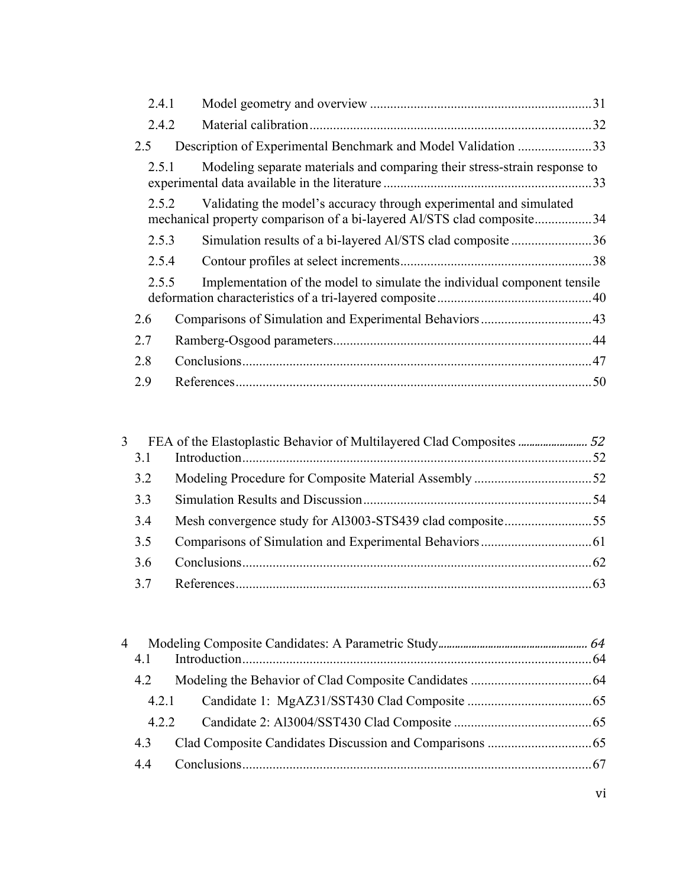| 2.4.1 |                                                                                                                                              |     |
|-------|----------------------------------------------------------------------------------------------------------------------------------------------|-----|
| 2.4.2 |                                                                                                                                              | .32 |
| 2.5   | Description of Experimental Benchmark and Model Validation 33                                                                                |     |
| 2.5.1 | Modeling separate materials and comparing their stress-strain response to                                                                    |     |
| 2.5.2 | Validating the model's accuracy through experimental and simulated<br>mechanical property comparison of a bi-layered Al/STS clad composite34 |     |
| 2.5.3 | Simulation results of a bi-layered Al/STS clad composite36                                                                                   |     |
| 2.5.4 |                                                                                                                                              |     |
| 2.5.5 | Implementation of the model to simulate the individual component tensile                                                                     |     |
| 2.6   |                                                                                                                                              |     |
| 2.7   |                                                                                                                                              |     |
| 2.8   |                                                                                                                                              |     |
| 2.9   |                                                                                                                                              | .50 |

| 3.1<br>3.2<br>3.3<br>3.4<br>3.5<br>3.6<br>3.7 | 3 |  |  |
|-----------------------------------------------|---|--|--|
|                                               |   |  |  |
|                                               |   |  |  |
|                                               |   |  |  |
|                                               |   |  |  |
|                                               |   |  |  |
|                                               |   |  |  |
|                                               |   |  |  |

| Δ |       |  |
|---|-------|--|
|   | 4.1   |  |
|   | 4.2   |  |
|   | 4.2.1 |  |
|   | 4.2.2 |  |
|   | 4.3   |  |
|   | 4.4   |  |
|   |       |  |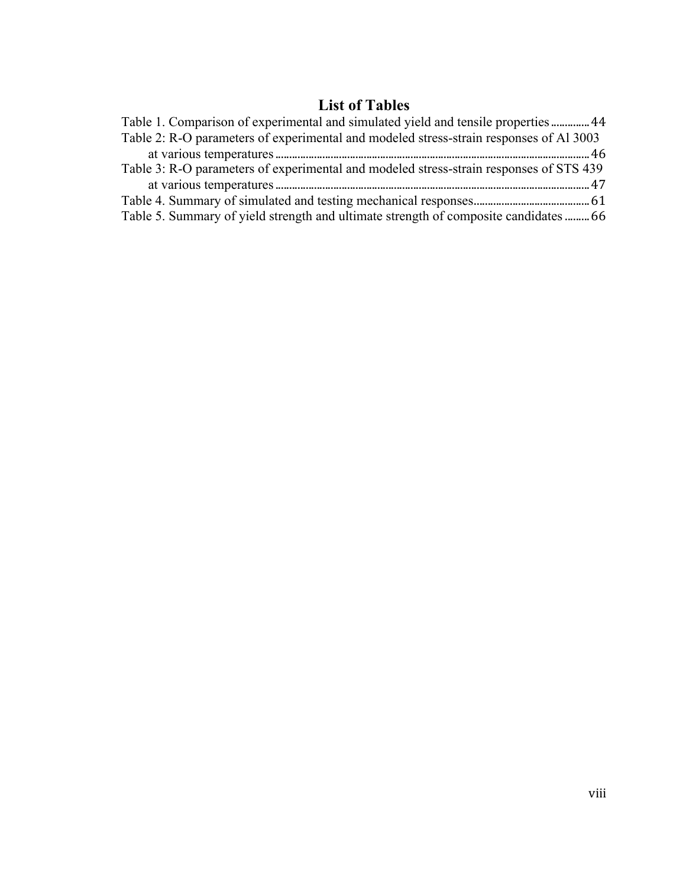# **List of Tables**

| Table 1. Comparison of experimental and simulated yield and tensile properties  44     |  |
|----------------------------------------------------------------------------------------|--|
| Table 2: R-O parameters of experimental and modeled stress-strain responses of Al 3003 |  |
|                                                                                        |  |
| Table 3: R-O parameters of experimental and modeled stress-strain responses of STS 439 |  |
|                                                                                        |  |
|                                                                                        |  |
| Table 5. Summary of yield strength and ultimate strength of composite candidates  66   |  |
|                                                                                        |  |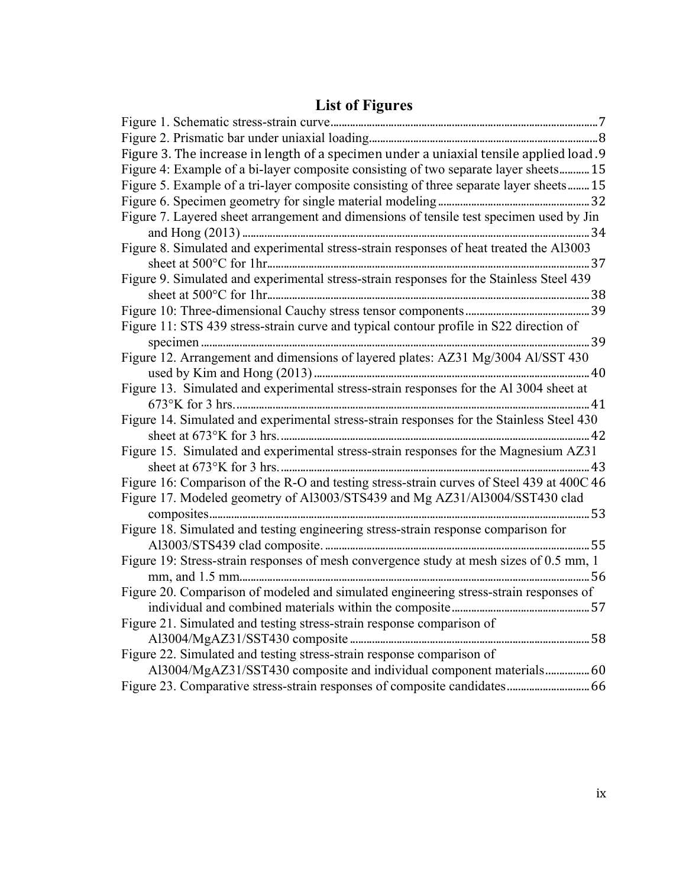# **List of Figures**

| Figure 3. The increase in length of a specimen under a uniaxial tensile applied load.9    |
|-------------------------------------------------------------------------------------------|
| Figure 4: Example of a bi-layer composite consisting of two separate layer sheets 15      |
| Figure 5. Example of a tri-layer composite consisting of three separate layer sheets 15   |
|                                                                                           |
| Figure 7. Layered sheet arrangement and dimensions of tensile test specimen used by Jin   |
|                                                                                           |
| Figure 8. Simulated and experimental stress-strain responses of heat treated the Al3003   |
|                                                                                           |
| Figure 9. Simulated and experimental stress-strain responses for the Stainless Steel 439  |
|                                                                                           |
|                                                                                           |
| Figure 11: STS 439 stress-strain curve and typical contour profile in S22 direction of    |
|                                                                                           |
| Figure 12. Arrangement and dimensions of layered plates: AZ31 Mg/3004 Al/SST 430          |
|                                                                                           |
| Figure 13. Simulated and experimental stress-strain responses for the Al 3004 sheet at    |
|                                                                                           |
| Figure 14. Simulated and experimental stress-strain responses for the Stainless Steel 430 |
|                                                                                           |
| Figure 15. Simulated and experimental stress-strain responses for the Magnesium AZ31      |
|                                                                                           |
| Figure 16: Comparison of the R-O and testing stress-strain curves of Steel 439 at 400C 46 |
| Figure 17. Modeled geometry of Al3003/STS439 and Mg AZ31/Al3004/SST430 clad               |
|                                                                                           |
| Figure 18. Simulated and testing engineering stress-strain response comparison for        |
|                                                                                           |
| Figure 19: Stress-strain responses of mesh convergence study at mesh sizes of 0.5 mm, 1   |
|                                                                                           |
| Figure 20. Comparison of modeled and simulated engineering stress-strain responses of     |
|                                                                                           |
| Figure 21. Simulated and testing stress-strain response comparison of                     |
|                                                                                           |
| Figure 22. Simulated and testing stress-strain response comparison of                     |
| Al3004/MgAZ31/SST430 composite and individual component materials 60                      |
| Figure 23. Comparative stress-strain responses of composite candidates  66                |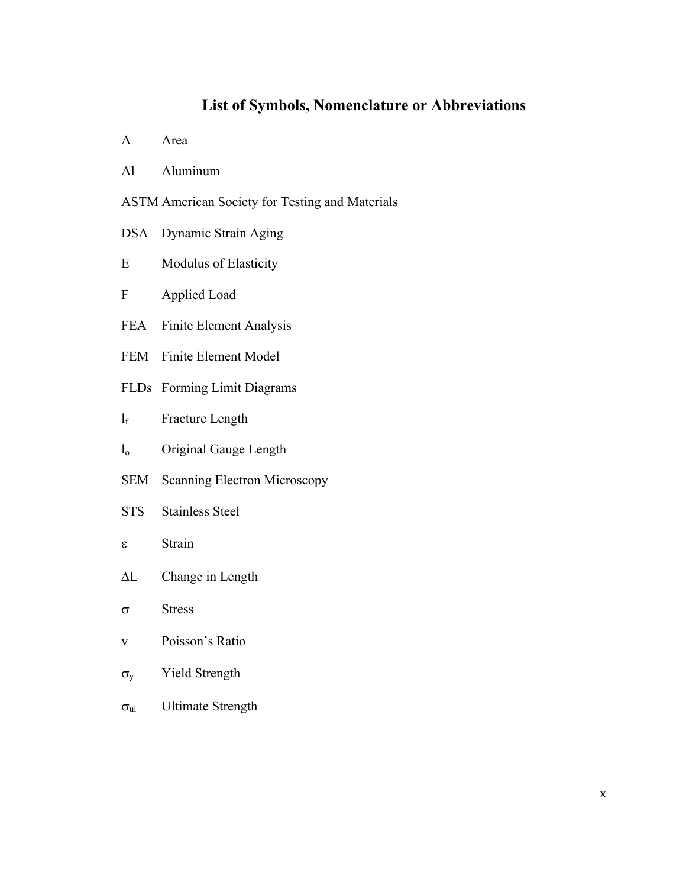# **List of Symbols, Nomenclature or Abbreviations**

- A Area
- Al Aluminum
- ASTM American Society for Testing and Materials
- DSA Dynamic Strain Aging
- E Modulus of Elasticity
- F Applied Load
- FEA Finite Element Analysis
- FEM Finite Element Model
- FLDs Forming Limit Diagrams
- l<sub>f</sub> Fracture Length
- l<sub>o</sub> Original Gauge Length
- SEM Scanning Electron Microscopy
- STS Stainless Steel
- e Strain
- $\Delta L$  Change in Length
- $\sigma$  Stress
- v Poisson's Ratio
- $\sigma_{y}$  Yield Strength
- $\sigma_{\rm ul}$  Ultimate Strength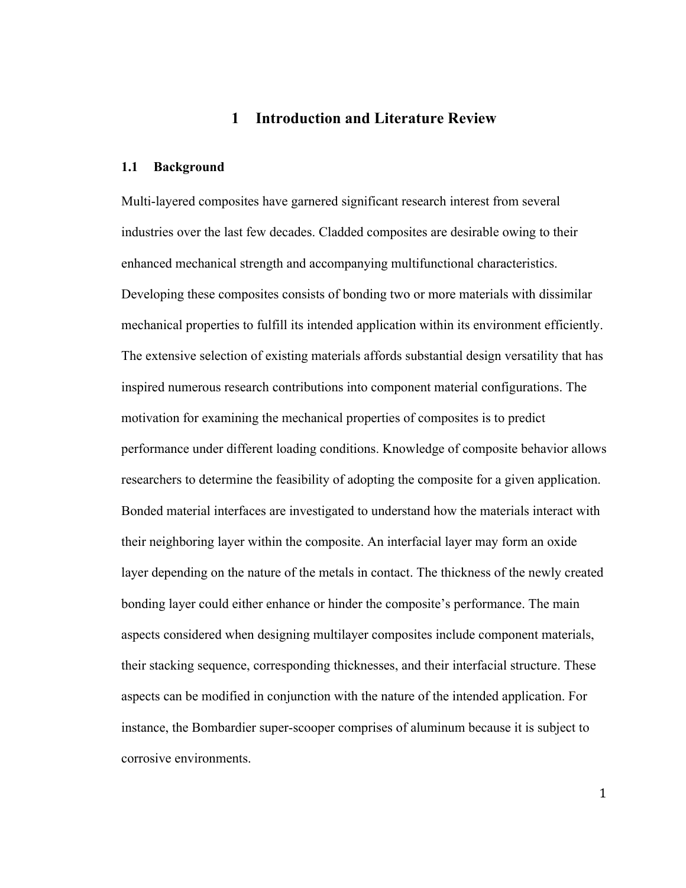## **1 Introduction and Literature Review**

#### **1.1 Background**

Multi-layered composites have garnered significant research interest from several industries over the last few decades. Cladded composites are desirable owing to their enhanced mechanical strength and accompanying multifunctional characteristics. Developing these composites consists of bonding two or more materials with dissimilar mechanical properties to fulfill its intended application within its environment efficiently. The extensive selection of existing materials affords substantial design versatility that has inspired numerous research contributions into component material configurations. The motivation for examining the mechanical properties of composites is to predict performance under different loading conditions. Knowledge of composite behavior allows researchers to determine the feasibility of adopting the composite for a given application. Bonded material interfaces are investigated to understand how the materials interact with their neighboring layer within the composite. An interfacial layer may form an oxide layer depending on the nature of the metals in contact. The thickness of the newly created bonding layer could either enhance or hinder the composite's performance. The main aspects considered when designing multilayer composites include component materials, their stacking sequence, corresponding thicknesses, and their interfacial structure. These aspects can be modified in conjunction with the nature of the intended application. For instance, the Bombardier super-scooper comprises of aluminum because it is subject to corrosive environments.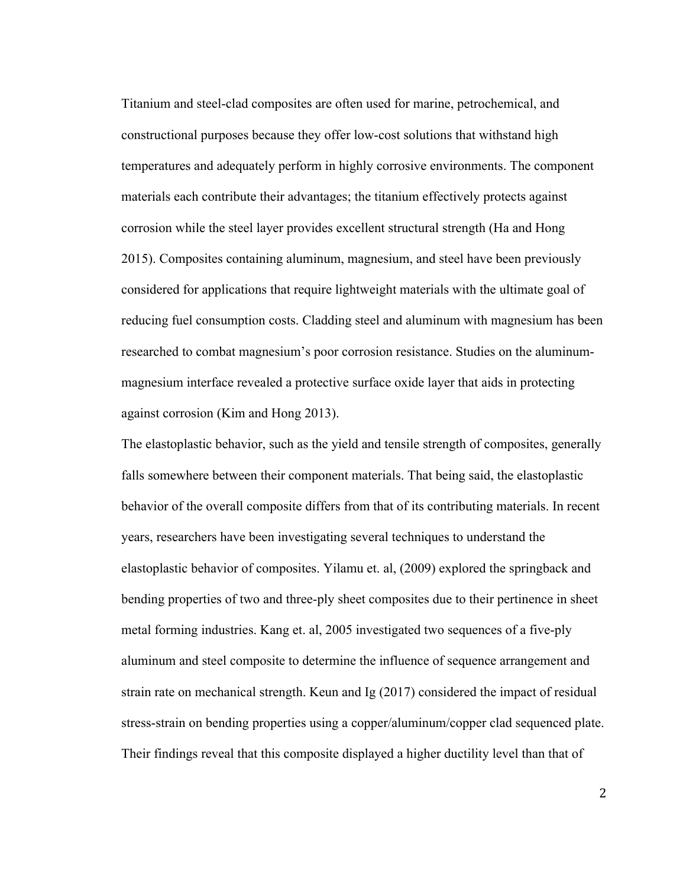Titanium and steel-clad composites are often used for marine, petrochemical, and constructional purposes because they offer low-cost solutions that withstand high temperatures and adequately perform in highly corrosive environments. The component materials each contribute their advantages; the titanium effectively protects against corrosion while the steel layer provides excellent structural strength (Ha and Hong 2015). Composites containing aluminum, magnesium, and steel have been previously considered for applications that require lightweight materials with the ultimate goal of reducing fuel consumption costs. Cladding steel and aluminum with magnesium has been researched to combat magnesium's poor corrosion resistance. Studies on the aluminummagnesium interface revealed a protective surface oxide layer that aids in protecting against corrosion (Kim and Hong 2013).

The elastoplastic behavior, such as the yield and tensile strength of composites, generally falls somewhere between their component materials. That being said, the elastoplastic behavior of the overall composite differs from that of its contributing materials. In recent years, researchers have been investigating several techniques to understand the elastoplastic behavior of composites. Yilamu et. al, (2009) explored the springback and bending properties of two and three-ply sheet composites due to their pertinence in sheet metal forming industries. Kang et. al, 2005 investigated two sequences of a five-ply aluminum and steel composite to determine the influence of sequence arrangement and strain rate on mechanical strength. Keun and Ig (2017) considered the impact of residual stress-strain on bending properties using a copper/aluminum/copper clad sequenced plate. Their findings reveal that this composite displayed a higher ductility level than that of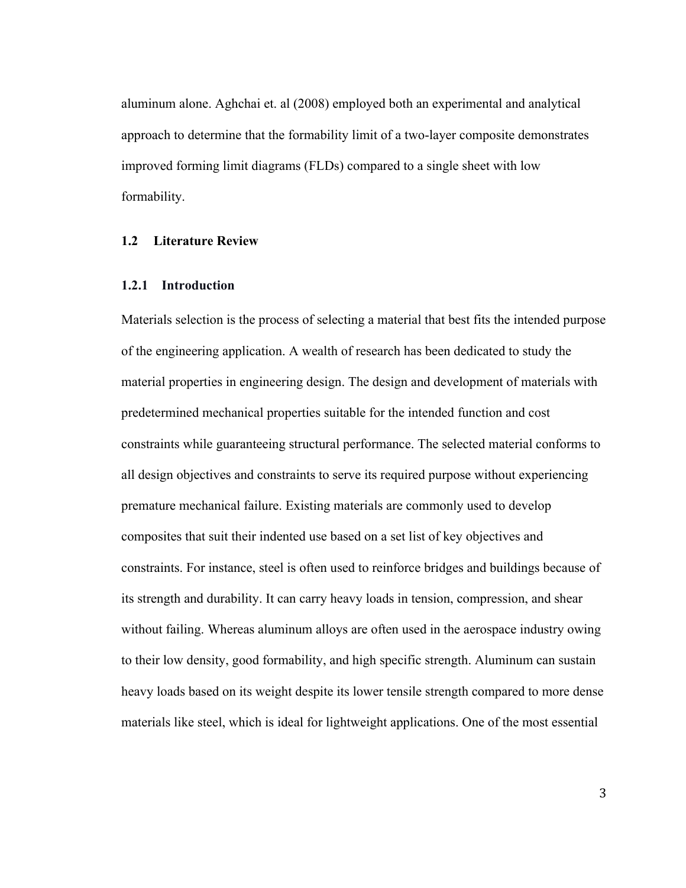aluminum alone. Aghchai et. al (2008) employed both an experimental and analytical approach to determine that the formability limit of a two-layer composite demonstrates improved forming limit diagrams (FLDs) compared to a single sheet with low formability.

#### **1.2 Literature Review**

#### **1.2.1 Introduction**

Materials selection is the process of selecting a material that best fits the intended purpose of the engineering application. A wealth of research has been dedicated to study the material properties in engineering design. The design and development of materials with predetermined mechanical properties suitable for the intended function and cost constraints while guaranteeing structural performance. The selected material conforms to all design objectives and constraints to serve its required purpose without experiencing premature mechanical failure. Existing materials are commonly used to develop composites that suit their indented use based on a set list of key objectives and constraints. For instance, steel is often used to reinforce bridges and buildings because of its strength and durability. It can carry heavy loads in tension, compression, and shear without failing. Whereas aluminum alloys are often used in the aerospace industry owing to their low density, good formability, and high specific strength. Aluminum can sustain heavy loads based on its weight despite its lower tensile strength compared to more dense materials like steel, which is ideal for lightweight applications. One of the most essential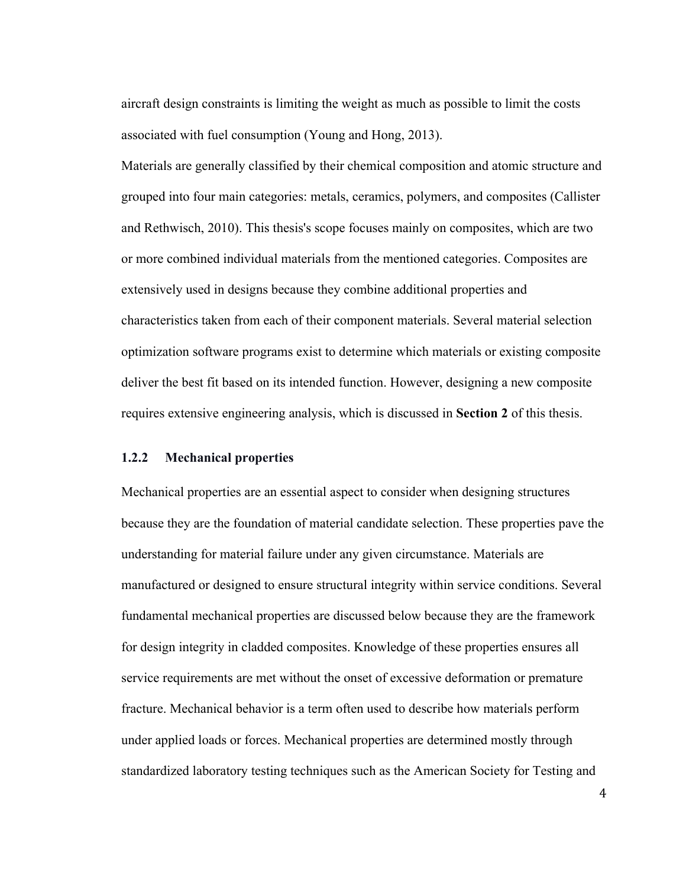aircraft design constraints is limiting the weight as much as possible to limit the costs associated with fuel consumption (Young and Hong, 2013).

Materials are generally classified by their chemical composition and atomic structure and grouped into four main categories: metals, ceramics, polymers, and composites (Callister and Rethwisch, 2010). This thesis's scope focuses mainly on composites, which are two or more combined individual materials from the mentioned categories. Composites are extensively used in designs because they combine additional properties and characteristics taken from each of their component materials. Several material selection optimization software programs exist to determine which materials or existing composite deliver the best fit based on its intended function. However, designing a new composite requires extensive engineering analysis, which is discussed in **Section 2** of this thesis.

#### **1.2.2 Mechanical properties**

Mechanical properties are an essential aspect to consider when designing structures because they are the foundation of material candidate selection. These properties pave the understanding for material failure under any given circumstance. Materials are manufactured or designed to ensure structural integrity within service conditions. Several fundamental mechanical properties are discussed below because they are the framework for design integrity in cladded composites. Knowledge of these properties ensures all service requirements are met without the onset of excessive deformation or premature fracture. Mechanical behavior is a term often used to describe how materials perform under applied loads or forces. Mechanical properties are determined mostly through standardized laboratory testing techniques such as the American Society for Testing and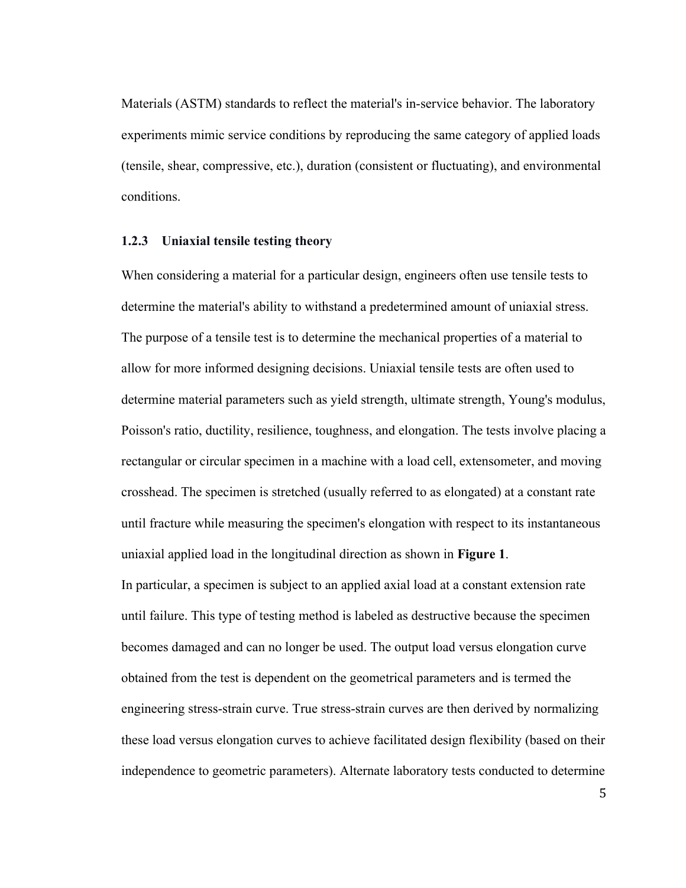Materials (ASTM) standards to reflect the material's in-service behavior. The laboratory experiments mimic service conditions by reproducing the same category of applied loads (tensile, shear, compressive, etc.), duration (consistent or fluctuating), and environmental conditions.

#### **1.2.3 Uniaxial tensile testing theory**

When considering a material for a particular design, engineers often use tensile tests to determine the material's ability to withstand a predetermined amount of uniaxial stress. The purpose of a tensile test is to determine the mechanical properties of a material to allow for more informed designing decisions. Uniaxial tensile tests are often used to determine material parameters such as yield strength, ultimate strength, Young's modulus, Poisson's ratio, ductility, resilience, toughness, and elongation. The tests involve placing a rectangular or circular specimen in a machine with a load cell, extensometer, and moving crosshead. The specimen is stretched (usually referred to as elongated) at a constant rate until fracture while measuring the specimen's elongation with respect to its instantaneous uniaxial applied load in the longitudinal direction as shown in **Figure 1**.

In particular, a specimen is subject to an applied axial load at a constant extension rate until failure. This type of testing method is labeled as destructive because the specimen becomes damaged and can no longer be used. The output load versus elongation curve obtained from the test is dependent on the geometrical parameters and is termed the engineering stress-strain curve. True stress-strain curves are then derived by normalizing these load versus elongation curves to achieve facilitated design flexibility (based on their independence to geometric parameters). Alternate laboratory tests conducted to determine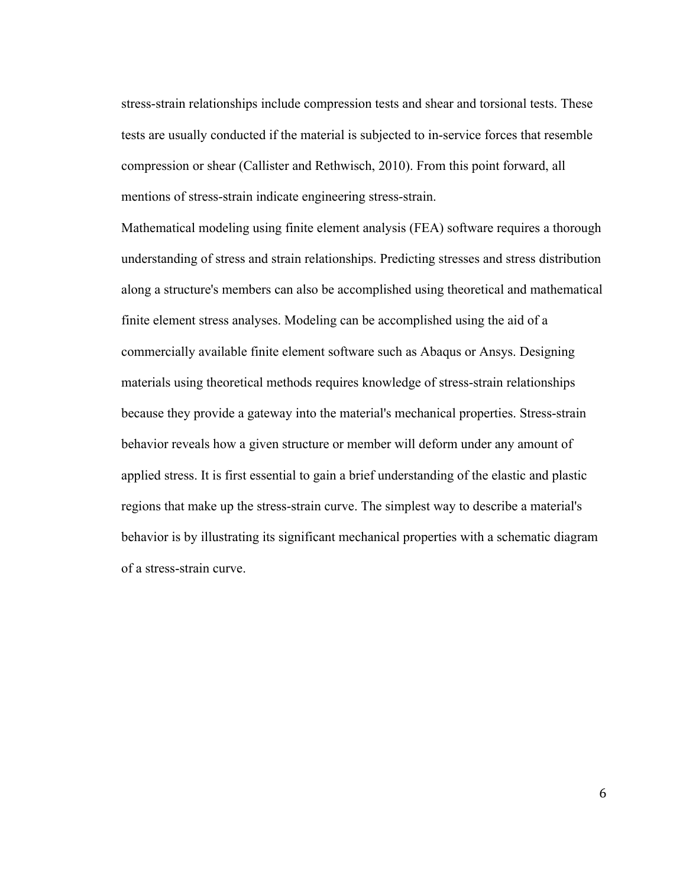stress-strain relationships include compression tests and shear and torsional tests. These tests are usually conducted if the material is subjected to in-service forces that resemble compression or shear (Callister and Rethwisch, 2010). From this point forward, all mentions of stress-strain indicate engineering stress-strain.

Mathematical modeling using finite element analysis (FEA) software requires a thorough understanding of stress and strain relationships. Predicting stresses and stress distribution along a structure's members can also be accomplished using theoretical and mathematical finite element stress analyses. Modeling can be accomplished using the aid of a commercially available finite element software such as Abaqus or Ansys. Designing materials using theoretical methods requires knowledge of stress-strain relationships because they provide a gateway into the material's mechanical properties. Stress-strain behavior reveals how a given structure or member will deform under any amount of applied stress. It is first essential to gain a brief understanding of the elastic and plastic regions that make up the stress-strain curve. The simplest way to describe a material's behavior is by illustrating its significant mechanical properties with a schematic diagram of a stress-strain curve.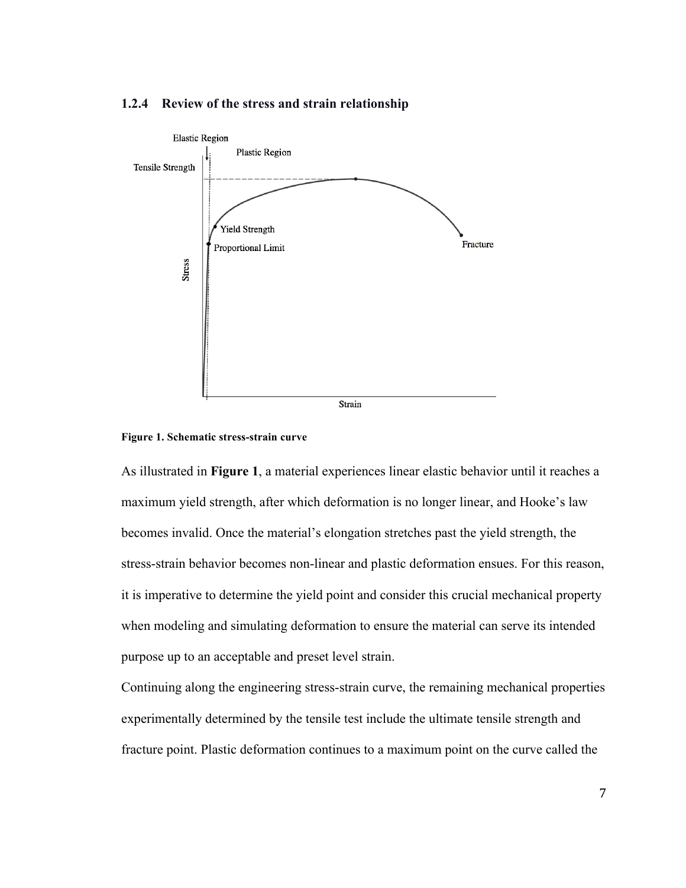



**Figure 1. Schematic stress-strain curve**

As illustrated in **Figure 1**, a material experiences linear elastic behavior until it reaches a maximum yield strength, after which deformation is no longer linear, and Hooke's law becomes invalid. Once the material's elongation stretches past the yield strength, the stress-strain behavior becomes non-linear and plastic deformation ensues. For this reason, it is imperative to determine the yield point and consider this crucial mechanical property when modeling and simulating deformation to ensure the material can serve its intended purpose up to an acceptable and preset level strain.

Continuing along the engineering stress-strain curve, the remaining mechanical properties experimentally determined by the tensile test include the ultimate tensile strength and fracture point. Plastic deformation continues to a maximum point on the curve called the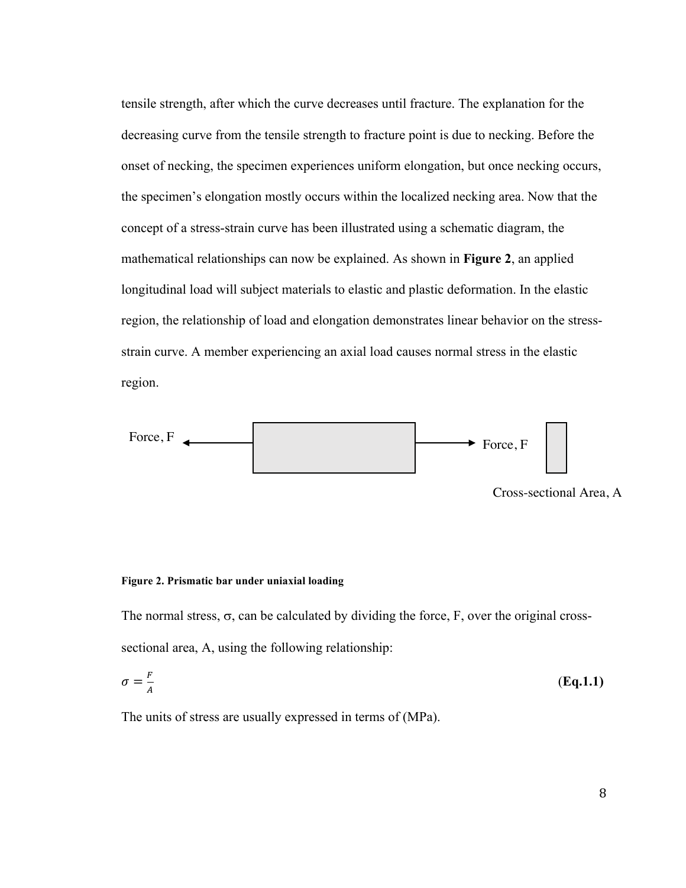tensile strength, after which the curve decreases until fracture. The explanation for the decreasing curve from the tensile strength to fracture point is due to necking. Before the onset of necking, the specimen experiences uniform elongation, but once necking occurs, the specimen's elongation mostly occurs within the localized necking area. Now that the concept of a stress-strain curve has been illustrated using a schematic diagram, the mathematical relationships can now be explained. As shown in **Figure 2**, an applied longitudinal load will subject materials to elastic and plastic deformation. In the elastic region, the relationship of load and elongation demonstrates linear behavior on the stressstrain curve. A member experiencing an axial load causes normal stress in the elastic region.



Cross-sectional Area, A

#### **Figure 2. Prismatic bar under uniaxial loading**

The normal stress,  $\sigma$ , can be calculated by dividing the force, F, over the original crosssectional area, A, using the following relationship:

$$
\sigma = \frac{F}{A} \tag{Eq.1.1}
$$

The units of stress are usually expressed in terms of (MPa).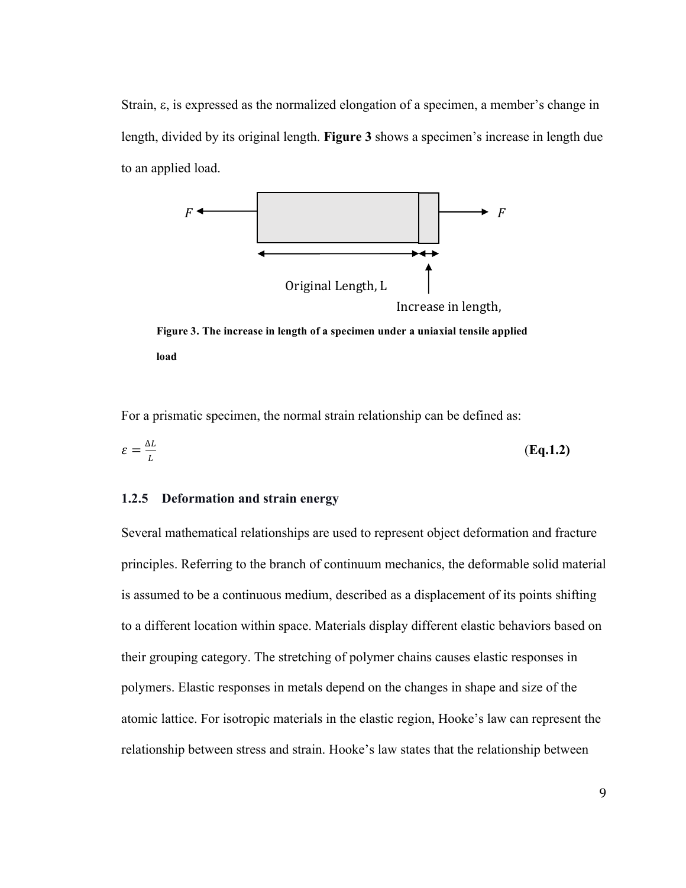Strain, e, is expressed as the normalized elongation of a specimen, a member's change in length, divided by its original length. **Figure 3** shows a specimen's increase in length due to an applied load.



Figure 3. The increase in length of a specimen under a uniaxial tensile applied **load**

For a prismatic specimen, the normal strain relationship can be defined as:

$$
\varepsilon = \frac{\Delta L}{L} \tag{Eq.1.2}
$$

#### **1.2.5 Deformation and strain energy**

Several mathematical relationships are used to represent object deformation and fracture principles. Referring to the branch of continuum mechanics, the deformable solid material is assumed to be a continuous medium, described as a displacement of its points shifting to a different location within space. Materials display different elastic behaviors based on their grouping category. The stretching of polymer chains causes elastic responses in polymers. Elastic responses in metals depend on the changes in shape and size of the atomic lattice. For isotropic materials in the elastic region, Hooke's law can represent the relationship between stress and strain. Hooke's law states that the relationship between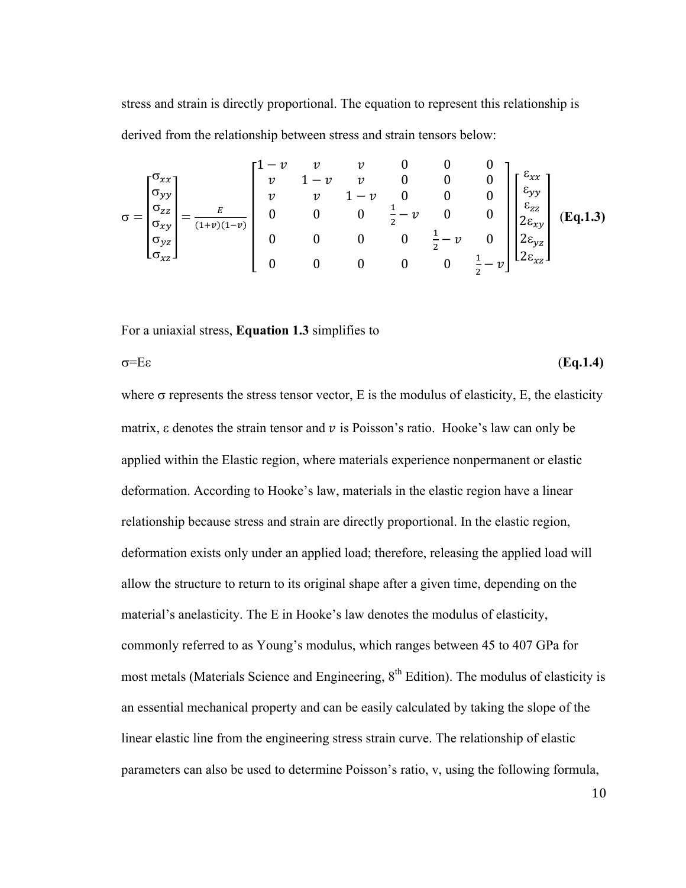stress and strain is directly proportional. The equation to represent this relationship is derived from the relationship between stress and strain tensors below:

$$
\sigma = \begin{bmatrix} \sigma_{xx} \\ \sigma_{yy} \\ \sigma_{zz} \\ \sigma_{yz} \\ \sigma_{xz} \end{bmatrix} = \frac{E}{(1+v)(1-v)} \begin{bmatrix} 1-v & v & v & 0 & 0 & 0 \\ v & 1-v & v & 0 & 0 & 0 \\ v & v & 1-v & 0 & 0 & 0 \\ 0 & 0 & 0 & \frac{1}{2}-v & 0 & 0 \\ 0 & 0 & 0 & 0 & \frac{1}{2}-v & 0 \\ 0 & 0 & 0 & 0 & \frac{1}{2}-v & 0 \\ 0 & 0 & 0 & 0 & 0 & \frac{1}{2}-v \end{bmatrix} \begin{bmatrix} \varepsilon_{xx} \\ \varepsilon_{yy} \\ \varepsilon_{zz} \\ 2\varepsilon_{xy} \\ 2\varepsilon_{yz} \\ 2\varepsilon_{xz} \end{bmatrix}
$$
 (Eq.1.3)

For a uniaxial stress, **Equation 1.3** simplifies to

 $\sigma = E\varepsilon$  (**Eq.1.4**)

where  $\sigma$  represents the stress tensor vector, E is the modulus of elasticity, E, the elasticity matrix,  $\varepsilon$  denotes the strain tensor and  $\nu$  is Poisson's ratio. Hooke's law can only be applied within the Elastic region, where materials experience nonpermanent or elastic deformation. According to Hooke's law, materials in the elastic region have a linear relationship because stress and strain are directly proportional. In the elastic region, deformation exists only under an applied load; therefore, releasing the applied load will allow the structure to return to its original shape after a given time, depending on the material's anelasticity. The E in Hooke's law denotes the modulus of elasticity, commonly referred to as Young's modulus, which ranges between 45 to 407 GPa for most metals (Materials Science and Engineering,  $8<sup>th</sup>$  Edition). The modulus of elasticity is an essential mechanical property and can be easily calculated by taking the slope of the linear elastic line from the engineering stress strain curve. The relationship of elastic parameters can also be used to determine Poisson's ratio, v, using the following formula,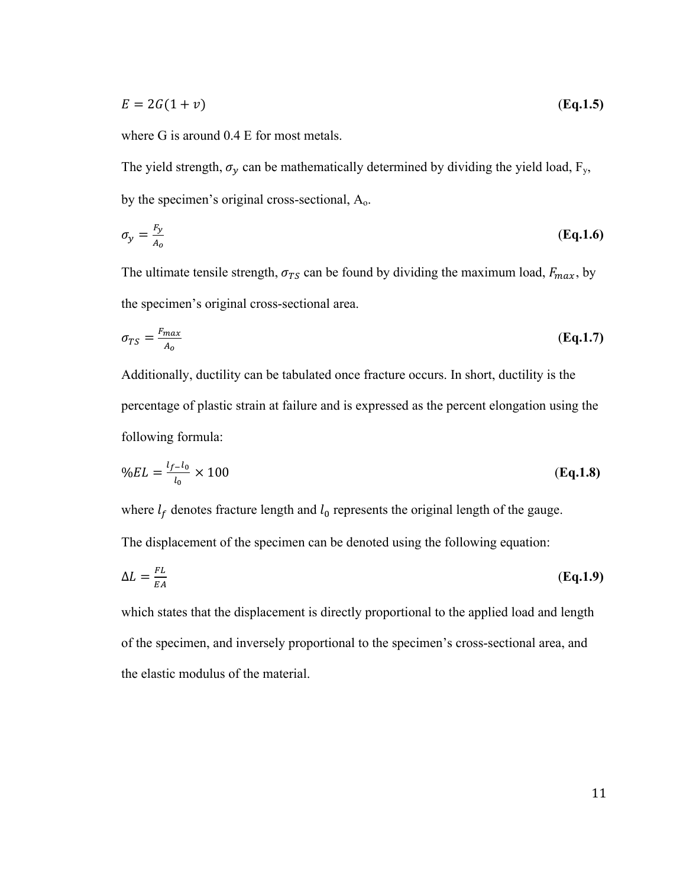$$
E = 2G(1+v) \tag{Eq.1.5}
$$

where G is around 0.4 E for most metals.

The yield strength,  $\sigma_y$  can be mathematically determined by dividing the yield load, F<sub>y</sub>, by the specimen's original cross-sectional, Ao.

$$
\sigma_{\mathcal{Y}} = \frac{F_{\mathcal{Y}}}{A_o} \tag{Eq.1.6}
$$

The ultimate tensile strength,  $\sigma_{TS}$  can be found by dividing the maximum load,  $F_{max}$ , by the specimen's original cross-sectional area.

$$
\sigma_{TS} = \frac{F_{max}}{A_o} \tag{Eq.1.7}
$$

Additionally, ductility can be tabulated once fracture occurs. In short, ductility is the percentage of plastic strain at failure and is expressed as the percent elongation using the following formula:

$$
\%EL = \frac{l_{f-l_0}}{l_0} \times 100 \tag{Eq.1.8}
$$

where  $l_f$  denotes fracture length and  $l_0$  represents the original length of the gauge. The displacement of the specimen can be denoted using the following equation:

$$
\Delta L = \frac{FL}{EA} \tag{Eq.1.9}
$$

which states that the displacement is directly proportional to the applied load and length of the specimen, and inversely proportional to the specimen's cross-sectional area, and the elastic modulus of the material.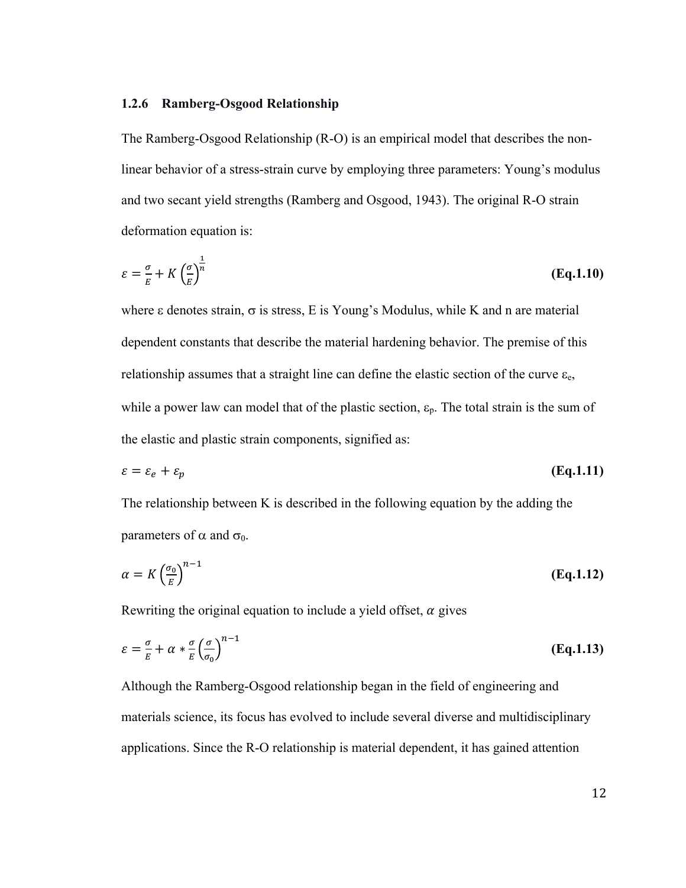#### **1.2.6 Ramberg-Osgood Relationship**

The Ramberg-Osgood Relationship (R-O) is an empirical model that describes the nonlinear behavior of a stress-strain curve by employing three parameters: Young's modulus and two secant yield strengths (Ramberg and Osgood, 1943). The original R-O strain deformation equation is:

$$
\varepsilon = \frac{\sigma}{E} + K \left( \frac{\sigma}{E} \right)^{\frac{1}{n}} \tag{Eq.1.10}
$$

where  $\varepsilon$  denotes strain,  $\sigma$  is stress, E is Young's Modulus, while K and n are material dependent constants that describe the material hardening behavior. The premise of this relationship assumes that a straight line can define the elastic section of the curve  $\varepsilon_{e}$ , while a power law can model that of the plastic section,  $\varepsilon_p$ . The total strain is the sum of the elastic and plastic strain components, signified as:

$$
\varepsilon = \varepsilon_e + \varepsilon_p \tag{Eq.1.11}
$$

The relationship between K is described in the following equation by the adding the parameters of  $\alpha$  and  $\sigma_0$ .

$$
\alpha = K \left(\frac{\sigma_0}{E}\right)^{n-1} \tag{Eq.1.12}
$$

Rewriting the original equation to include a yield offset,  $\alpha$  gives

$$
\varepsilon = \frac{\sigma}{E} + \alpha * \frac{\sigma}{E} \left( \frac{\sigma}{\sigma_0} \right)^{n-1}
$$
 (Eq.1.13)

Although the Ramberg-Osgood relationship began in the field of engineering and materials science, its focus has evolved to include several diverse and multidisciplinary applications. Since the R-O relationship is material dependent, it has gained attention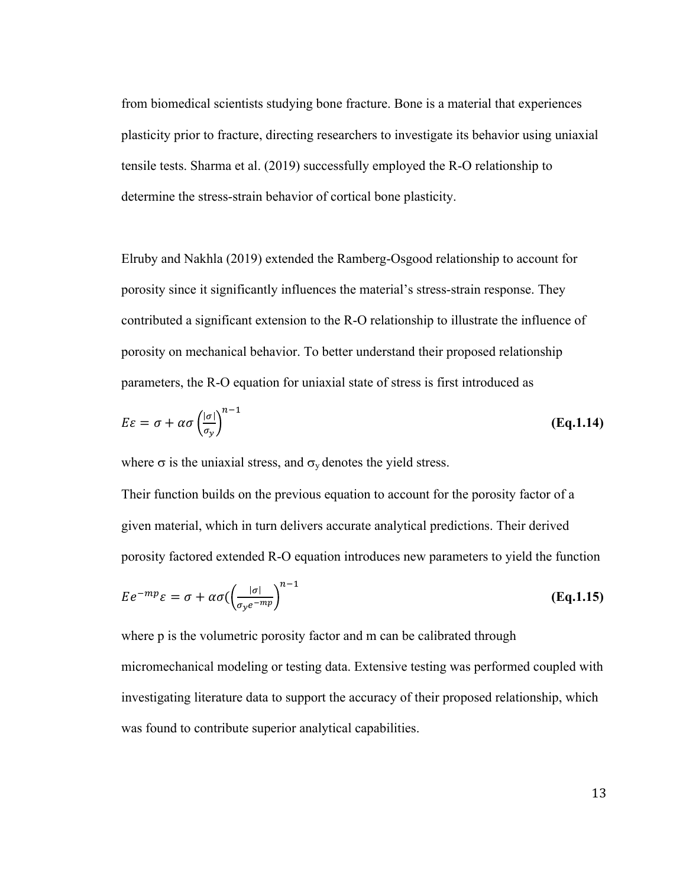from biomedical scientists studying bone fracture. Bone is a material that experiences plasticity prior to fracture, directing researchers to investigate its behavior using uniaxial tensile tests. Sharma et al. (2019) successfully employed the R-O relationship to determine the stress-strain behavior of cortical bone plasticity.

Elruby and Nakhla (2019) extended the Ramberg-Osgood relationship to account for porosity since it significantly influences the material's stress-strain response. They contributed a significant extension to the R-O relationship to illustrate the influence of porosity on mechanical behavior. To better understand their proposed relationship parameters, the R-O equation for uniaxial state of stress is first introduced as

$$
E\varepsilon = \sigma + \alpha \sigma \left(\frac{|\sigma|}{\sigma_{\mathcal{Y}}}\right)^{n-1} \tag{Eq.1.14}
$$

where  $\sigma$  is the uniaxial stress, and  $\sigma_v$  denotes the yield stress.

Their function builds on the previous equation to account for the porosity factor of a given material, which in turn delivers accurate analytical predictions. Their derived porosity factored extended R-O equation introduces new parameters to yield the function

$$
E e^{-mp} \varepsilon = \sigma + \alpha \sigma \left( \frac{|\sigma|}{\sigma_y e^{-mp}} \right)^{n-1}
$$
 (Eq.1.15)

where p is the volumetric porosity factor and m can be calibrated through micromechanical modeling or testing data. Extensive testing was performed coupled with investigating literature data to support the accuracy of their proposed relationship, which was found to contribute superior analytical capabilities.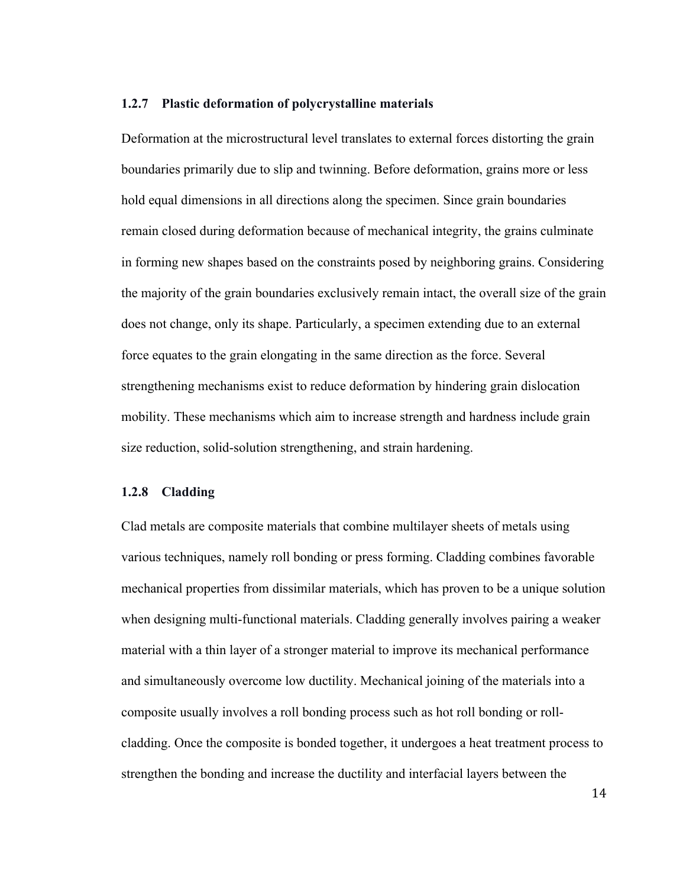#### **1.2.7 Plastic deformation of polycrystalline materials**

Deformation at the microstructural level translates to external forces distorting the grain boundaries primarily due to slip and twinning. Before deformation, grains more or less hold equal dimensions in all directions along the specimen. Since grain boundaries remain closed during deformation because of mechanical integrity, the grains culminate in forming new shapes based on the constraints posed by neighboring grains. Considering the majority of the grain boundaries exclusively remain intact, the overall size of the grain does not change, only its shape. Particularly, a specimen extending due to an external force equates to the grain elongating in the same direction as the force. Several strengthening mechanisms exist to reduce deformation by hindering grain dislocation mobility. These mechanisms which aim to increase strength and hardness include grain size reduction, solid-solution strengthening, and strain hardening.

#### **1.2.8 Cladding**

Clad metals are composite materials that combine multilayer sheets of metals using various techniques, namely roll bonding or press forming. Cladding combines favorable mechanical properties from dissimilar materials, which has proven to be a unique solution when designing multi-functional materials. Cladding generally involves pairing a weaker material with a thin layer of a stronger material to improve its mechanical performance and simultaneously overcome low ductility. Mechanical joining of the materials into a composite usually involves a roll bonding process such as hot roll bonding or rollcladding. Once the composite is bonded together, it undergoes a heat treatment process to strengthen the bonding and increase the ductility and interfacial layers between the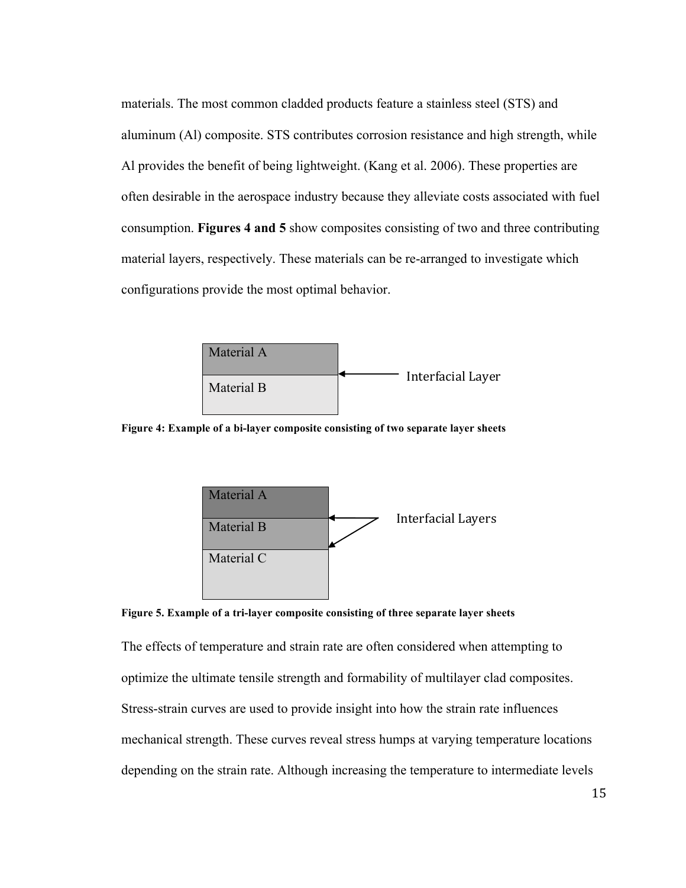materials. The most common cladded products feature a stainless steel (STS) and aluminum (Al) composite. STS contributes corrosion resistance and high strength, while Al provides the benefit of being lightweight. (Kang et al. 2006). These properties are often desirable in the aerospace industry because they alleviate costs associated with fuel consumption. **Figures 4 and 5** show composites consisting of two and three contributing material layers, respectively. These materials can be re-arranged to investigate which configurations provide the most optimal behavior.



**Figure 4: Example of a bi-layer composite consisting of two separate layer sheets**



**Figure 5. Example of a tri-layer composite consisting of three separate layer sheets**

The effects of temperature and strain rate are often considered when attempting to optimize the ultimate tensile strength and formability of multilayer clad composites. Stress-strain curves are used to provide insight into how the strain rate influences mechanical strength. These curves reveal stress humps at varying temperature locations depending on the strain rate. Although increasing the temperature to intermediate levels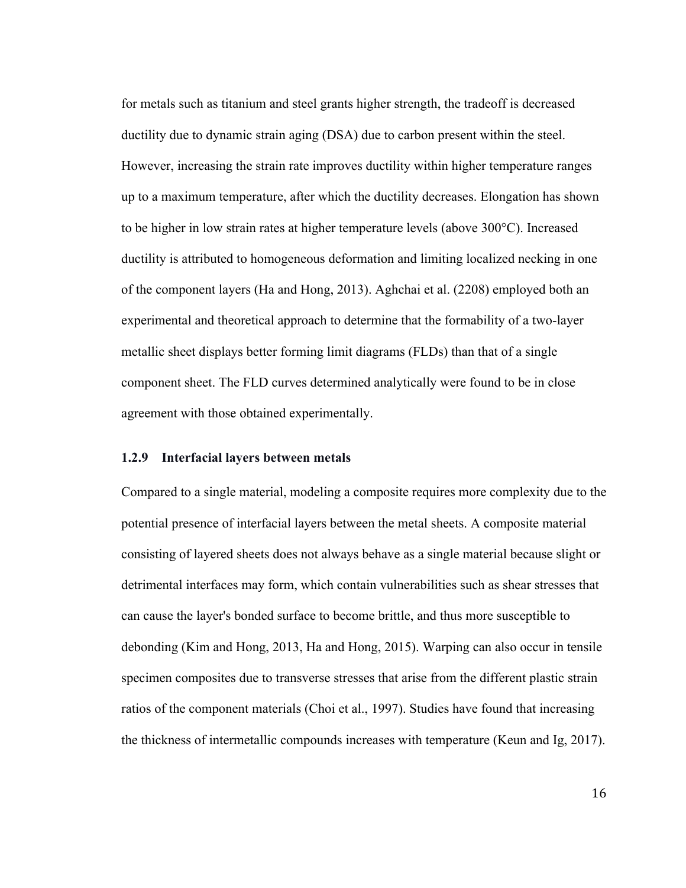for metals such as titanium and steel grants higher strength, the tradeoff is decreased ductility due to dynamic strain aging (DSA) due to carbon present within the steel. However, increasing the strain rate improves ductility within higher temperature ranges up to a maximum temperature, after which the ductility decreases. Elongation has shown to be higher in low strain rates at higher temperature levels (above 300°C). Increased ductility is attributed to homogeneous deformation and limiting localized necking in one of the component layers (Ha and Hong, 2013). Aghchai et al. (2208) employed both an experimental and theoretical approach to determine that the formability of a two-layer metallic sheet displays better forming limit diagrams (FLDs) than that of a single component sheet. The FLD curves determined analytically were found to be in close agreement with those obtained experimentally.

#### **1.2.9 Interfacial layers between metals**

Compared to a single material, modeling a composite requires more complexity due to the potential presence of interfacial layers between the metal sheets. A composite material consisting of layered sheets does not always behave as a single material because slight or detrimental interfaces may form, which contain vulnerabilities such as shear stresses that can cause the layer's bonded surface to become brittle, and thus more susceptible to debonding (Kim and Hong, 2013, Ha and Hong, 2015). Warping can also occur in tensile specimen composites due to transverse stresses that arise from the different plastic strain ratios of the component materials (Choi et al., 1997). Studies have found that increasing the thickness of intermetallic compounds increases with temperature (Keun and Ig, 2017).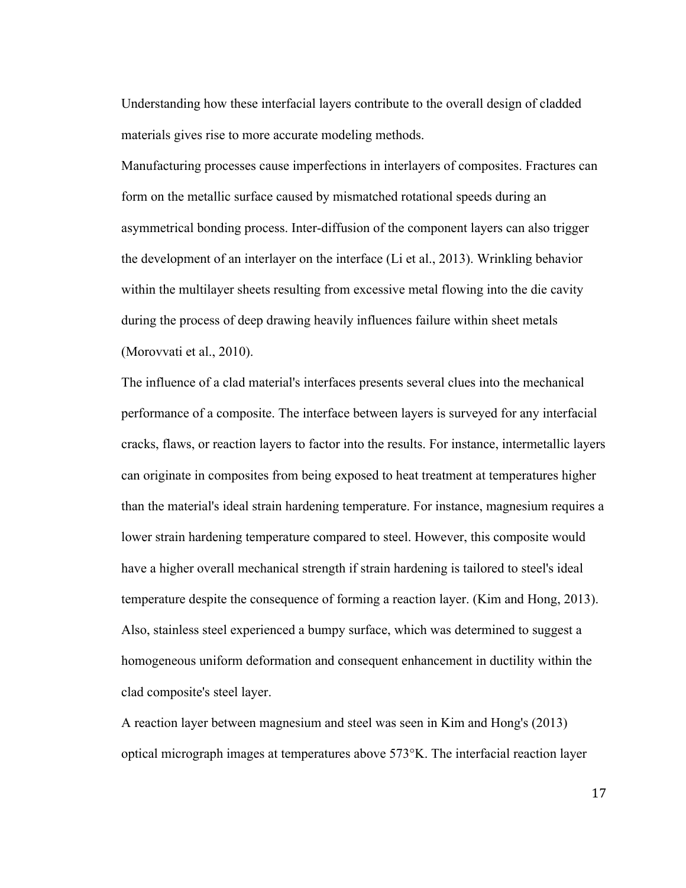Understanding how these interfacial layers contribute to the overall design of cladded materials gives rise to more accurate modeling methods.

Manufacturing processes cause imperfections in interlayers of composites. Fractures can form on the metallic surface caused by mismatched rotational speeds during an asymmetrical bonding process. Inter-diffusion of the component layers can also trigger the development of an interlayer on the interface (Li et al., 2013). Wrinkling behavior within the multilayer sheets resulting from excessive metal flowing into the die cavity during the process of deep drawing heavily influences failure within sheet metals (Morovvati et al., 2010).

The influence of a clad material's interfaces presents several clues into the mechanical performance of a composite. The interface between layers is surveyed for any interfacial cracks, flaws, or reaction layers to factor into the results. For instance, intermetallic layers can originate in composites from being exposed to heat treatment at temperatures higher than the material's ideal strain hardening temperature. For instance, magnesium requires a lower strain hardening temperature compared to steel. However, this composite would have a higher overall mechanical strength if strain hardening is tailored to steel's ideal temperature despite the consequence of forming a reaction layer. (Kim and Hong, 2013). Also, stainless steel experienced a bumpy surface, which was determined to suggest a homogeneous uniform deformation and consequent enhancement in ductility within the clad composite's steel layer.

A reaction layer between magnesium and steel was seen in Kim and Hong's (2013) optical micrograph images at temperatures above 573°K. The interfacial reaction layer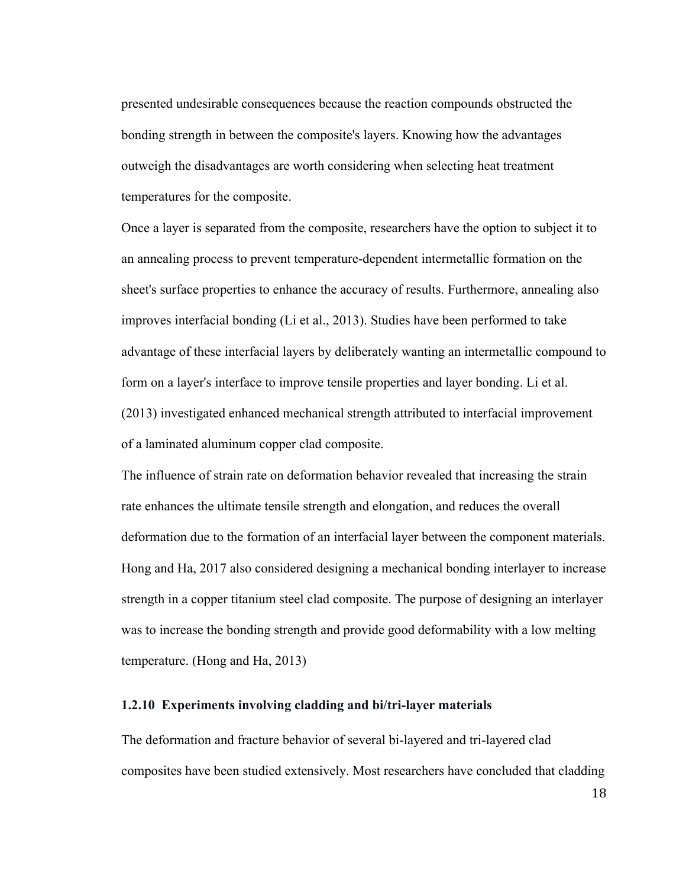presented undesirable consequences because the reaction compounds obstructed the bonding strength in between the composite's layers. Knowing how the advantages outweigh the disadvantages are worth considering when selecting heat treatment temperatures for the composite.

Once a layer is separated from the composite, researchers have the option to subject it to an annealing process to prevent temperature-dependent intermetallic formation on the sheet's surface properties to enhance the accuracy of results. Furthermore, annealing also improves interfacial bonding (Li et al., 2013). Studies have been performed to take advantage of these interfacial layers by deliberately wanting an intermetallic compound to form on a layer's interface to improve tensile properties and layer bonding. Li et al. (2013) investigated enhanced mechanical strength attributed to interfacial improvement of a laminated aluminum copper clad composite.

The influence of strain rate on deformation behavior revealed that increasing the strain rate enhances the ultimate tensile strength and elongation, and reduces the overall deformation due to the formation of an interfacial layer between the component materials. Hong and Ha, 2017 also considered designing a mechanical bonding interlayer to increase strength in a copper titanium steel clad composite. The purpose of designing an interlayer was to increase the bonding strength and provide good deformability with a low melting temperature. (Hong and Ha, 2013)

#### **1.2.10 Experiments involving cladding and bi/tri-layer materials**

The deformation and fracture behavior of several bi-layered and tri-layered clad composites have been studied extensively. Most researchers have concluded that cladding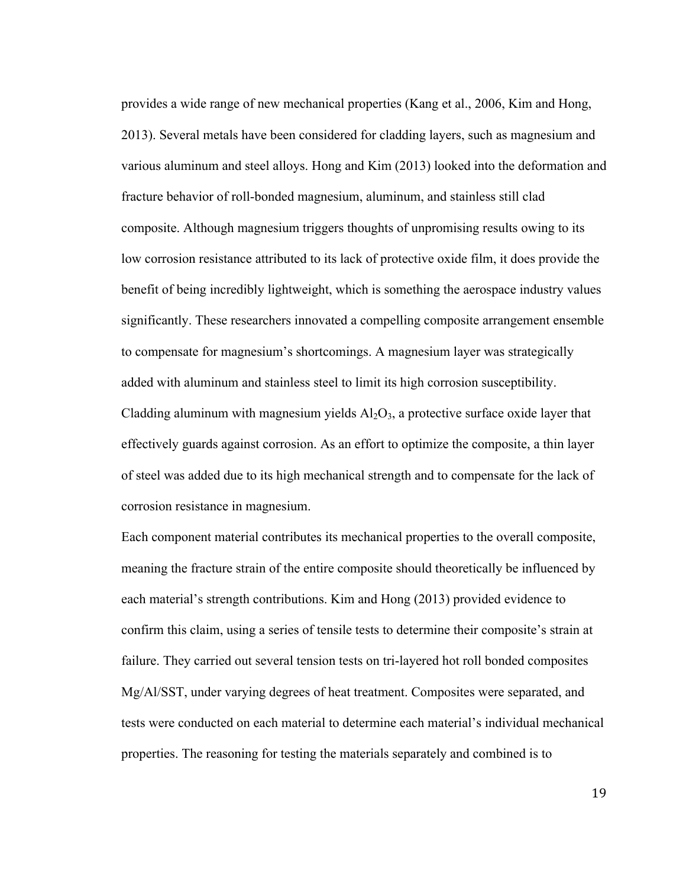provides a wide range of new mechanical properties (Kang et al., 2006, Kim and Hong, 2013). Several metals have been considered for cladding layers, such as magnesium and various aluminum and steel alloys. Hong and Kim (2013) looked into the deformation and fracture behavior of roll-bonded magnesium, aluminum, and stainless still clad composite. Although magnesium triggers thoughts of unpromising results owing to its low corrosion resistance attributed to its lack of protective oxide film, it does provide the benefit of being incredibly lightweight, which is something the aerospace industry values significantly. These researchers innovated a compelling composite arrangement ensemble to compensate for magnesium's shortcomings. A magnesium layer was strategically added with aluminum and stainless steel to limit its high corrosion susceptibility. Cladding aluminum with magnesium yields  $Al_2O_3$ , a protective surface oxide layer that effectively guards against corrosion. As an effort to optimize the composite, a thin layer of steel was added due to its high mechanical strength and to compensate for the lack of corrosion resistance in magnesium.

Each component material contributes its mechanical properties to the overall composite, meaning the fracture strain of the entire composite should theoretically be influenced by each material's strength contributions. Kim and Hong (2013) provided evidence to confirm this claim, using a series of tensile tests to determine their composite's strain at failure. They carried out several tension tests on tri-layered hot roll bonded composites Mg/Al/SST, under varying degrees of heat treatment. Composites were separated, and tests were conducted on each material to determine each material's individual mechanical properties. The reasoning for testing the materials separately and combined is to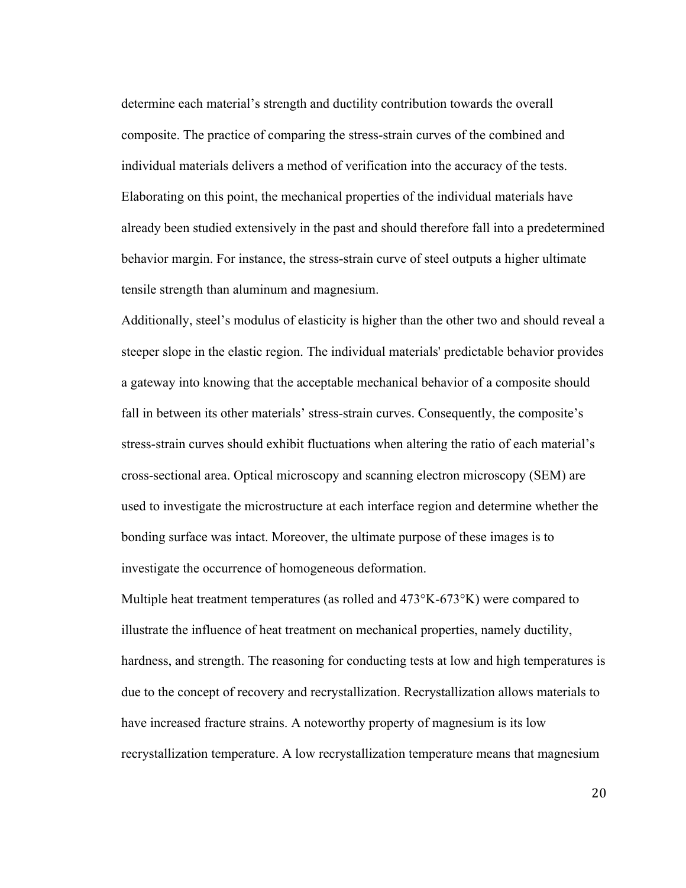determine each material's strength and ductility contribution towards the overall composite. The practice of comparing the stress-strain curves of the combined and individual materials delivers a method of verification into the accuracy of the tests. Elaborating on this point, the mechanical properties of the individual materials have already been studied extensively in the past and should therefore fall into a predetermined behavior margin. For instance, the stress-strain curve of steel outputs a higher ultimate tensile strength than aluminum and magnesium.

Additionally, steel's modulus of elasticity is higher than the other two and should reveal a steeper slope in the elastic region. The individual materials' predictable behavior provides a gateway into knowing that the acceptable mechanical behavior of a composite should fall in between its other materials' stress-strain curves. Consequently, the composite's stress-strain curves should exhibit fluctuations when altering the ratio of each material's cross-sectional area. Optical microscopy and scanning electron microscopy (SEM) are used to investigate the microstructure at each interface region and determine whether the bonding surface was intact. Moreover, the ultimate purpose of these images is to investigate the occurrence of homogeneous deformation.

Multiple heat treatment temperatures (as rolled and 473°K-673°K) were compared to illustrate the influence of heat treatment on mechanical properties, namely ductility, hardness, and strength. The reasoning for conducting tests at low and high temperatures is due to the concept of recovery and recrystallization. Recrystallization allows materials to have increased fracture strains. A noteworthy property of magnesium is its low recrystallization temperature. A low recrystallization temperature means that magnesium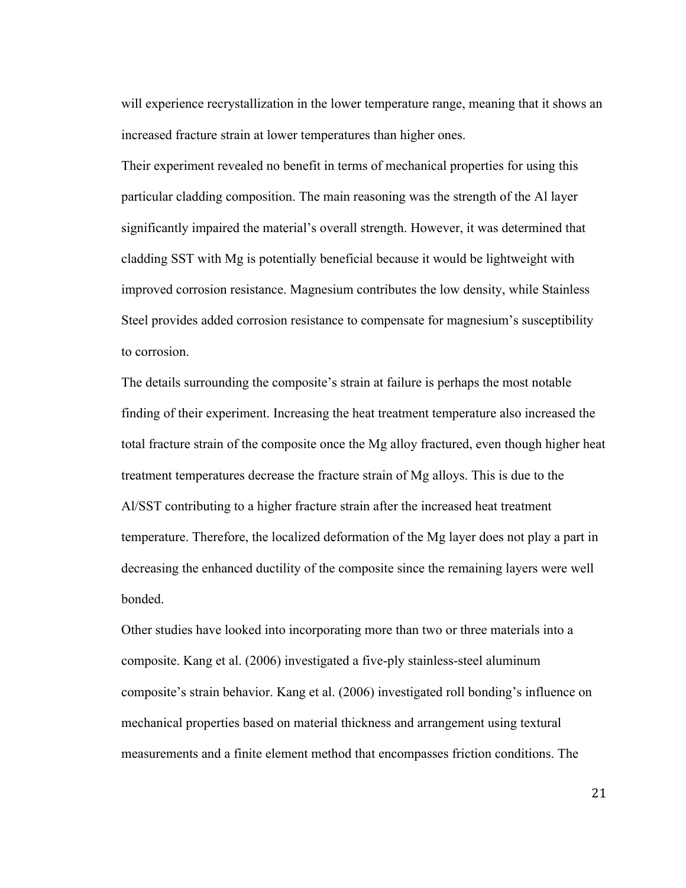will experience recrystallization in the lower temperature range, meaning that it shows an increased fracture strain at lower temperatures than higher ones.

Their experiment revealed no benefit in terms of mechanical properties for using this particular cladding composition. The main reasoning was the strength of the Al layer significantly impaired the material's overall strength. However, it was determined that cladding SST with Mg is potentially beneficial because it would be lightweight with improved corrosion resistance. Magnesium contributes the low density, while Stainless Steel provides added corrosion resistance to compensate for magnesium's susceptibility to corrosion.

The details surrounding the composite's strain at failure is perhaps the most notable finding of their experiment. Increasing the heat treatment temperature also increased the total fracture strain of the composite once the Mg alloy fractured, even though higher heat treatment temperatures decrease the fracture strain of Mg alloys. This is due to the Al/SST contributing to a higher fracture strain after the increased heat treatment temperature. Therefore, the localized deformation of the Mg layer does not play a part in decreasing the enhanced ductility of the composite since the remaining layers were well bonded.

Other studies have looked into incorporating more than two or three materials into a composite. Kang et al. (2006) investigated a five-ply stainless-steel aluminum composite's strain behavior. Kang et al. (2006) investigated roll bonding's influence on mechanical properties based on material thickness and arrangement using textural measurements and a finite element method that encompasses friction conditions. The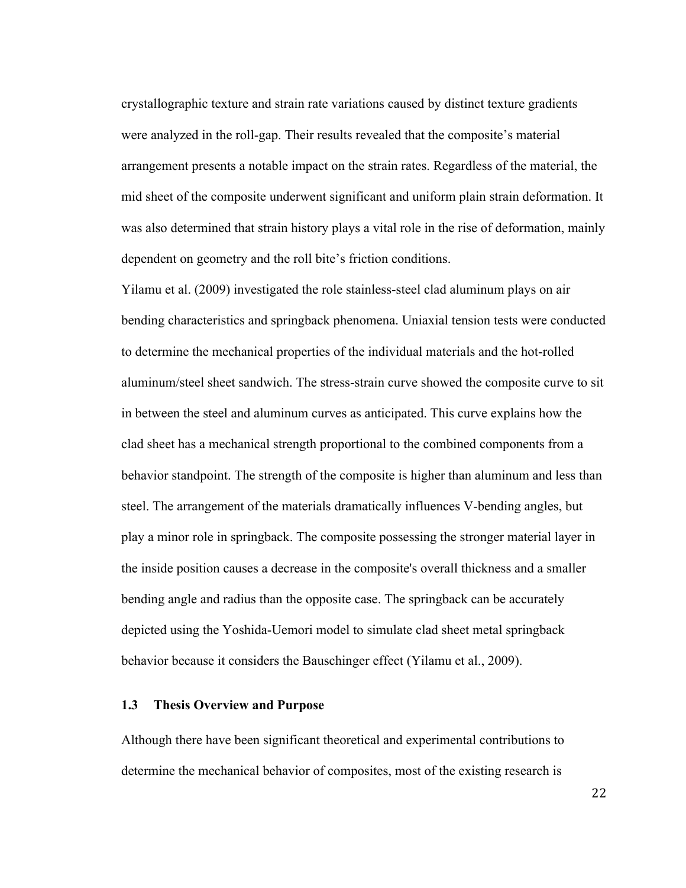crystallographic texture and strain rate variations caused by distinct texture gradients were analyzed in the roll-gap. Their results revealed that the composite's material arrangement presents a notable impact on the strain rates. Regardless of the material, the mid sheet of the composite underwent significant and uniform plain strain deformation. It was also determined that strain history plays a vital role in the rise of deformation, mainly dependent on geometry and the roll bite's friction conditions.

Yilamu et al. (2009) investigated the role stainless-steel clad aluminum plays on air bending characteristics and springback phenomena. Uniaxial tension tests were conducted to determine the mechanical properties of the individual materials and the hot-rolled aluminum/steel sheet sandwich. The stress-strain curve showed the composite curve to sit in between the steel and aluminum curves as anticipated. This curve explains how the clad sheet has a mechanical strength proportional to the combined components from a behavior standpoint. The strength of the composite is higher than aluminum and less than steel. The arrangement of the materials dramatically influences V-bending angles, but play a minor role in springback. The composite possessing the stronger material layer in the inside position causes a decrease in the composite's overall thickness and a smaller bending angle and radius than the opposite case. The springback can be accurately depicted using the Yoshida-Uemori model to simulate clad sheet metal springback behavior because it considers the Bauschinger effect (Yilamu et al., 2009).

#### **1.3 Thesis Overview and Purpose**

Although there have been significant theoretical and experimental contributions to determine the mechanical behavior of composites, most of the existing research is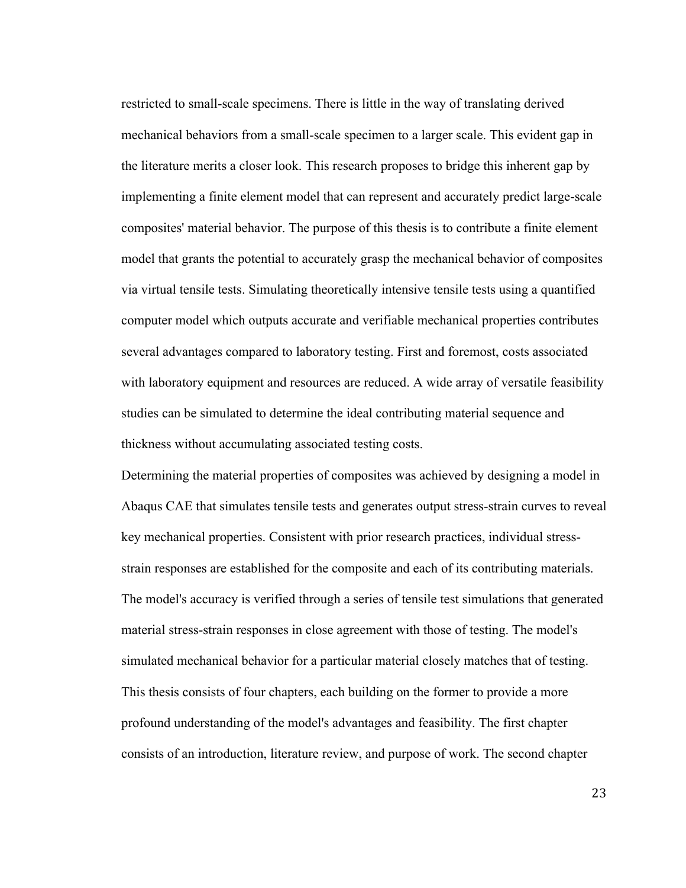restricted to small-scale specimens. There is little in the way of translating derived mechanical behaviors from a small-scale specimen to a larger scale. This evident gap in the literature merits a closer look. This research proposes to bridge this inherent gap by implementing a finite element model that can represent and accurately predict large-scale composites' material behavior. The purpose of this thesis is to contribute a finite element model that grants the potential to accurately grasp the mechanical behavior of composites via virtual tensile tests. Simulating theoretically intensive tensile tests using a quantified computer model which outputs accurate and verifiable mechanical properties contributes several advantages compared to laboratory testing. First and foremost, costs associated with laboratory equipment and resources are reduced. A wide array of versatile feasibility studies can be simulated to determine the ideal contributing material sequence and thickness without accumulating associated testing costs.

Determining the material properties of composites was achieved by designing a model in Abaqus CAE that simulates tensile tests and generates output stress-strain curves to reveal key mechanical properties. Consistent with prior research practices, individual stressstrain responses are established for the composite and each of its contributing materials. The model's accuracy is verified through a series of tensile test simulations that generated material stress-strain responses in close agreement with those of testing. The model's simulated mechanical behavior for a particular material closely matches that of testing. This thesis consists of four chapters, each building on the former to provide a more profound understanding of the model's advantages and feasibility. The first chapter consists of an introduction, literature review, and purpose of work. The second chapter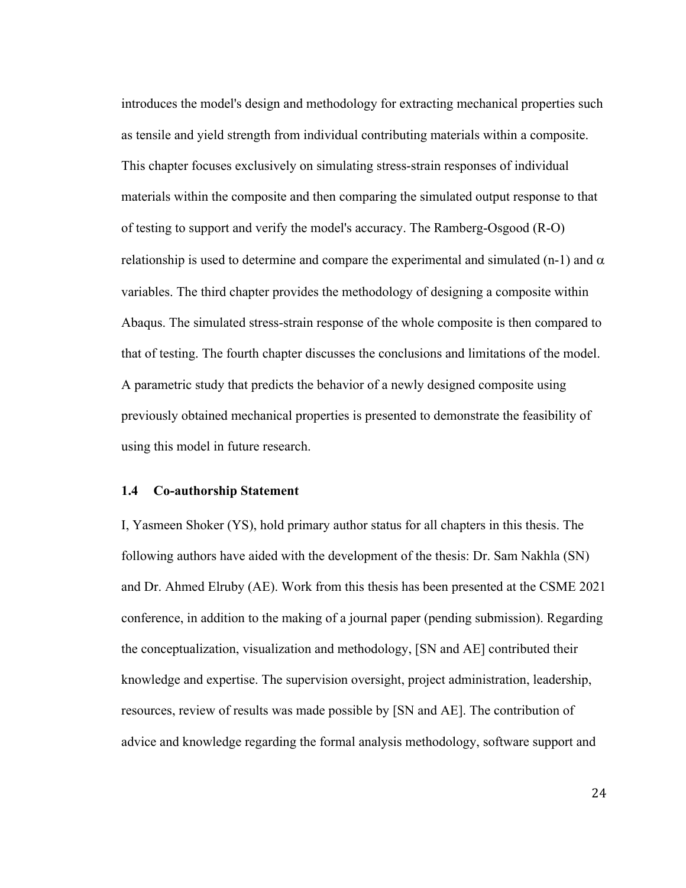introduces the model's design and methodology for extracting mechanical properties such as tensile and yield strength from individual contributing materials within a composite. This chapter focuses exclusively on simulating stress-strain responses of individual materials within the composite and then comparing the simulated output response to that of testing to support and verify the model's accuracy. The Ramberg-Osgood (R-O) relationship is used to determine and compare the experimental and simulated (n-1) and  $\alpha$ variables. The third chapter provides the methodology of designing a composite within Abaqus. The simulated stress-strain response of the whole composite is then compared to that of testing. The fourth chapter discusses the conclusions and limitations of the model. A parametric study that predicts the behavior of a newly designed composite using previously obtained mechanical properties is presented to demonstrate the feasibility of using this model in future research.

#### **1.4 Co-authorship Statement**

I, Yasmeen Shoker (YS), hold primary author status for all chapters in this thesis. The following authors have aided with the development of the thesis: Dr. Sam Nakhla (SN) and Dr. Ahmed Elruby (AE). Work from this thesis has been presented at the CSME 2021 conference, in addition to the making of a journal paper (pending submission). Regarding the conceptualization, visualization and methodology, [SN and AE] contributed their knowledge and expertise. The supervision oversight, project administration, leadership, resources, review of results was made possible by [SN and AE]. The contribution of advice and knowledge regarding the formal analysis methodology, software support and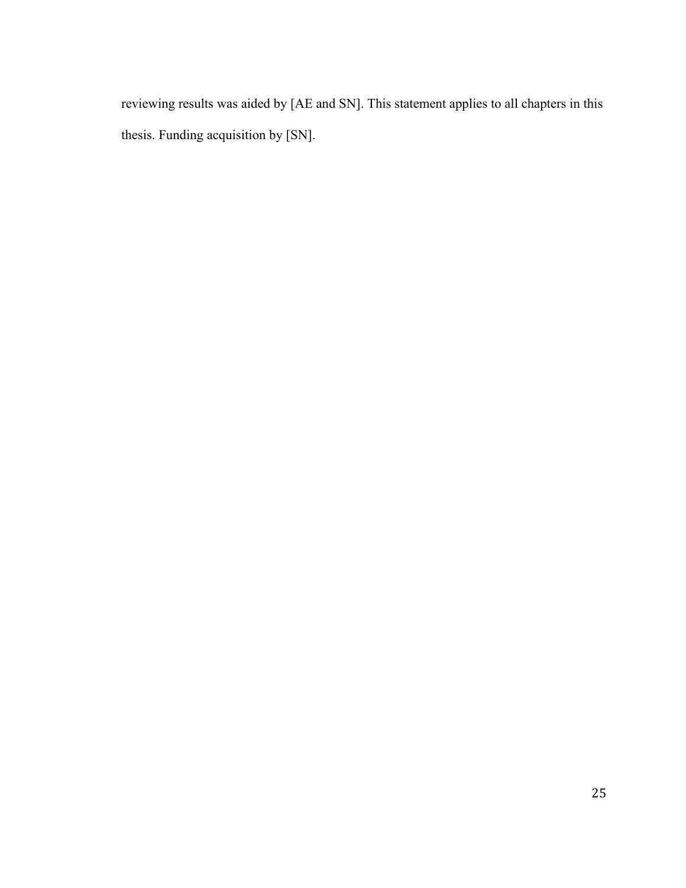reviewing results was aided by [AE and SN]. This statement applies to all chapters in this thesis. Funding acquisition by [SN].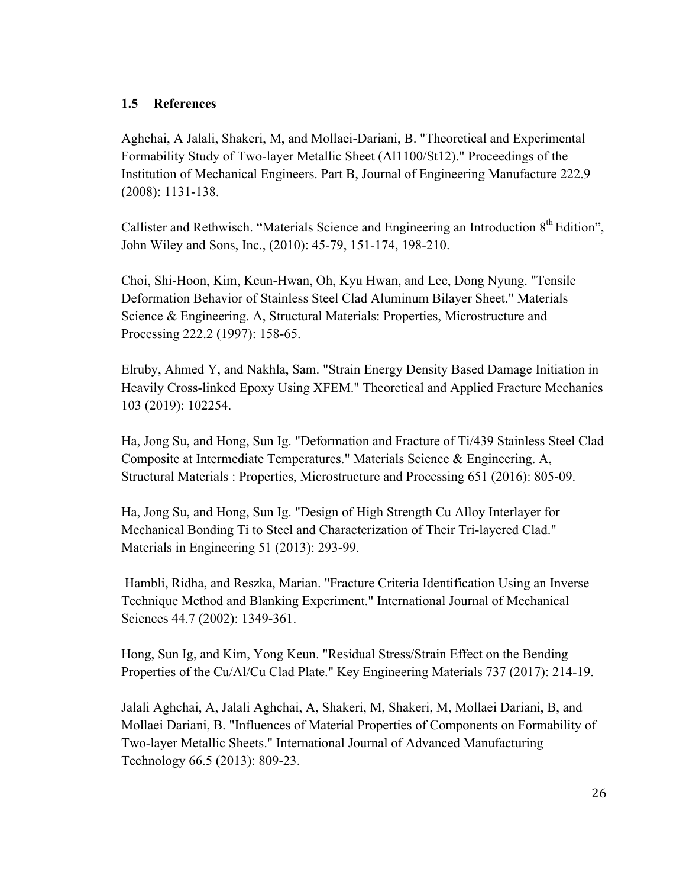## **1.5 References**

Aghchai, A Jalali, Shakeri, M, and Mollaei-Dariani, B. "Theoretical and Experimental Formability Study of Two-layer Metallic Sheet (Al1100/St12)." Proceedings of the Institution of Mechanical Engineers. Part B, Journal of Engineering Manufacture 222.9 (2008): 1131-138.

Callister and Rethwisch. "Materials Science and Engineering an Introduction 8<sup>th</sup> Edition", John Wiley and Sons, Inc., (2010): 45-79, 151-174, 198-210.

Choi, Shi-Hoon, Kim, Keun-Hwan, Oh, Kyu Hwan, and Lee, Dong Nyung. "Tensile Deformation Behavior of Stainless Steel Clad Aluminum Bilayer Sheet." Materials Science & Engineering. A, Structural Materials: Properties, Microstructure and Processing 222.2 (1997): 158-65.

Elruby, Ahmed Y, and Nakhla, Sam. "Strain Energy Density Based Damage Initiation in Heavily Cross-linked Epoxy Using XFEM." Theoretical and Applied Fracture Mechanics 103 (2019): 102254.

Ha, Jong Su, and Hong, Sun Ig. "Deformation and Fracture of Ti/439 Stainless Steel Clad Composite at Intermediate Temperatures." Materials Science & Engineering. A, Structural Materials : Properties, Microstructure and Processing 651 (2016): 805-09.

Ha, Jong Su, and Hong, Sun Ig. "Design of High Strength Cu Alloy Interlayer for Mechanical Bonding Ti to Steel and Characterization of Their Tri-layered Clad." Materials in Engineering 51 (2013): 293-99.

Hambli, Ridha, and Reszka, Marian. "Fracture Criteria Identification Using an Inverse Technique Method and Blanking Experiment." International Journal of Mechanical Sciences 44.7 (2002): 1349-361.

Hong, Sun Ig, and Kim, Yong Keun. "Residual Stress/Strain Effect on the Bending Properties of the Cu/Al/Cu Clad Plate." Key Engineering Materials 737 (2017): 214-19.

Jalali Aghchai, A, Jalali Aghchai, A, Shakeri, M, Shakeri, M, Mollaei Dariani, B, and Mollaei Dariani, B. "Influences of Material Properties of Components on Formability of Two-layer Metallic Sheets." International Journal of Advanced Manufacturing Technology 66.5 (2013): 809-23.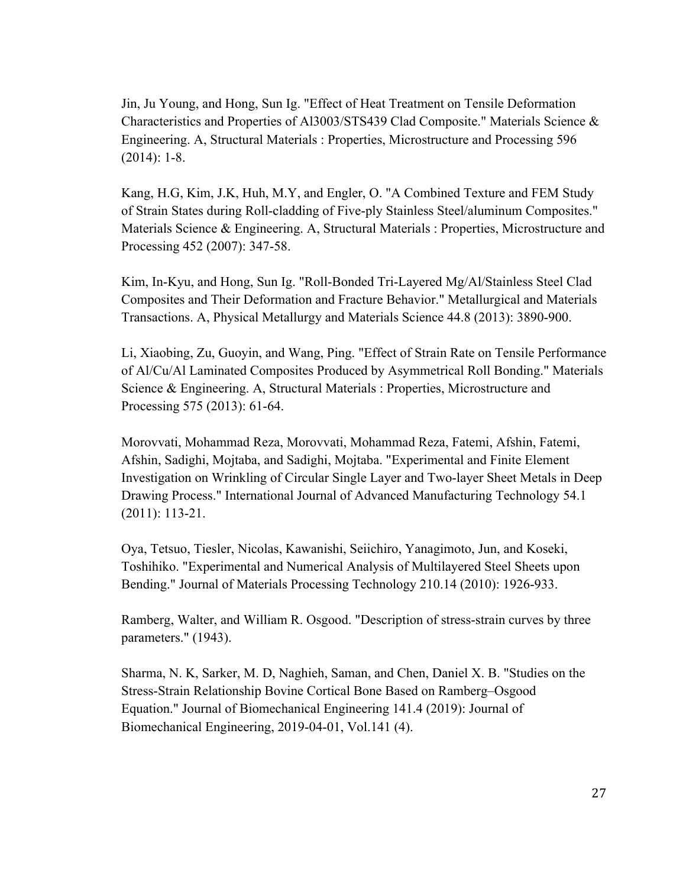Jin, Ju Young, and Hong, Sun Ig. "Effect of Heat Treatment on Tensile Deformation Characteristics and Properties of Al3003/STS439 Clad Composite." Materials Science & Engineering. A, Structural Materials : Properties, Microstructure and Processing 596 (2014): 1-8.

Kang, H.G, Kim, J.K, Huh, M.Y, and Engler, O. "A Combined Texture and FEM Study of Strain States during Roll-cladding of Five-ply Stainless Steel/aluminum Composites." Materials Science & Engineering. A, Structural Materials : Properties, Microstructure and Processing 452 (2007): 347-58.

Kim, In-Kyu, and Hong, Sun Ig. "Roll-Bonded Tri-Layered Mg/Al/Stainless Steel Clad Composites and Their Deformation and Fracture Behavior." Metallurgical and Materials Transactions. A, Physical Metallurgy and Materials Science 44.8 (2013): 3890-900.

Li, Xiaobing, Zu, Guoyin, and Wang, Ping. "Effect of Strain Rate on Tensile Performance of Al/Cu/Al Laminated Composites Produced by Asymmetrical Roll Bonding." Materials Science & Engineering. A, Structural Materials : Properties, Microstructure and Processing 575 (2013): 61-64.

Morovvati, Mohammad Reza, Morovvati, Mohammad Reza, Fatemi, Afshin, Fatemi, Afshin, Sadighi, Mojtaba, and Sadighi, Mojtaba. "Experimental and Finite Element Investigation on Wrinkling of Circular Single Layer and Two-layer Sheet Metals in Deep Drawing Process." International Journal of Advanced Manufacturing Technology 54.1 (2011): 113-21.

Oya, Tetsuo, Tiesler, Nicolas, Kawanishi, Seiichiro, Yanagimoto, Jun, and Koseki, Toshihiko. "Experimental and Numerical Analysis of Multilayered Steel Sheets upon Bending." Journal of Materials Processing Technology 210.14 (2010): 1926-933.

Ramberg, Walter, and William R. Osgood. "Description of stress-strain curves by three parameters." (1943).

Sharma, N. K, Sarker, M. D, Naghieh, Saman, and Chen, Daniel X. B. "Studies on the Stress-Strain Relationship Bovine Cortical Bone Based on Ramberg–Osgood Equation." Journal of Biomechanical Engineering 141.4 (2019): Journal of Biomechanical Engineering, 2019-04-01, Vol.141 (4).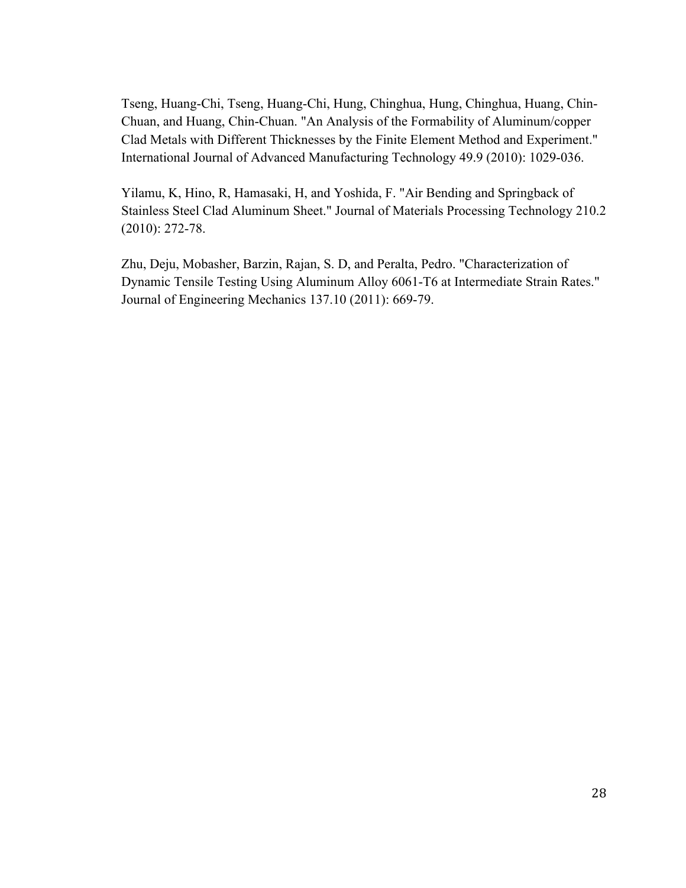Tseng, Huang-Chi, Tseng, Huang-Chi, Hung, Chinghua, Hung, Chinghua, Huang, Chin-Chuan, and Huang, Chin-Chuan. "An Analysis of the Formability of Aluminum/copper Clad Metals with Different Thicknesses by the Finite Element Method and Experiment." International Journal of Advanced Manufacturing Technology 49.9 (2010): 1029-036.

Yilamu, K, Hino, R, Hamasaki, H, and Yoshida, F. "Air Bending and Springback of Stainless Steel Clad Aluminum Sheet." Journal of Materials Processing Technology 210.2 (2010): 272-78.

Zhu, Deju, Mobasher, Barzin, Rajan, S. D, and Peralta, Pedro. "Characterization of Dynamic Tensile Testing Using Aluminum Alloy 6061-T6 at Intermediate Strain Rates." Journal of Engineering Mechanics 137.10 (2011): 669-79.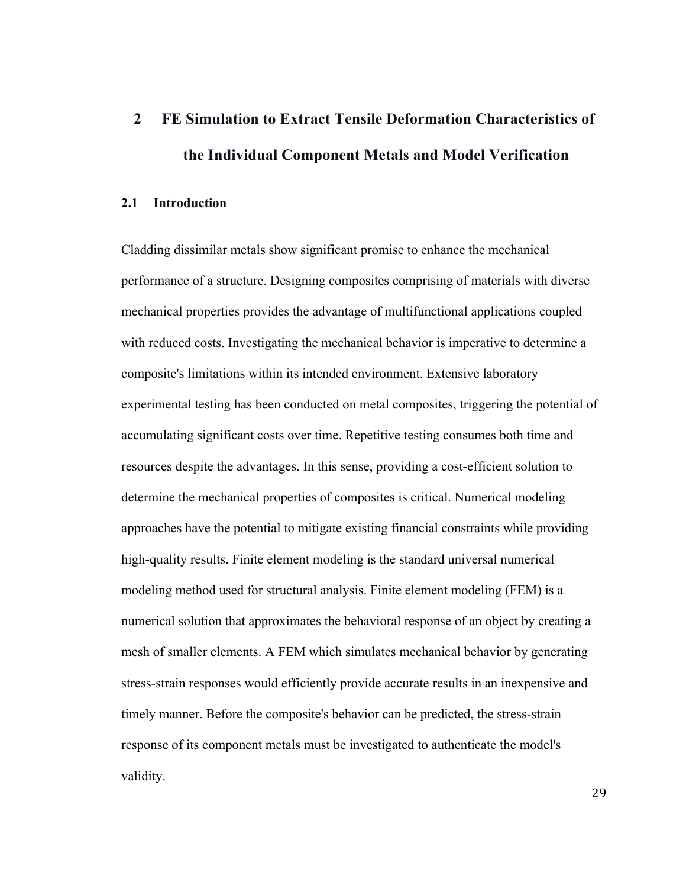# **2 FE Simulation to Extract Tensile Deformation Characteristics of the Individual Component Metals and Model Verification**

## **2.1 Introduction**

Cladding dissimilar metals show significant promise to enhance the mechanical performance of a structure. Designing composites comprising of materials with diverse mechanical properties provides the advantage of multifunctional applications coupled with reduced costs. Investigating the mechanical behavior is imperative to determine a composite's limitations within its intended environment. Extensive laboratory experimental testing has been conducted on metal composites, triggering the potential of accumulating significant costs over time. Repetitive testing consumes both time and resources despite the advantages. In this sense, providing a cost-efficient solution to determine the mechanical properties of composites is critical. Numerical modeling approaches have the potential to mitigate existing financial constraints while providing high-quality results. Finite element modeling is the standard universal numerical modeling method used for structural analysis. Finite element modeling (FEM) is a numerical solution that approximates the behavioral response of an object by creating a mesh of smaller elements. A FEM which simulates mechanical behavior by generating stress-strain responses would efficiently provide accurate results in an inexpensive and timely manner. Before the composite's behavior can be predicted, the stress-strain response of its component metals must be investigated to authenticate the model's validity.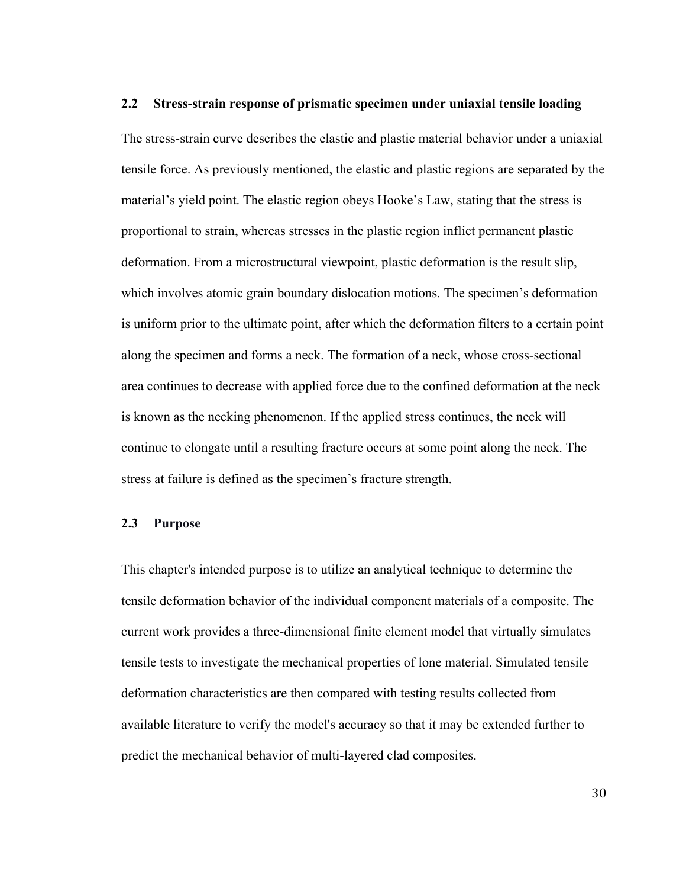#### **2.2 Stress-strain response of prismatic specimen under uniaxial tensile loading**

The stress-strain curve describes the elastic and plastic material behavior under a uniaxial tensile force. As previously mentioned, the elastic and plastic regions are separated by the material's yield point. The elastic region obeys Hooke's Law, stating that the stress is proportional to strain, whereas stresses in the plastic region inflict permanent plastic deformation. From a microstructural viewpoint, plastic deformation is the result slip, which involves atomic grain boundary dislocation motions. The specimen's deformation is uniform prior to the ultimate point, after which the deformation filters to a certain point along the specimen and forms a neck. The formation of a neck, whose cross-sectional area continues to decrease with applied force due to the confined deformation at the neck is known as the necking phenomenon. If the applied stress continues, the neck will continue to elongate until a resulting fracture occurs at some point along the neck. The stress at failure is defined as the specimen's fracture strength.

#### **2.3 Purpose**

This chapter's intended purpose is to utilize an analytical technique to determine the tensile deformation behavior of the individual component materials of a composite. The current work provides a three-dimensional finite element model that virtually simulates tensile tests to investigate the mechanical properties of lone material. Simulated tensile deformation characteristics are then compared with testing results collected from available literature to verify the model's accuracy so that it may be extended further to predict the mechanical behavior of multi-layered clad composites.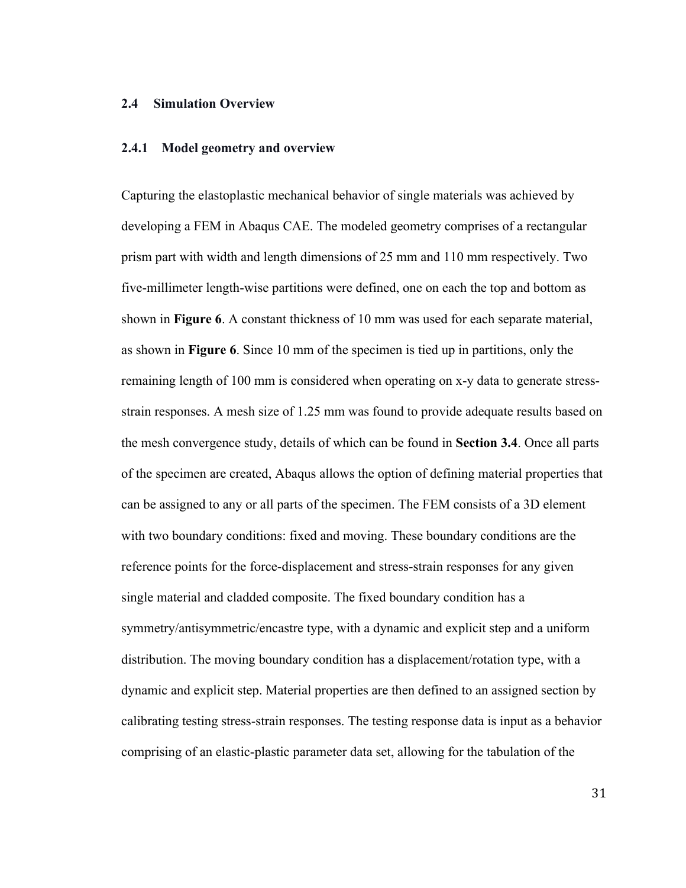#### **2.4 Simulation Overview**

#### **2.4.1 Model geometry and overview**

Capturing the elastoplastic mechanical behavior of single materials was achieved by developing a FEM in Abaqus CAE. The modeled geometry comprises of a rectangular prism part with width and length dimensions of 25 mm and 110 mm respectively. Two five-millimeter length-wise partitions were defined, one on each the top and bottom as shown in **Figure 6**. A constant thickness of 10 mm was used for each separate material, as shown in **Figure 6**. Since 10 mm of the specimen is tied up in partitions, only the remaining length of 100 mm is considered when operating on x-y data to generate stressstrain responses. A mesh size of 1.25 mm was found to provide adequate results based on the mesh convergence study, details of which can be found in **Section 3.4**. Once all parts of the specimen are created, Abaqus allows the option of defining material properties that can be assigned to any or all parts of the specimen. The FEM consists of a 3D element with two boundary conditions: fixed and moving. These boundary conditions are the reference points for the force-displacement and stress-strain responses for any given single material and cladded composite. The fixed boundary condition has a symmetry/antisymmetric/encastre type, with a dynamic and explicit step and a uniform distribution. The moving boundary condition has a displacement/rotation type, with a dynamic and explicit step. Material properties are then defined to an assigned section by calibrating testing stress-strain responses. The testing response data is input as a behavior comprising of an elastic-plastic parameter data set, allowing for the tabulation of the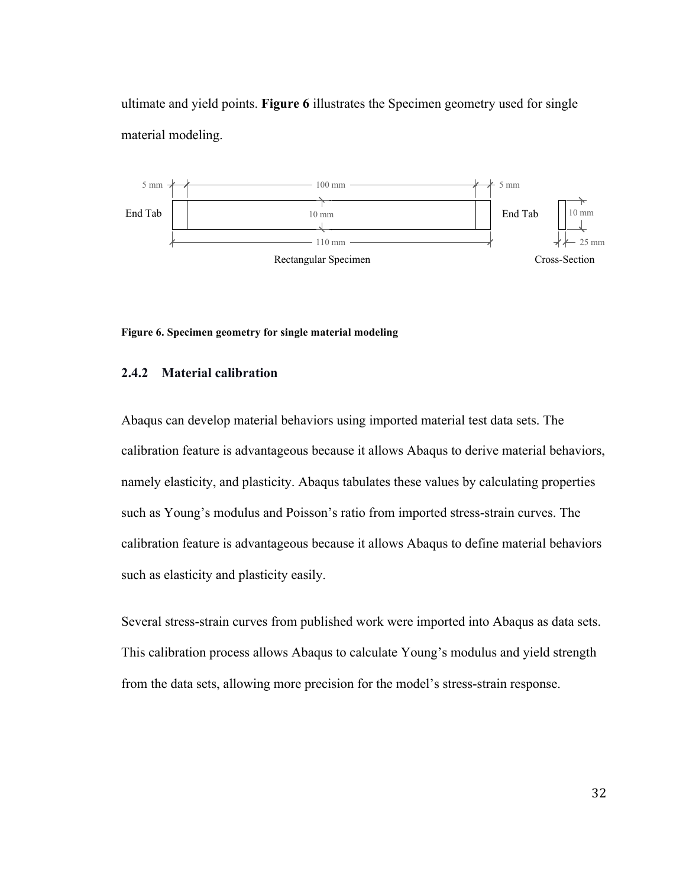ultimate and yield points. **Figure 6** illustrates the Specimen geometry used for single material modeling.



**Figure 6. Specimen geometry for single material modeling**

## **2.4.2 Material calibration**

Abaqus can develop material behaviors using imported material test data sets. The calibration feature is advantageous because it allows Abaqus to derive material behaviors, namely elasticity, and plasticity. Abaqus tabulates these values by calculating properties such as Young's modulus and Poisson's ratio from imported stress-strain curves. The calibration feature is advantageous because it allows Abaqus to define material behaviors such as elasticity and plasticity easily.

Several stress-strain curves from published work were imported into Abaqus as data sets. This calibration process allows Abaqus to calculate Young's modulus and yield strength from the data sets, allowing more precision for the model's stress-strain response.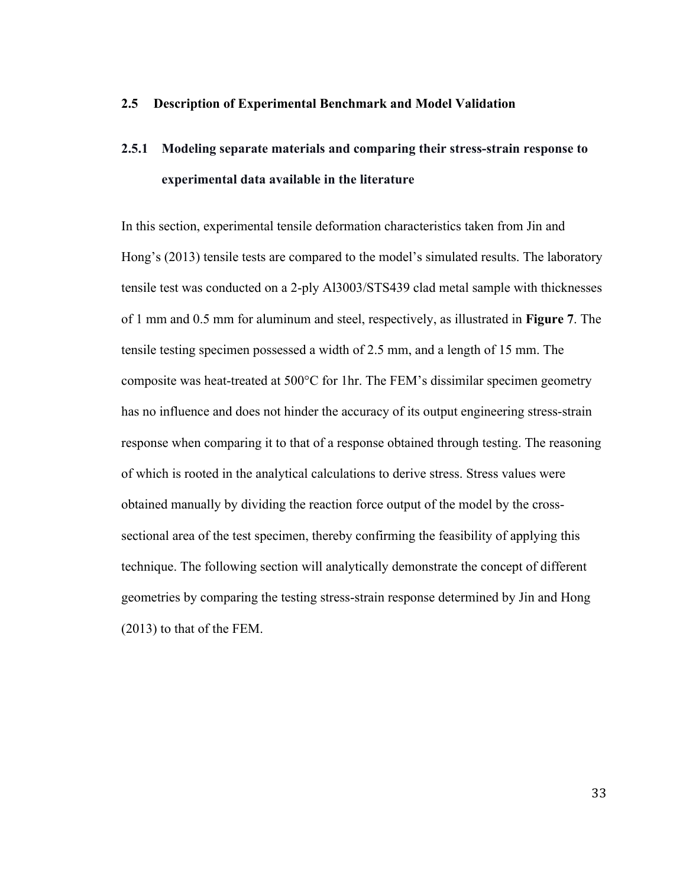## **2.5 Description of Experimental Benchmark and Model Validation**

# **2.5.1 Modeling separate materials and comparing their stress-strain response to experimental data available in the literature**

In this section, experimental tensile deformation characteristics taken from Jin and Hong's (2013) tensile tests are compared to the model's simulated results. The laboratory tensile test was conducted on a 2-ply Al3003/STS439 clad metal sample with thicknesses of 1 mm and 0.5 mm for aluminum and steel, respectively, as illustrated in **Figure 7**. The tensile testing specimen possessed a width of 2.5 mm, and a length of 15 mm. The composite was heat-treated at 500°C for 1hr. The FEM's dissimilar specimen geometry has no influence and does not hinder the accuracy of its output engineering stress-strain response when comparing it to that of a response obtained through testing. The reasoning of which is rooted in the analytical calculations to derive stress. Stress values were obtained manually by dividing the reaction force output of the model by the crosssectional area of the test specimen, thereby confirming the feasibility of applying this technique. The following section will analytically demonstrate the concept of different geometries by comparing the testing stress-strain response determined by Jin and Hong (2013) to that of the FEM.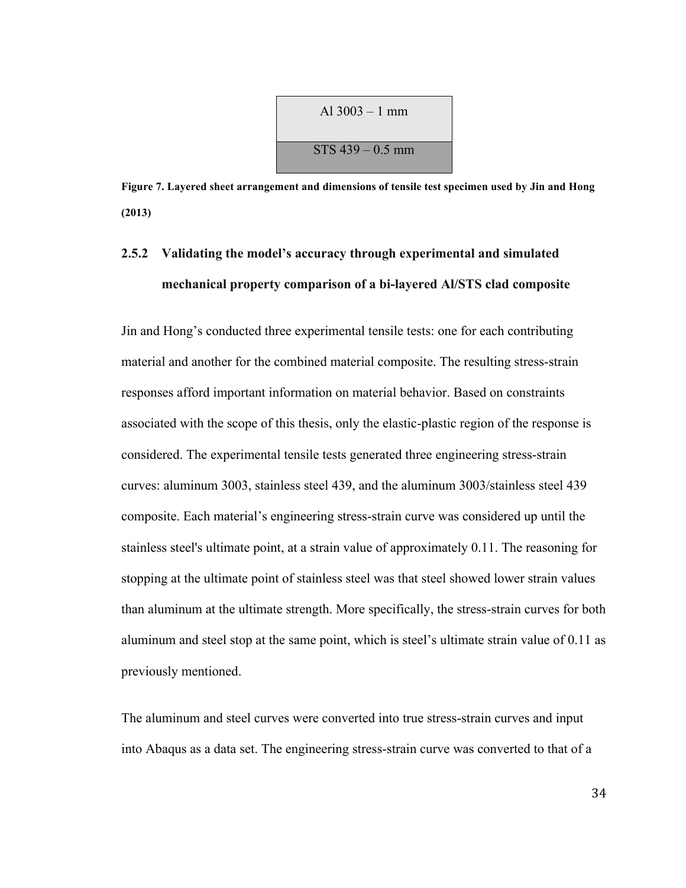$$
Al\ 3003 - 1 \text{ mm}
$$
  
STS 439 - 0.5 mm

**Figure 7. Layered sheet arrangement and dimensions of tensile test specimen used by Jin and Hong (2013)**

## **2.5.2 Validating the model's accuracy through experimental and simulated mechanical property comparison of a bi-layered Al/STS clad composite**

Jin and Hong's conducted three experimental tensile tests: one for each contributing material and another for the combined material composite. The resulting stress-strain responses afford important information on material behavior. Based on constraints associated with the scope of this thesis, only the elastic-plastic region of the response is considered. The experimental tensile tests generated three engineering stress-strain curves: aluminum 3003, stainless steel 439, and the aluminum 3003/stainless steel 439 composite. Each material's engineering stress-strain curve was considered up until the stainless steel's ultimate point, at a strain value of approximately 0.11. The reasoning for stopping at the ultimate point of stainless steel was that steel showed lower strain values than aluminum at the ultimate strength. More specifically, the stress-strain curves for both aluminum and steel stop at the same point, which is steel's ultimate strain value of 0.11 as previously mentioned.

The aluminum and steel curves were converted into true stress-strain curves and input into Abaqus as a data set. The engineering stress-strain curve was converted to that of a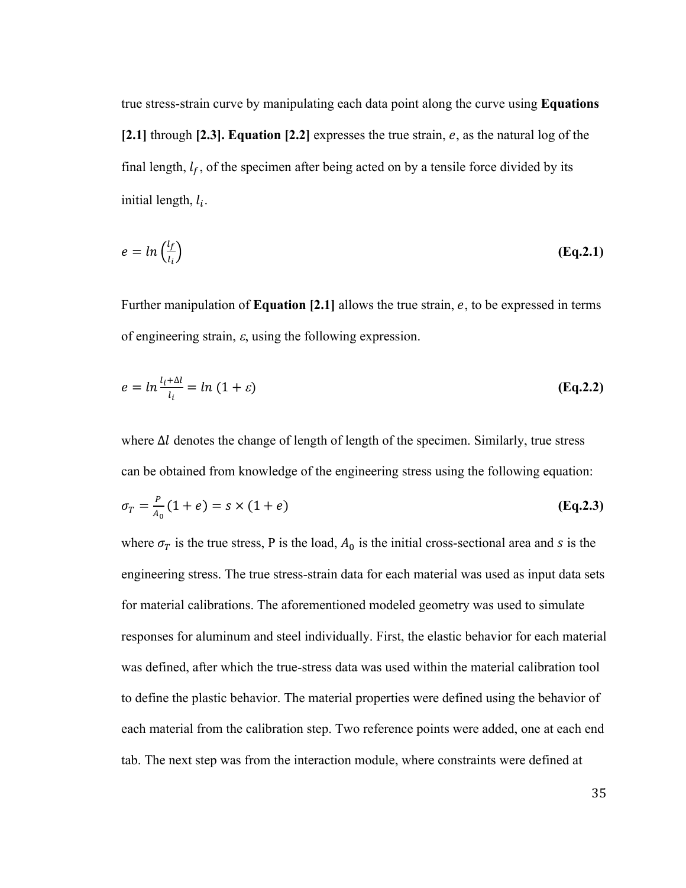true stress-strain curve by manipulating each data point along the curve using **Equations**   $[2.1]$  through  $[2.3]$ . **Equation**  $[2.2]$  expresses the true strain,  $e$ , as the natural log of the final length,  $l_f$ , of the specimen after being acted on by a tensile force divided by its initial length,  $l_i$ .

$$
e = \ln\left(\frac{l_f}{l_i}\right) \tag{Eq.2.1}
$$

Further manipulation of **Equation [2.1]** allows the true strain, e, to be expressed in terms of engineering strain,  $\varepsilon$ , using the following expression.

$$
e = \ln \frac{l_i + \Delta l}{l_i} = \ln (1 + \varepsilon) \tag{Eq.2.2}
$$

where  $\Delta l$  denotes the change of length of length of the specimen. Similarly, true stress can be obtained from knowledge of the engineering stress using the following equation:

$$
\sigma_T = \frac{P}{A_0} (1 + e) = s \times (1 + e)
$$
 (Eq.2.3)

where  $\sigma_T$  is the true stress, P is the load,  $A_0$  is the initial cross-sectional area and *s* is the engineering stress. The true stress-strain data for each material was used as input data sets for material calibrations. The aforementioned modeled geometry was used to simulate responses for aluminum and steel individually. First, the elastic behavior for each material was defined, after which the true-stress data was used within the material calibration tool to define the plastic behavior. The material properties were defined using the behavior of each material from the calibration step. Two reference points were added, one at each end tab. The next step was from the interaction module, where constraints were defined at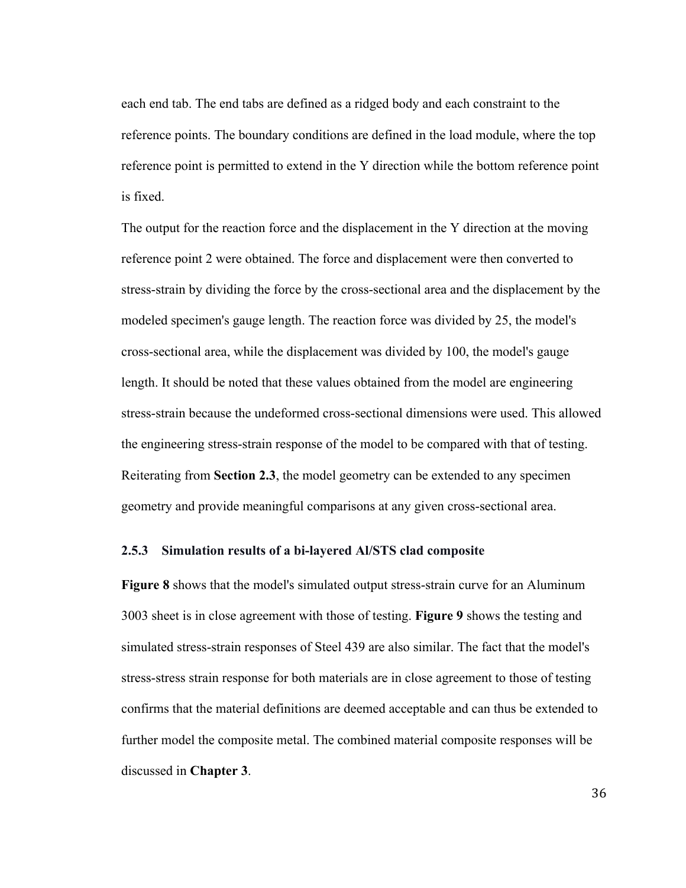each end tab. The end tabs are defined as a ridged body and each constraint to the reference points. The boundary conditions are defined in the load module, where the top reference point is permitted to extend in the Y direction while the bottom reference point is fixed.

The output for the reaction force and the displacement in the Y direction at the moving reference point 2 were obtained. The force and displacement were then converted to stress-strain by dividing the force by the cross-sectional area and the displacement by the modeled specimen's gauge length. The reaction force was divided by 25, the model's cross-sectional area, while the displacement was divided by 100, the model's gauge length. It should be noted that these values obtained from the model are engineering stress-strain because the undeformed cross-sectional dimensions were used. This allowed the engineering stress-strain response of the model to be compared with that of testing. Reiterating from **Section 2.3**, the model geometry can be extended to any specimen geometry and provide meaningful comparisons at any given cross-sectional area.

## **2.5.3 Simulation results of a bi-layered Al/STS clad composite**

**Figure 8** shows that the model's simulated output stress-strain curve for an Aluminum 3003 sheet is in close agreement with those of testing. **Figure 9** shows the testing and simulated stress-strain responses of Steel 439 are also similar. The fact that the model's stress-stress strain response for both materials are in close agreement to those of testing confirms that the material definitions are deemed acceptable and can thus be extended to further model the composite metal. The combined material composite responses will be discussed in **Chapter 3**.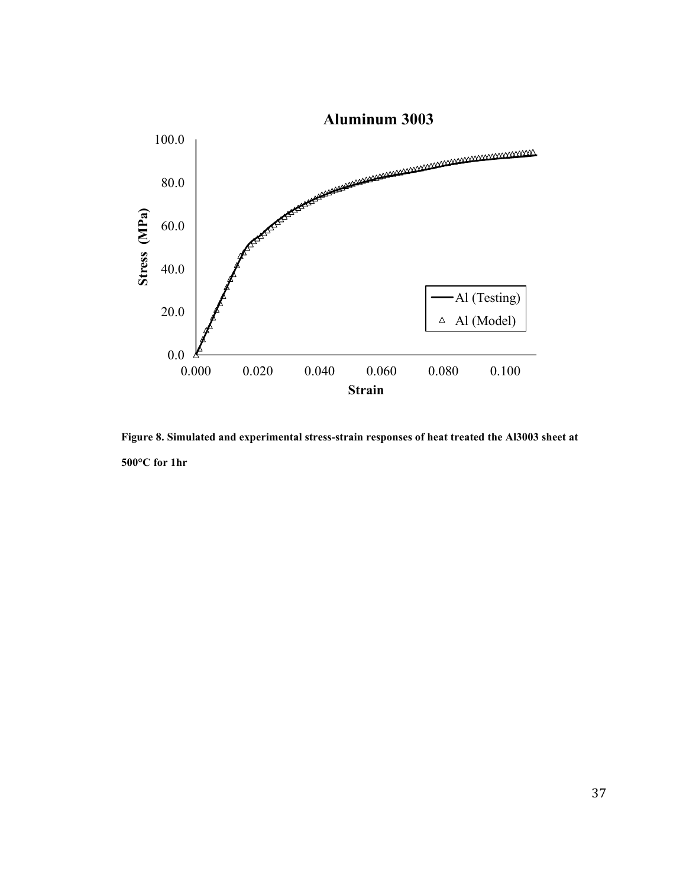

**Figure 8. Simulated and experimental stress-strain responses of heat treated the Al3003 sheet at 500°C for 1hr**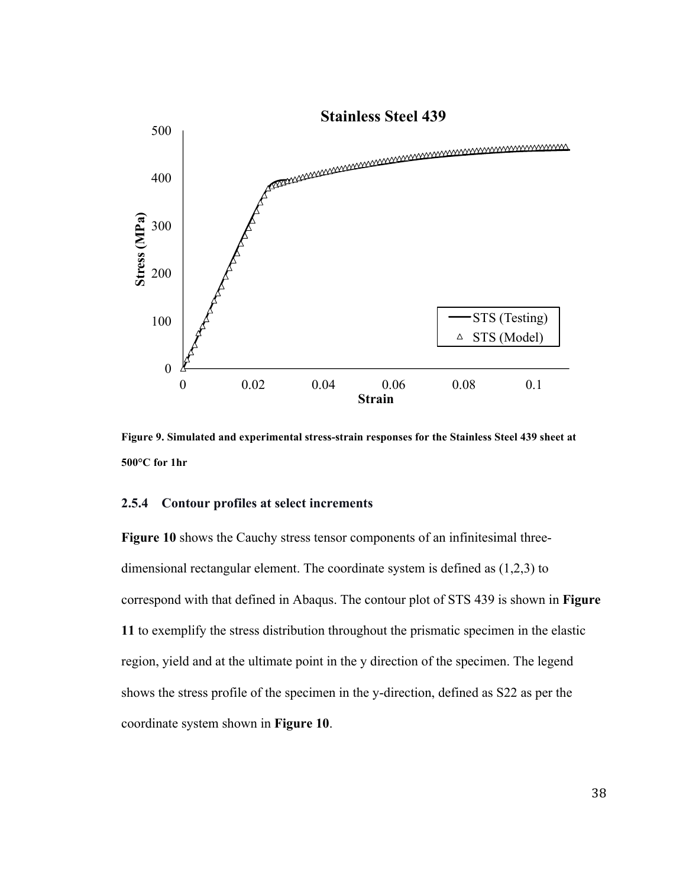

**Figure 9. Simulated and experimental stress-strain responses for the Stainless Steel 439 sheet at 500°C for 1hr**

### **2.5.4 Contour profiles at select increments**

**Figure 10** shows the Cauchy stress tensor components of an infinitesimal threedimensional rectangular element. The coordinate system is defined as (1,2,3) to correspond with that defined in Abaqus. The contour plot of STS 439 is shown in **Figure 11** to exemplify the stress distribution throughout the prismatic specimen in the elastic region, yield and at the ultimate point in the y direction of the specimen. The legend shows the stress profile of the specimen in the y-direction, defined as S22 as per the coordinate system shown in **Figure 10**.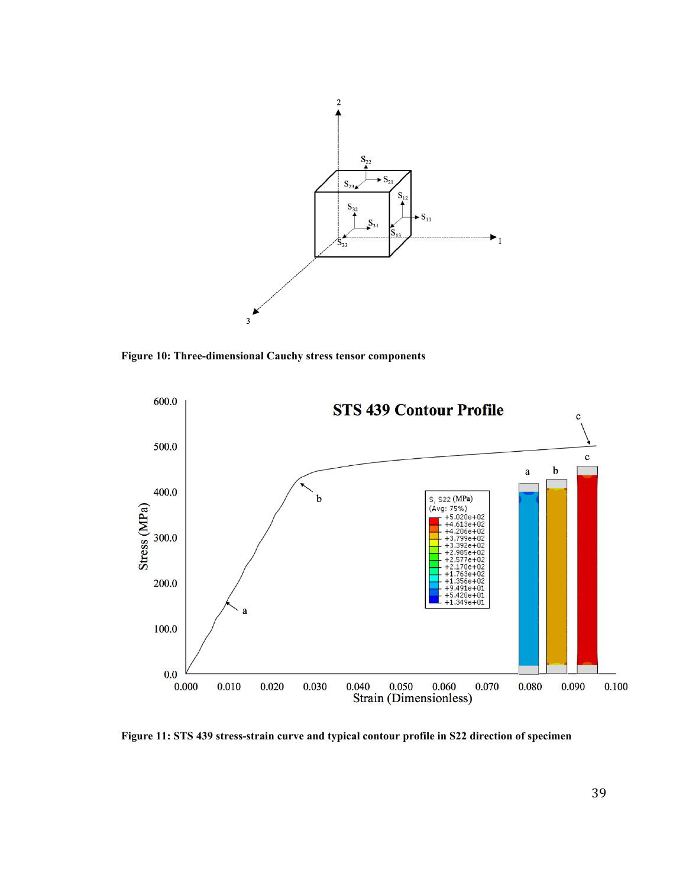

**Figure 10: Three-dimensional Cauchy stress tensor components**



**Figure 11: STS 439 stress-strain curve and typical contour profile in S22 direction of specimen**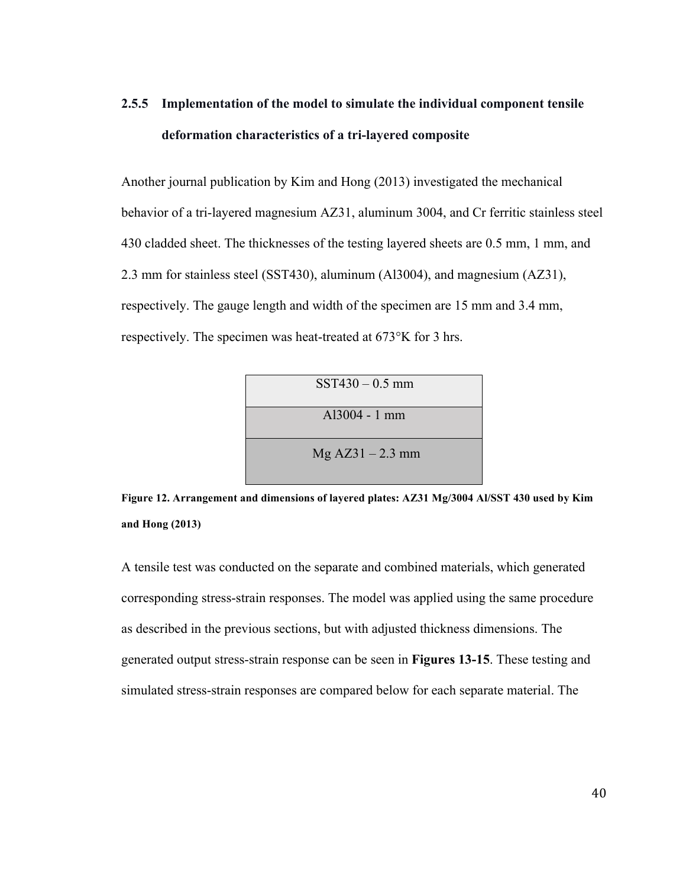## **2.5.5 Implementation of the model to simulate the individual component tensile deformation characteristics of a tri-layered composite**

Another journal publication by Kim and Hong (2013) investigated the mechanical behavior of a tri-layered magnesium AZ31, aluminum 3004, and Cr ferritic stainless steel 430 cladded sheet. The thicknesses of the testing layered sheets are 0.5 mm, 1 mm, and 2.3 mm for stainless steel (SST430), aluminum (Al3004), and magnesium (AZ31), respectively. The gauge length and width of the specimen are 15 mm and 3.4 mm, respectively. The specimen was heat-treated at 673°K for 3 hrs.



**Figure 12. Arrangement and dimensions of layered plates: AZ31 Mg/3004 Al/SST 430 used by Kim and Hong (2013)**

A tensile test was conducted on the separate and combined materials, which generated corresponding stress-strain responses. The model was applied using the same procedure as described in the previous sections, but with adjusted thickness dimensions. The generated output stress-strain response can be seen in **Figures 13-15**. These testing and simulated stress-strain responses are compared below for each separate material. The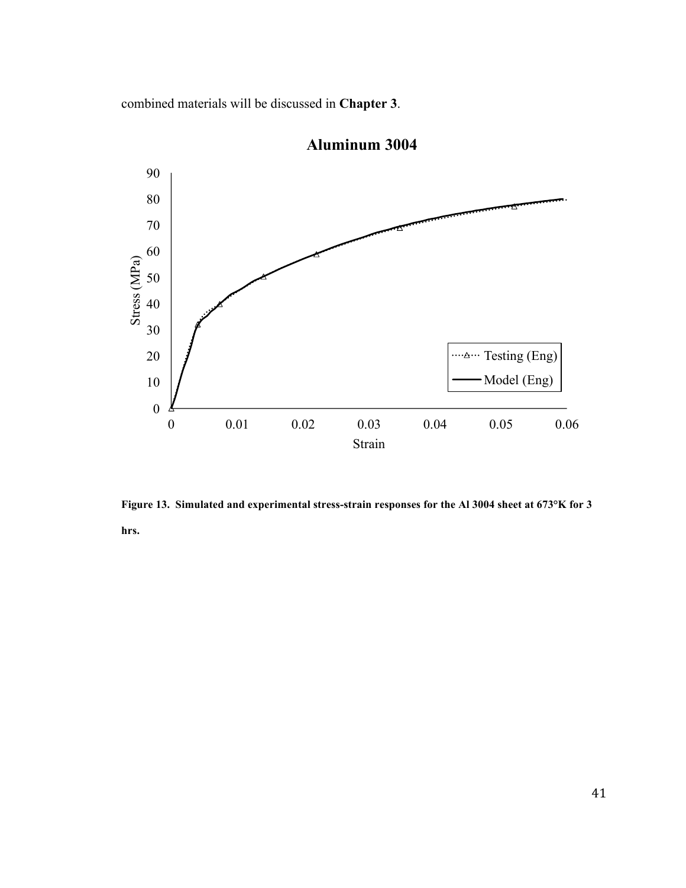combined materials will be discussed in **Chapter 3**.



**Aluminum 3004**

**Figure 13. Simulated and experimental stress-strain responses for the Al 3004 sheet at 673°K for 3 hrs.**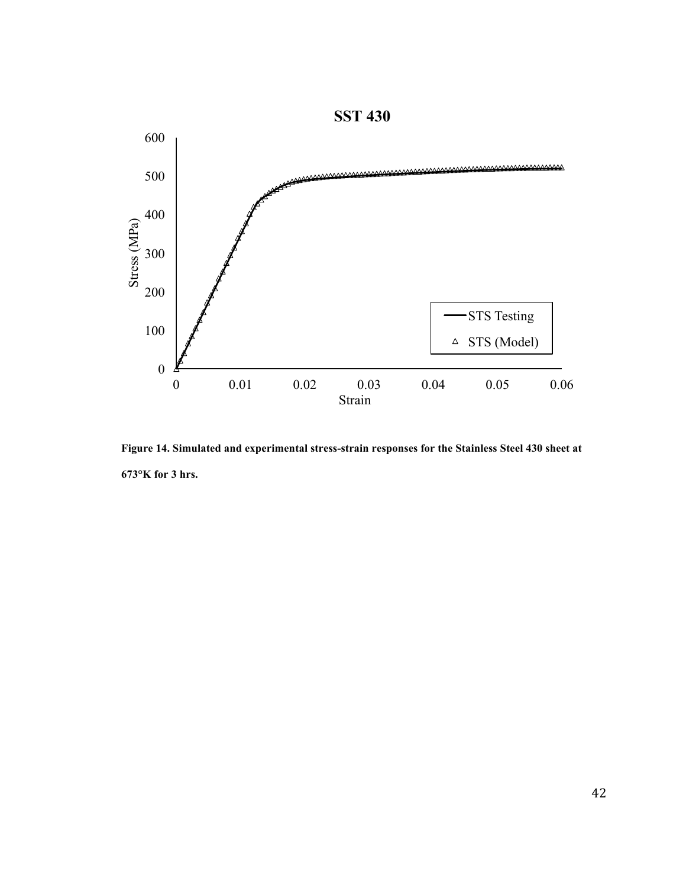

**Figure 14. Simulated and experimental stress-strain responses for the Stainless Steel 430 sheet at 673°K for 3 hrs.**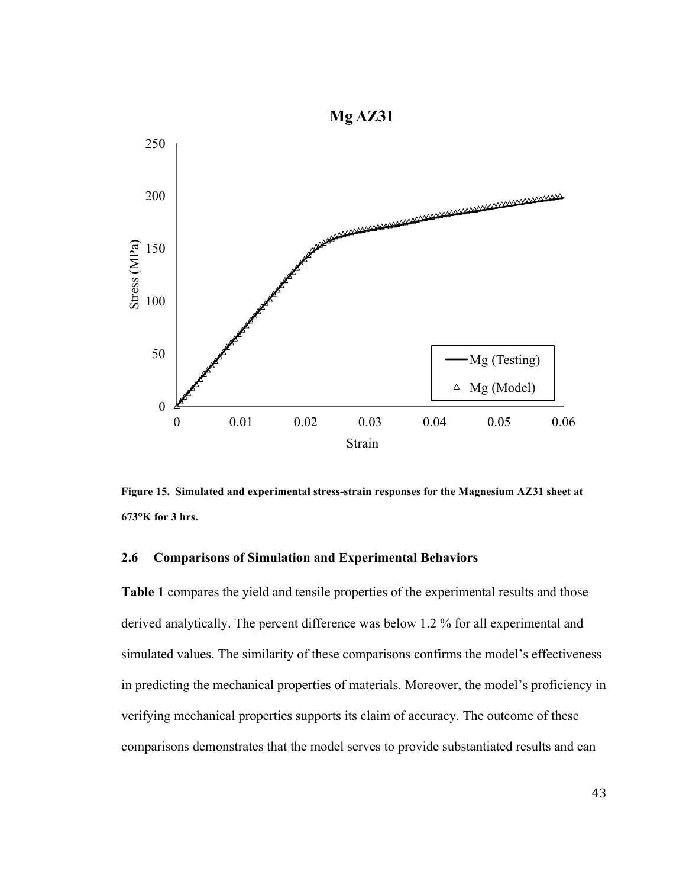

**Figure 15. Simulated and experimental stress-strain responses for the Magnesium AZ31 sheet at 673°K for 3 hrs.**

## **2.6 Comparisons of Simulation and Experimental Behaviors**

**Table 1** compares the yield and tensile properties of the experimental results and those derived analytically. The percent difference was below 1.2 % for all experimental and simulated values. The similarity of these comparisons confirms the model's effectiveness in predicting the mechanical properties of materials. Moreover, the model's proficiency in verifying mechanical properties supports its claim of accuracy. The outcome of these comparisons demonstrates that the model serves to provide substantiated results and can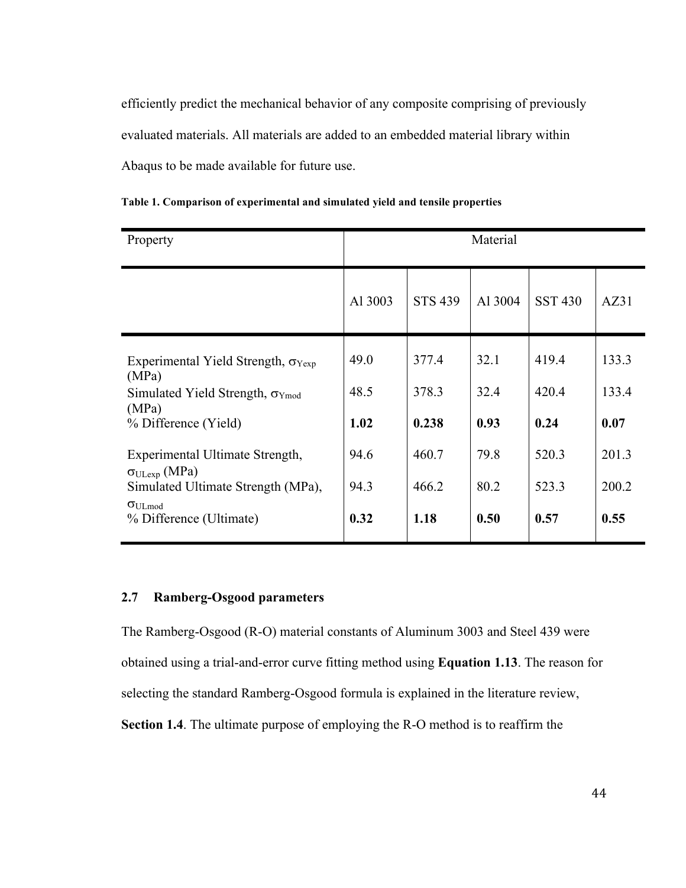efficiently predict the mechanical behavior of any composite comprising of previously evaluated materials. All materials are added to an embedded material library within Abaqus to be made available for future use.

| Property                                                                                                                            | Material             |                         |                      |                        |                        |  |
|-------------------------------------------------------------------------------------------------------------------------------------|----------------------|-------------------------|----------------------|------------------------|------------------------|--|
|                                                                                                                                     | Al 3003              | <b>STS 439</b>          | Al 3004              | <b>SST 430</b>         | AZ31                   |  |
| Experimental Yield Strength, $\sigma_{Yexn}$<br>(MPa)<br>Simulated Yield Strength, $\sigma_{Ymod}$<br>(MPa)<br>% Difference (Yield) | 49.0<br>48.5<br>1.02 | 377.4<br>378.3<br>0.238 | 32.1<br>32.4<br>0.93 | 419.4<br>420.4<br>0.24 | 133.3<br>133.4<br>0.07 |  |
| Experimental Ultimate Strength,<br>$\sigma_{ULexp}$ (MPa)<br>Simulated Ultimate Strength (MPa),                                     | 94.6<br>94.3         | 460.7<br>466.2          | 79.8<br>80.2         | 520.3<br>523.3         | 201.3<br>200.2         |  |
| $\sigma_{\text{ULmod}}$<br>% Difference (Ultimate)                                                                                  | 0.32                 | 1.18                    | 0.50                 | 0.57                   | 0.55                   |  |

**Table 1. Comparison of experimental and simulated yield and tensile properties**

## **2.7 Ramberg-Osgood parameters**

The Ramberg-Osgood (R-O) material constants of Aluminum 3003 and Steel 439 were obtained using a trial-and-error curve fitting method using **Equation 1.13**. The reason for selecting the standard Ramberg-Osgood formula is explained in the literature review, **Section 1.4**. The ultimate purpose of employing the R-O method is to reaffirm the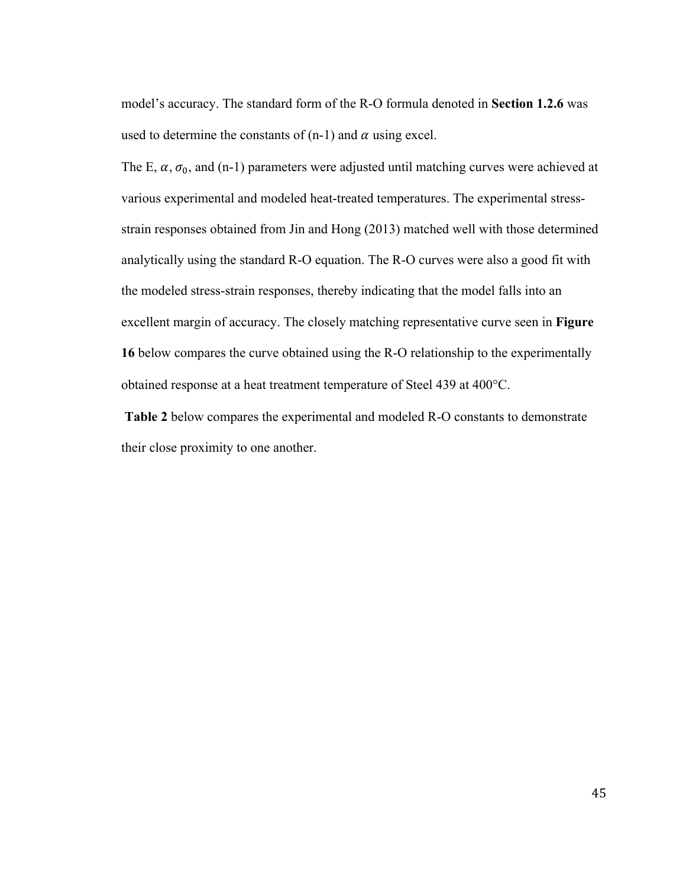model's accuracy. The standard form of the R-O formula denoted in **Section 1.2.6** was used to determine the constants of  $(n-1)$  and  $\alpha$  using excel.

The E,  $\alpha$ ,  $\sigma_0$ , and (n-1) parameters were adjusted until matching curves were achieved at various experimental and modeled heat-treated temperatures. The experimental stressstrain responses obtained from Jin and Hong (2013) matched well with those determined analytically using the standard R-O equation. The R-O curves were also a good fit with the modeled stress-strain responses, thereby indicating that the model falls into an excellent margin of accuracy. The closely matching representative curve seen in **Figure 16** below compares the curve obtained using the R-O relationship to the experimentally obtained response at a heat treatment temperature of Steel 439 at 400°C.

**Table 2** below compares the experimental and modeled R-O constants to demonstrate their close proximity to one another.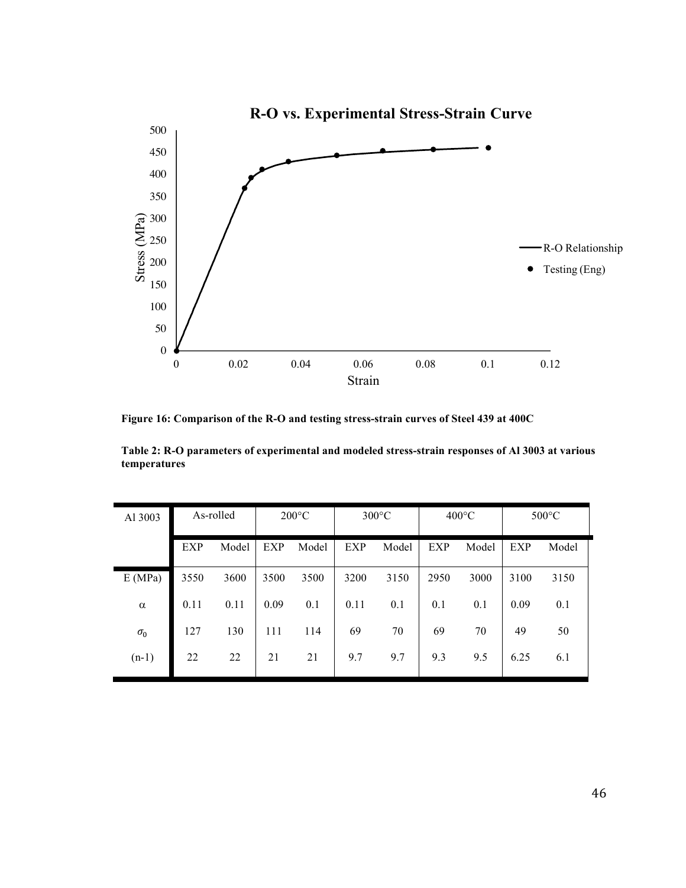

**Figure 16: Comparison of the R-O and testing stress-strain curves of Steel 439 at 400C**

**Table 2: R-O parameters of experimental and modeled stress-strain responses of Al 3003 at various temperatures**

| Al 3003    |            | As-rolled |            | $200^{\circ}$ C |            | $300^{\circ}$ C |      | $400^{\circ}$ C |            | $500^{\circ}$ C |
|------------|------------|-----------|------------|-----------------|------------|-----------------|------|-----------------|------------|-----------------|
|            | <b>EXP</b> | Model     | <b>EXP</b> | Model           | <b>EXP</b> | Model           | EXP  | Model           | <b>EXP</b> | Model           |
| E(MPa)     | 3550       | 3600      | 3500       | 3500            | 3200       | 3150            | 2950 | 3000            | 3100       | 3150            |
| $\alpha$   | 0.11       | 0.11      | 0.09       | 0.1             | 0.11       | 0.1             | 0.1  | 0.1             | 0.09       | 0.1             |
| $\sigma_0$ | 127        | 130       | 111        | 114             | 69         | 70              | 69   | 70              | 49         | 50              |
| $(n-1)$    | 22         | 22        | 21         | 21              | 9.7        | 9.7             | 9.3  | 9.5             | 6.25       | 6.1             |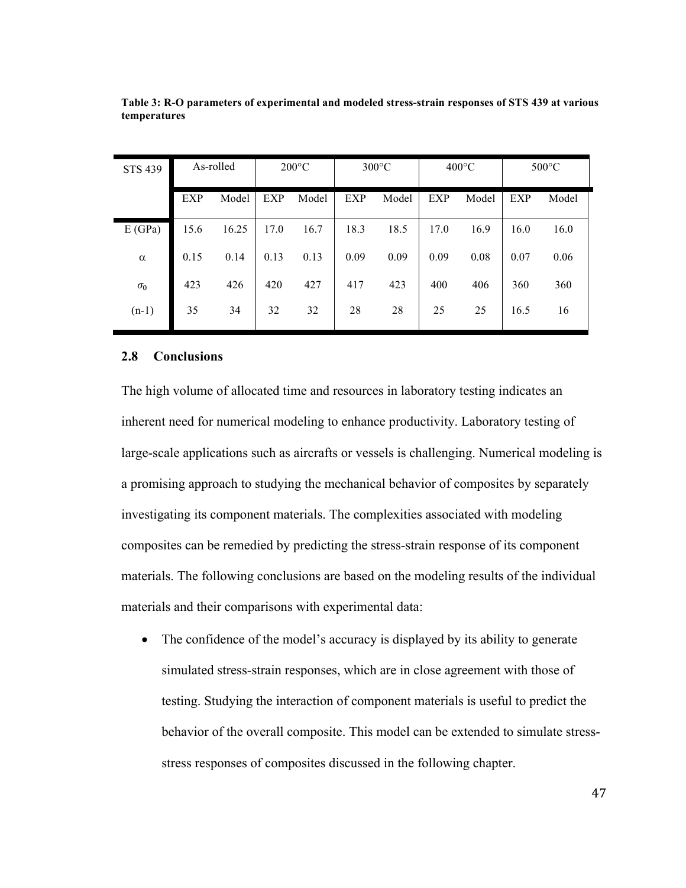| <b>STS 439</b> |            | As-rolled |            | $200^{\circ}$ C |            | $300^{\circ}$ C |      | $400^{\circ}$ C |      | $500^{\circ}$ C |
|----------------|------------|-----------|------------|-----------------|------------|-----------------|------|-----------------|------|-----------------|
|                | <b>EXP</b> | Model     | <b>EXP</b> | Model           | <b>EXP</b> | Model           | EXP  | Model           | EXP  | Model           |
| E(GPa)         | 15.6       | 16.25     | 17.0       | 16.7            | 18.3       | 18.5            | 17.0 | 16.9            | 16.0 | 16.0            |
| $\alpha$       | 0.15       | 0.14      | 0.13       | 0.13            | 0.09       | 0.09            | 0.09 | 0.08            | 0.07 | 0.06            |
| $\sigma_0$     | 423        | 426       | 420        | 427             | 417        | 423             | 400  | 406             | 360  | 360             |
| $(n-1)$        | 35         | 34        | 32         | 32              | 28         | 28              | 25   | 25              | 16.5 | 16              |

**Table 3: R-O parameters of experimental and modeled stress-strain responses of STS 439 at various temperatures**

#### **2.8 Conclusions**

The high volume of allocated time and resources in laboratory testing indicates an inherent need for numerical modeling to enhance productivity. Laboratory testing of large-scale applications such as aircrafts or vessels is challenging. Numerical modeling is a promising approach to studying the mechanical behavior of composites by separately investigating its component materials. The complexities associated with modeling composites can be remedied by predicting the stress-strain response of its component materials. The following conclusions are based on the modeling results of the individual materials and their comparisons with experimental data:

• The confidence of the model's accuracy is displayed by its ability to generate simulated stress-strain responses, which are in close agreement with those of testing. Studying the interaction of component materials is useful to predict the behavior of the overall composite. This model can be extended to simulate stressstress responses of composites discussed in the following chapter.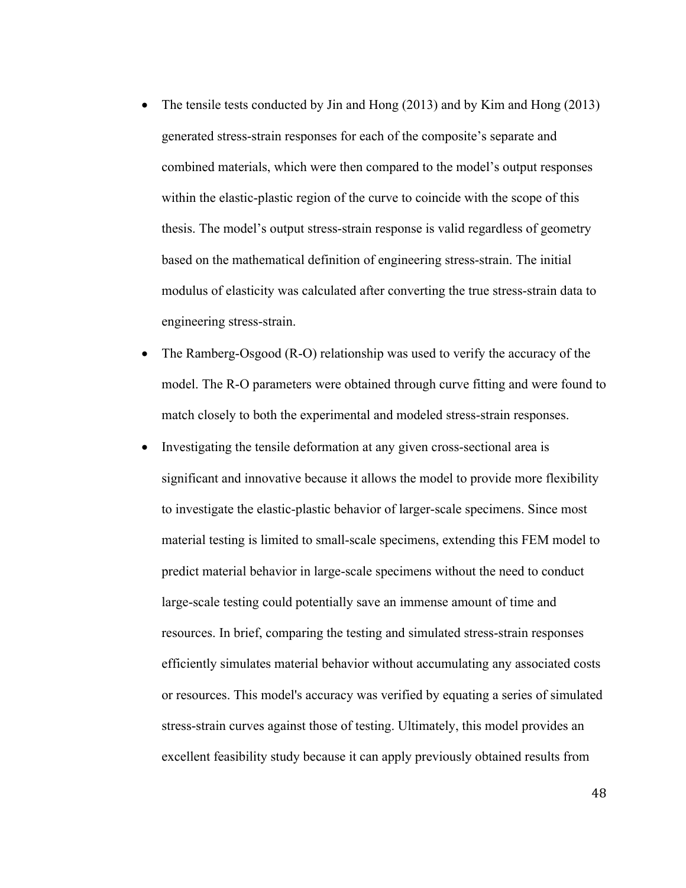- The tensile tests conducted by Jin and Hong (2013) and by Kim and Hong (2013) generated stress-strain responses for each of the composite's separate and combined materials, which were then compared to the model's output responses within the elastic-plastic region of the curve to coincide with the scope of this thesis. The model's output stress-strain response is valid regardless of geometry based on the mathematical definition of engineering stress-strain. The initial modulus of elasticity was calculated after converting the true stress-strain data to engineering stress-strain.
- The Ramberg-Osgood (R-O) relationship was used to verify the accuracy of the model. The R-O parameters were obtained through curve fitting and were found to match closely to both the experimental and modeled stress-strain responses.
- Investigating the tensile deformation at any given cross-sectional area is significant and innovative because it allows the model to provide more flexibility to investigate the elastic-plastic behavior of larger-scale specimens. Since most material testing is limited to small-scale specimens, extending this FEM model to predict material behavior in large-scale specimens without the need to conduct large-scale testing could potentially save an immense amount of time and resources. In brief, comparing the testing and simulated stress-strain responses efficiently simulates material behavior without accumulating any associated costs or resources. This model's accuracy was verified by equating a series of simulated stress-strain curves against those of testing. Ultimately, this model provides an excellent feasibility study because it can apply previously obtained results from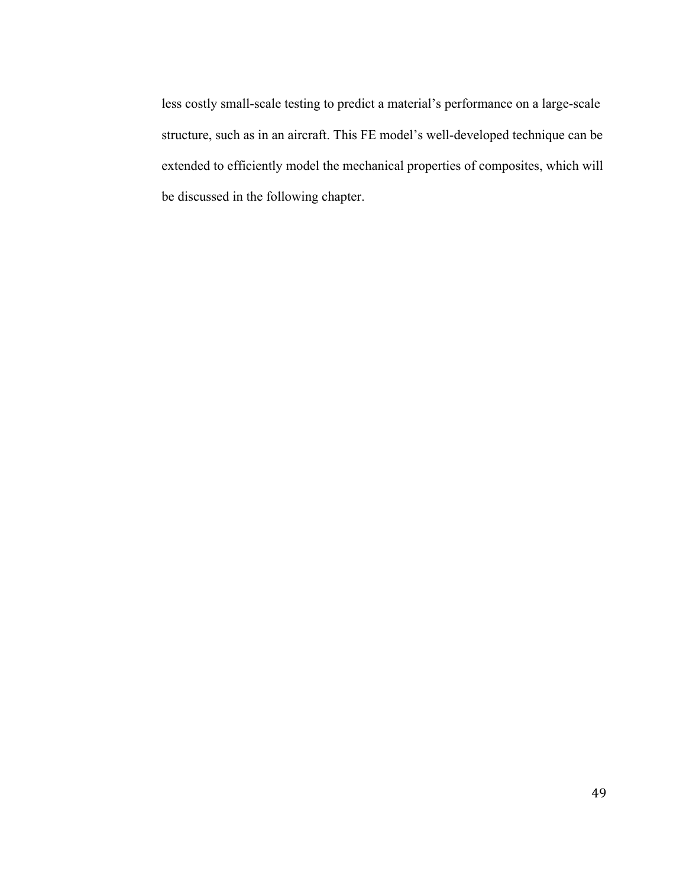less costly small-scale testing to predict a material's performance on a large-scale structure, such as in an aircraft. This FE model's well-developed technique can be extended to efficiently model the mechanical properties of composites, which will be discussed in the following chapter.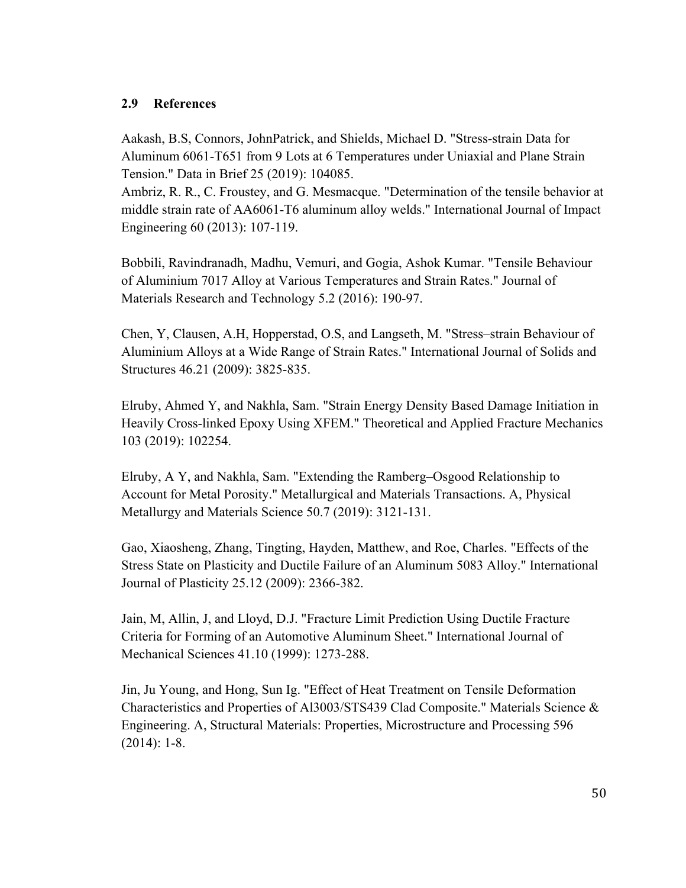## **2.9 References**

Aakash, B.S, Connors, JohnPatrick, and Shields, Michael D. "Stress-strain Data for Aluminum 6061-T651 from 9 Lots at 6 Temperatures under Uniaxial and Plane Strain Tension." Data in Brief 25 (2019): 104085.

Ambriz, R. R., C. Froustey, and G. Mesmacque. "Determination of the tensile behavior at middle strain rate of AA6061-T6 aluminum alloy welds." International Journal of Impact Engineering 60 (2013): 107-119.

Bobbili, Ravindranadh, Madhu, Vemuri, and Gogia, Ashok Kumar. "Tensile Behaviour of Aluminium 7017 Alloy at Various Temperatures and Strain Rates." Journal of Materials Research and Technology 5.2 (2016): 190-97.

Chen, Y, Clausen, A.H, Hopperstad, O.S, and Langseth, M. "Stress–strain Behaviour of Aluminium Alloys at a Wide Range of Strain Rates." International Journal of Solids and Structures 46.21 (2009): 3825-835.

Elruby, Ahmed Y, and Nakhla, Sam. "Strain Energy Density Based Damage Initiation in Heavily Cross-linked Epoxy Using XFEM." Theoretical and Applied Fracture Mechanics 103 (2019): 102254.

Elruby, A Y, and Nakhla, Sam. "Extending the Ramberg–Osgood Relationship to Account for Metal Porosity." Metallurgical and Materials Transactions. A, Physical Metallurgy and Materials Science 50.7 (2019): 3121-131.

Gao, Xiaosheng, Zhang, Tingting, Hayden, Matthew, and Roe, Charles. "Effects of the Stress State on Plasticity and Ductile Failure of an Aluminum 5083 Alloy." International Journal of Plasticity 25.12 (2009): 2366-382.

Jain, M, Allin, J, and Lloyd, D.J. "Fracture Limit Prediction Using Ductile Fracture Criteria for Forming of an Automotive Aluminum Sheet." International Journal of Mechanical Sciences 41.10 (1999): 1273-288.

Jin, Ju Young, and Hong, Sun Ig. "Effect of Heat Treatment on Tensile Deformation Characteristics and Properties of Al3003/STS439 Clad Composite." Materials Science & Engineering. A, Structural Materials: Properties, Microstructure and Processing 596 (2014): 1-8.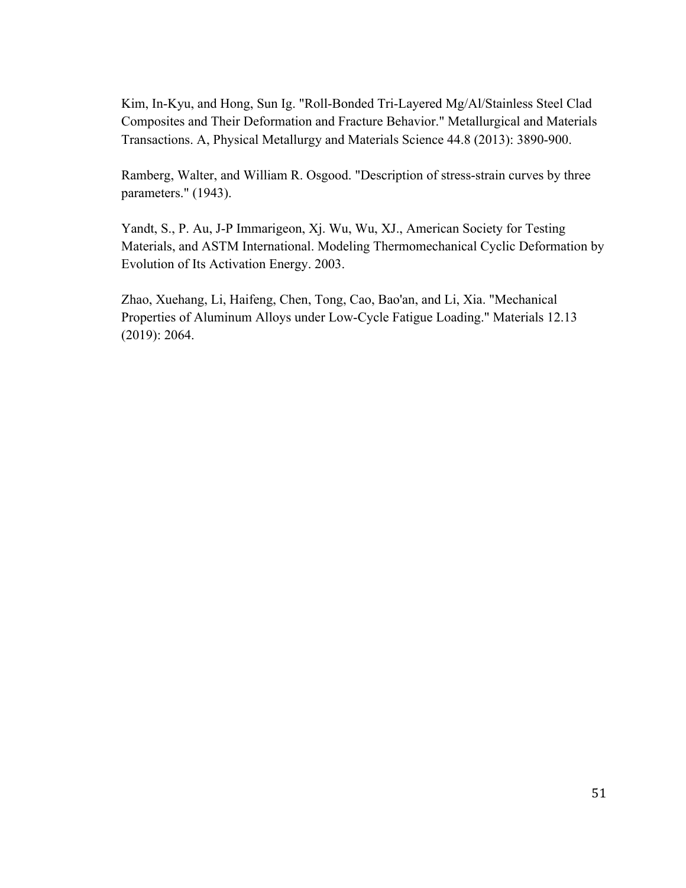Kim, In-Kyu, and Hong, Sun Ig. "Roll-Bonded Tri-Layered Mg/Al/Stainless Steel Clad Composites and Their Deformation and Fracture Behavior." Metallurgical and Materials Transactions. A, Physical Metallurgy and Materials Science 44.8 (2013): 3890-900.

Ramberg, Walter, and William R. Osgood. "Description of stress-strain curves by three parameters." (1943).

Yandt, S., P. Au, J-P Immarigeon, Xj. Wu, Wu, XJ., American Society for Testing Materials, and ASTM International. Modeling Thermomechanical Cyclic Deformation by Evolution of Its Activation Energy. 2003.

Zhao, Xuehang, Li, Haifeng, Chen, Tong, Cao, Bao'an, and Li, Xia. "Mechanical Properties of Aluminum Alloys under Low-Cycle Fatigue Loading." Materials 12.13 (2019): 2064.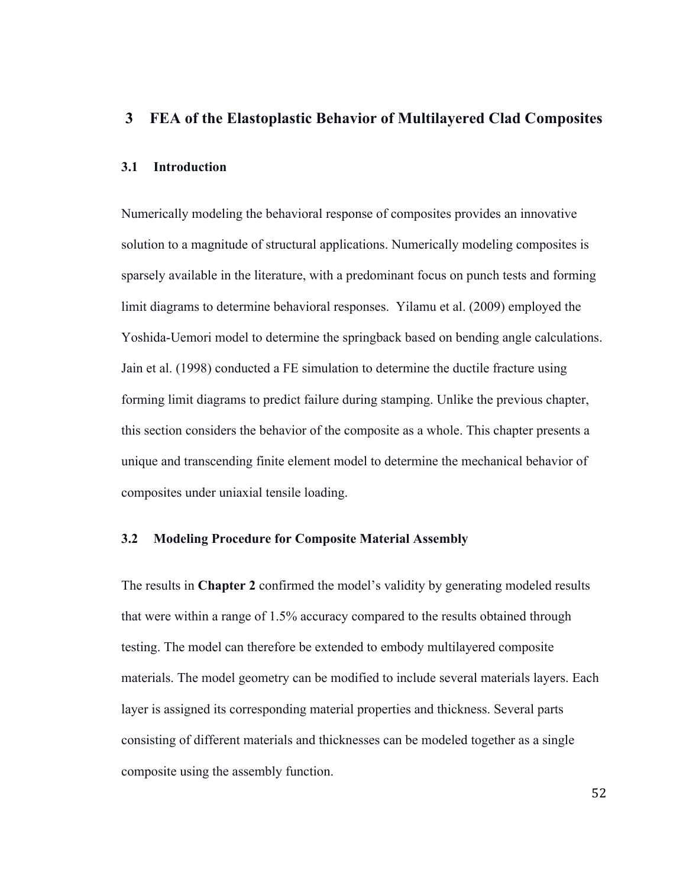## **3 FEA of the Elastoplastic Behavior of Multilayered Clad Composites**

## **3.1 Introduction**

Numerically modeling the behavioral response of composites provides an innovative solution to a magnitude of structural applications. Numerically modeling composites is sparsely available in the literature, with a predominant focus on punch tests and forming limit diagrams to determine behavioral responses. Yilamu et al. (2009) employed the Yoshida-Uemori model to determine the springback based on bending angle calculations. Jain et al. (1998) conducted a FE simulation to determine the ductile fracture using forming limit diagrams to predict failure during stamping. Unlike the previous chapter, this section considers the behavior of the composite as a whole. This chapter presents a unique and transcending finite element model to determine the mechanical behavior of composites under uniaxial tensile loading.

## **3.2 Modeling Procedure for Composite Material Assembly**

The results in **Chapter 2** confirmed the model's validity by generating modeled results that were within a range of 1.5% accuracy compared to the results obtained through testing. The model can therefore be extended to embody multilayered composite materials. The model geometry can be modified to include several materials layers. Each layer is assigned its corresponding material properties and thickness. Several parts consisting of different materials and thicknesses can be modeled together as a single composite using the assembly function.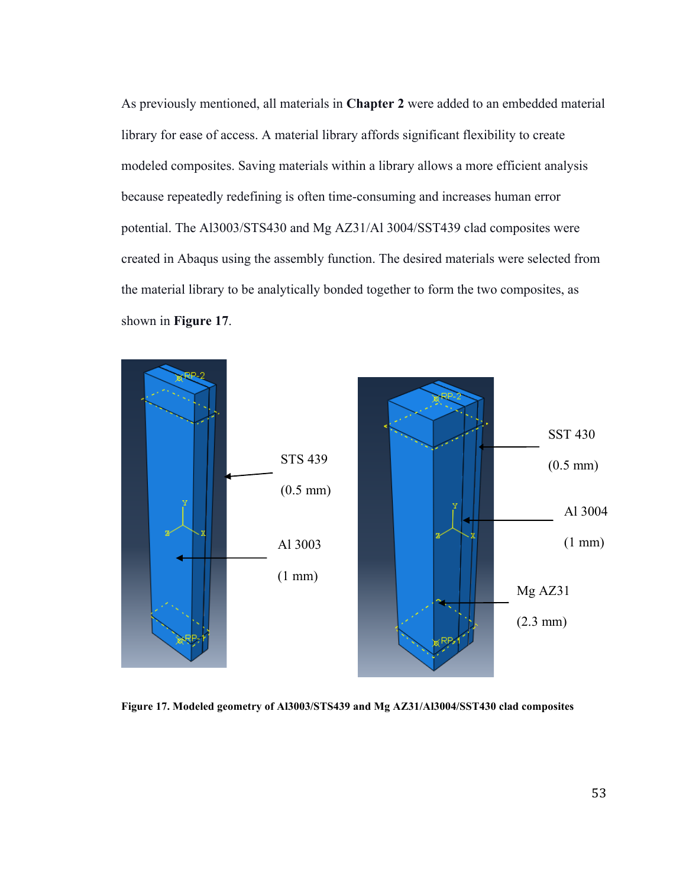As previously mentioned, all materials in **Chapter 2** were added to an embedded material library for ease of access. A material library affords significant flexibility to create modeled composites. Saving materials within a library allows a more efficient analysis because repeatedly redefining is often time-consuming and increases human error potential. The Al3003/STS430 and Mg AZ31/Al 3004/SST439 clad composites were created in Abaqus using the assembly function. The desired materials were selected from the material library to be analytically bonded together to form the two composites, as shown in **Figure 17**.



**Figure 17. Modeled geometry of Al3003/STS439 and Mg AZ31/Al3004/SST430 clad composites**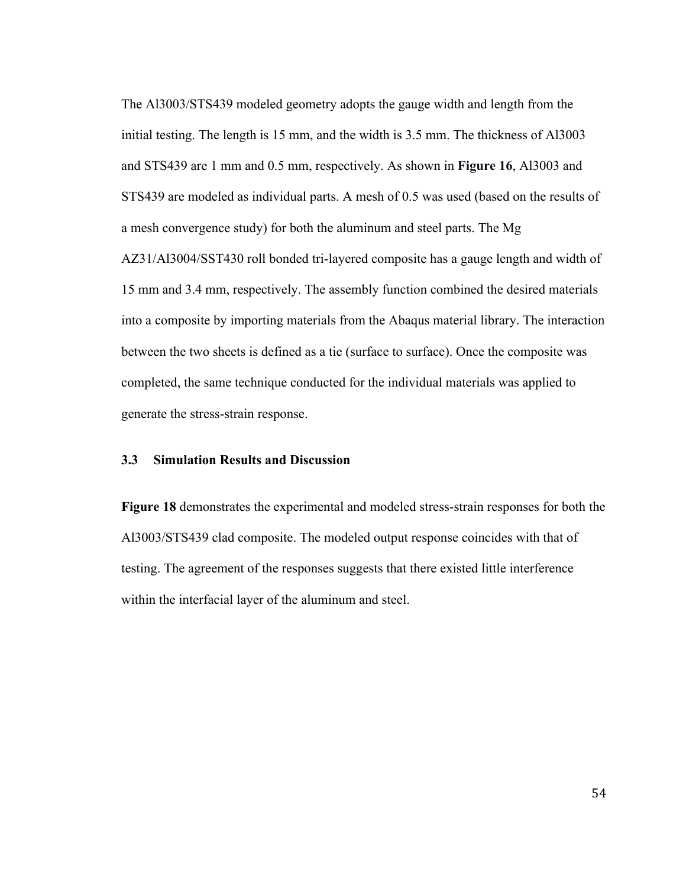The Al3003/STS439 modeled geometry adopts the gauge width and length from the initial testing. The length is 15 mm, and the width is 3.5 mm. The thickness of Al3003 and STS439 are 1 mm and 0.5 mm, respectively. As shown in **Figure 16**, Al3003 and STS439 are modeled as individual parts. A mesh of 0.5 was used (based on the results of a mesh convergence study) for both the aluminum and steel parts. The Mg AZ31/Al3004/SST430 roll bonded tri-layered composite has a gauge length and width of 15 mm and 3.4 mm, respectively. The assembly function combined the desired materials into a composite by importing materials from the Abaqus material library. The interaction between the two sheets is defined as a tie (surface to surface). Once the composite was completed, the same technique conducted for the individual materials was applied to generate the stress-strain response.

### **3.3 Simulation Results and Discussion**

**Figure 18** demonstrates the experimental and modeled stress-strain responses for both the Al3003/STS439 clad composite. The modeled output response coincides with that of testing. The agreement of the responses suggests that there existed little interference within the interfacial layer of the aluminum and steel.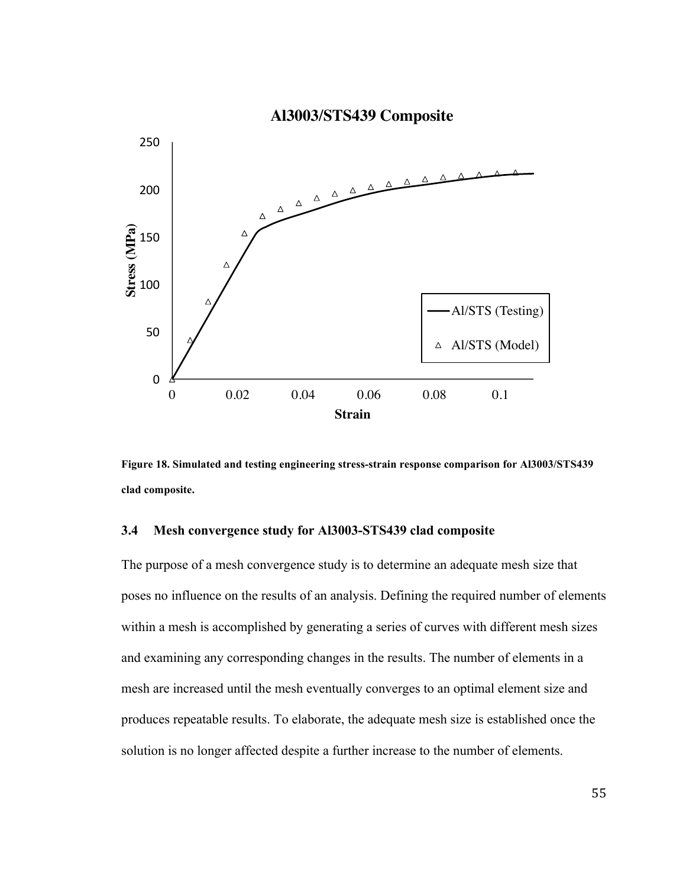

**Figure 18. Simulated and testing engineering stress-strain response comparison for Al3003/STS439 clad composite.**

## **3.4 Mesh convergence study for Al3003-STS439 clad composite**

The purpose of a mesh convergence study is to determine an adequate mesh size that poses no influence on the results of an analysis. Defining the required number of elements within a mesh is accomplished by generating a series of curves with different mesh sizes and examining any corresponding changes in the results. The number of elements in a mesh are increased until the mesh eventually converges to an optimal element size and produces repeatable results. To elaborate, the adequate mesh size is established once the solution is no longer affected despite a further increase to the number of elements.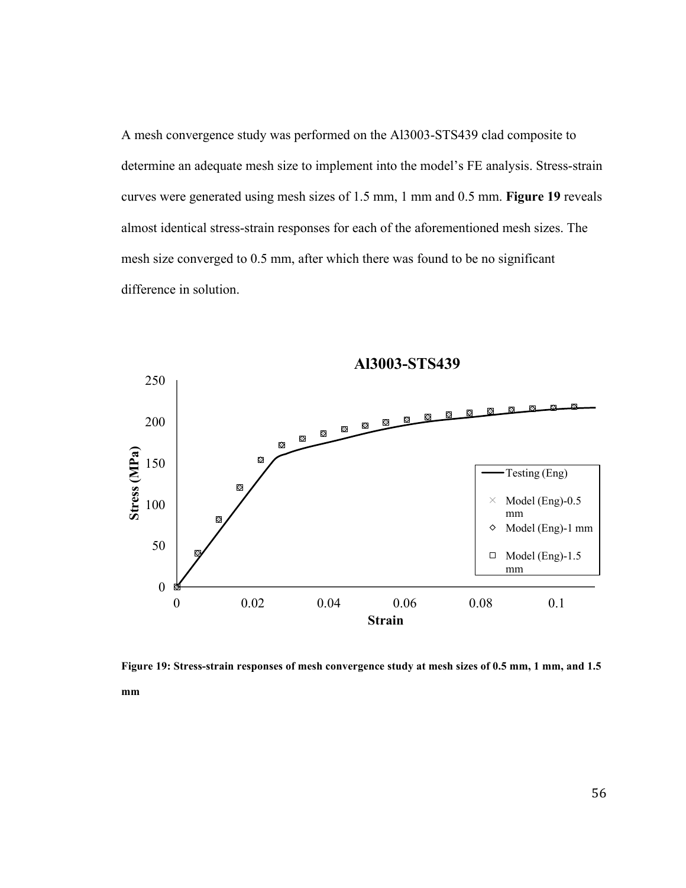A mesh convergence study was performed on the Al3003-STS439 clad composite to determine an adequate mesh size to implement into the model's FE analysis. Stress-strain curves were generated using mesh sizes of 1.5 mm, 1 mm and 0.5 mm. **Figure 19** reveals almost identical stress-strain responses for each of the aforementioned mesh sizes. The mesh size converged to 0.5 mm, after which there was found to be no significant difference in solution.



**Figure 19: Stress-strain responses of mesh convergence study at mesh sizes of 0.5 mm, 1 mm, and 1.5 mm**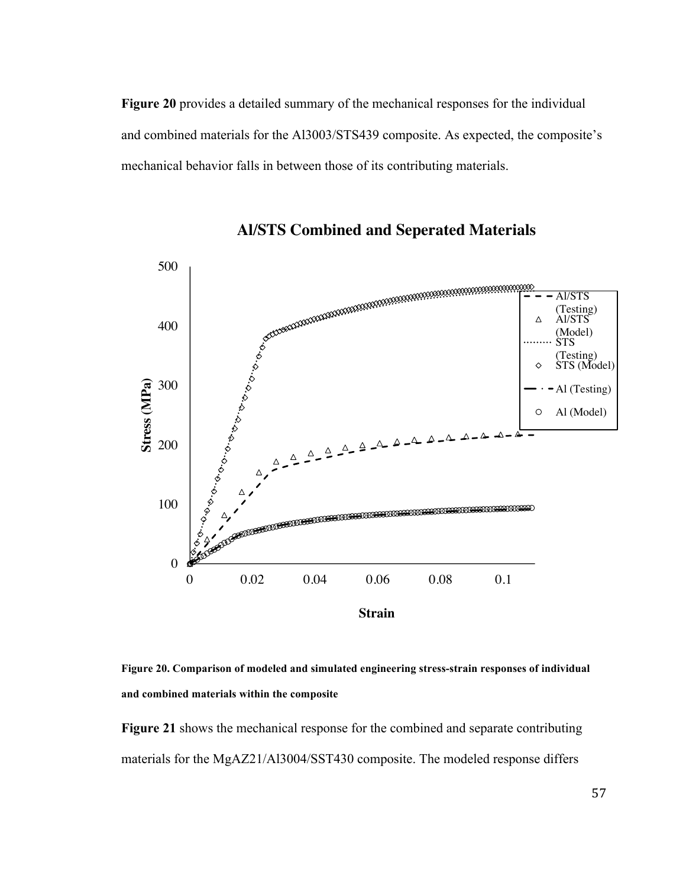**Figure 20** provides a detailed summary of the mechanical responses for the individual and combined materials for the Al3003/STS439 composite. As expected, the composite's mechanical behavior falls in between those of its contributing materials.



**Al/STS Combined and Seperated Materials**

**Figure 20. Comparison of modeled and simulated engineering stress-strain responses of individual and combined materials within the composite**

**Figure 21** shows the mechanical response for the combined and separate contributing materials for the MgAZ21/Al3004/SST430 composite. The modeled response differs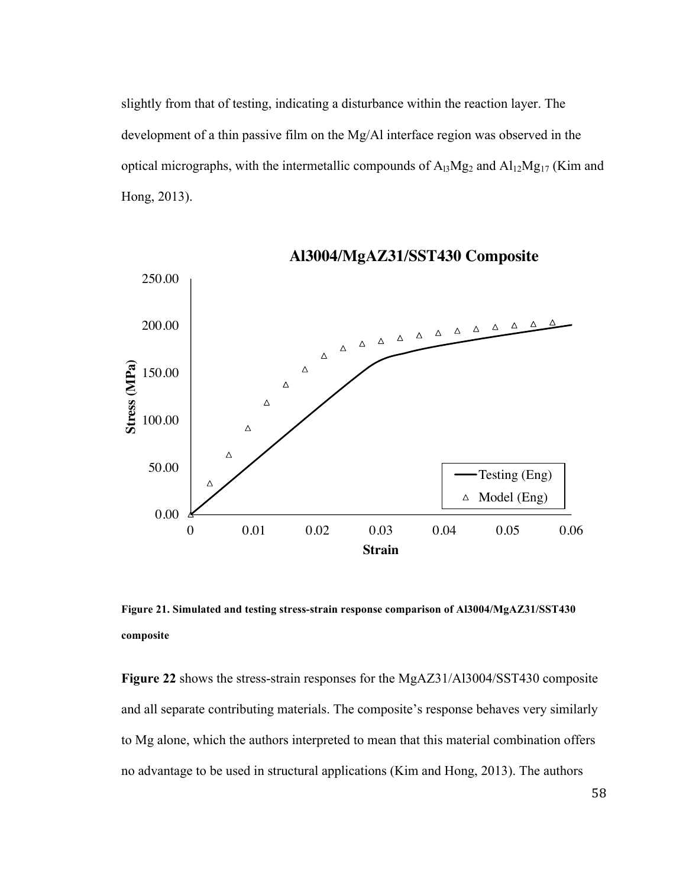slightly from that of testing, indicating a disturbance within the reaction layer. The development of a thin passive film on the Mg/Al interface region was observed in the optical micrographs, with the intermetallic compounds of  $A_{13}Mg_2$  and  $Al_{12}Mg_{17}$  (Kim and Hong, 2013).



**Al3004/MgAZ31/SST430 Composite**

**Figure 21. Simulated and testing stress-strain response comparison of Al3004/MgAZ31/SST430 composite**

**Figure 22** shows the stress-strain responses for the MgAZ31/Al3004/SST430 composite and all separate contributing materials. The composite's response behaves very similarly to Mg alone, which the authors interpreted to mean that this material combination offers no advantage to be used in structural applications (Kim and Hong, 2013). The authors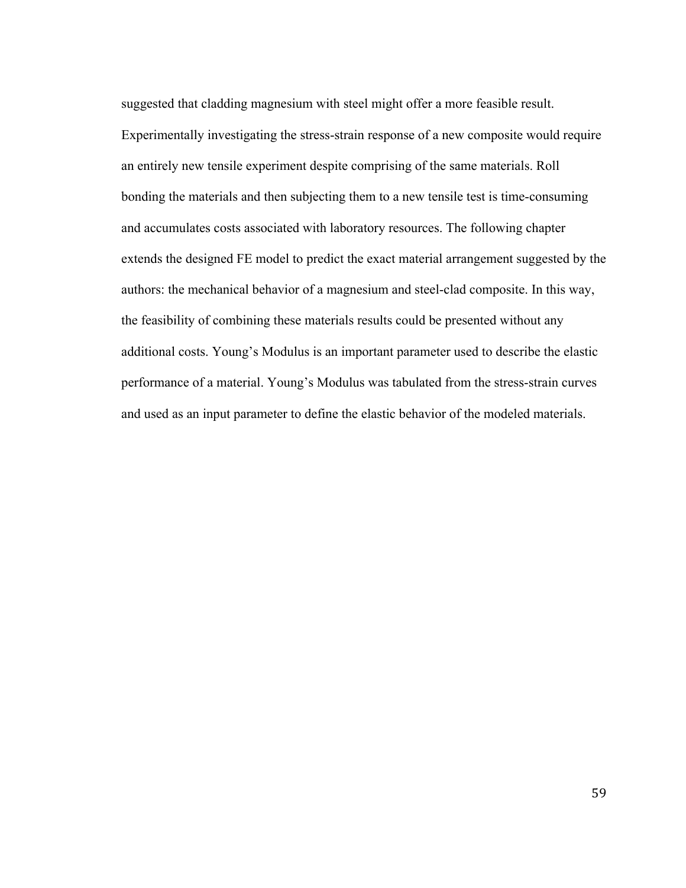suggested that cladding magnesium with steel might offer a more feasible result. Experimentally investigating the stress-strain response of a new composite would require an entirely new tensile experiment despite comprising of the same materials. Roll bonding the materials and then subjecting them to a new tensile test is time-consuming and accumulates costs associated with laboratory resources. The following chapter extends the designed FE model to predict the exact material arrangement suggested by the authors: the mechanical behavior of a magnesium and steel-clad composite. In this way, the feasibility of combining these materials results could be presented without any additional costs. Young's Modulus is an important parameter used to describe the elastic performance of a material. Young's Modulus was tabulated from the stress-strain curves and used as an input parameter to define the elastic behavior of the modeled materials.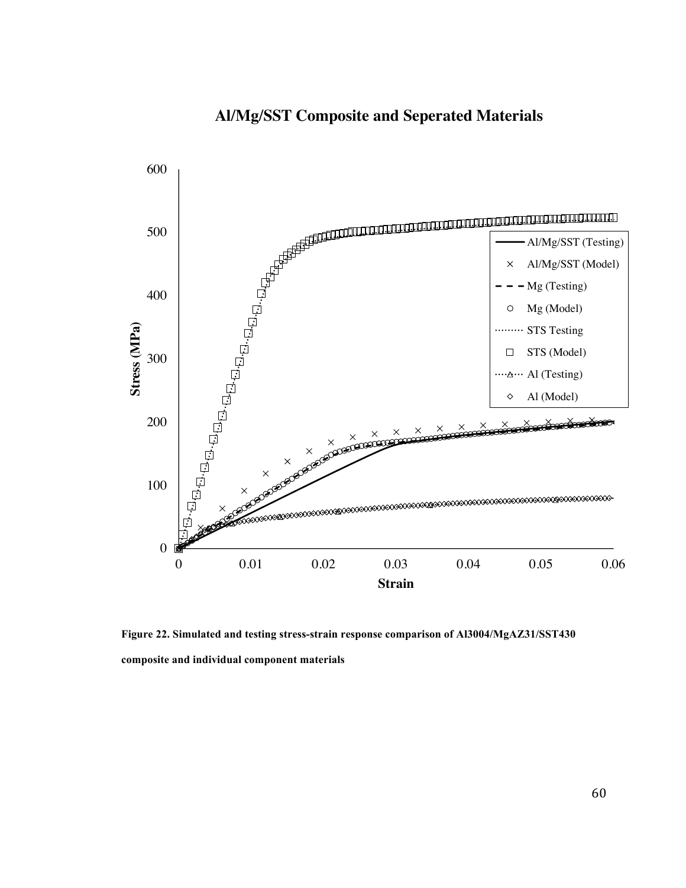## **Al/Mg/SST Composite and Seperated Materials**



**Figure 22. Simulated and testing stress-strain response comparison of Al3004/MgAZ31/SST430 composite and individual component materials**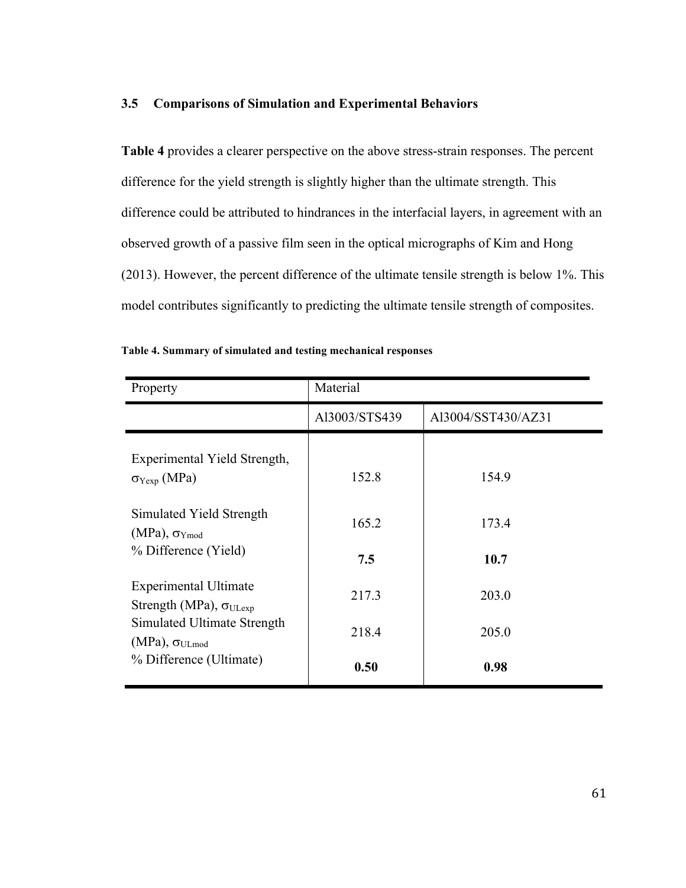## **3.5 Comparisons of Simulation and Experimental Behaviors**

**Table 4** provides a clearer perspective on the above stress-strain responses. The percent difference for the yield strength is slightly higher than the ultimate strength. This difference could be attributed to hindrances in the interfacial layers, in agreement with an observed growth of a passive film seen in the optical micrographs of Kim and Hong (2013). However, the percent difference of the ultimate tensile strength is below 1%. This model contributes significantly to predicting the ultimate tensile strength of composites.

| Property                                                         | Material      |                    |  |  |  |
|------------------------------------------------------------------|---------------|--------------------|--|--|--|
|                                                                  | Al3003/STS439 | Al3004/SST430/AZ31 |  |  |  |
| Experimental Yield Strength,<br>$\sigma_{Yexp}$ (MPa)            | 152.8         | 154.9              |  |  |  |
| Simulated Yield Strength<br>$(MPa)$ , $\sigma_{Ymod}$            | 165.2         | 173.4              |  |  |  |
| % Difference (Yield)                                             | 7.5           | 10.7               |  |  |  |
| <b>Experimental Ultimate</b><br>Strength (MPa), $\sigma_{ULexp}$ | 217.3         | 203.0              |  |  |  |
| Simulated Ultimate Strength<br>$(MPa)$ , $\sigma_{ULmod}$        | 218.4         | 205.0              |  |  |  |
| % Difference (Ultimate)                                          | 0.50          | 0.98               |  |  |  |

| Table 4. Summary of simulated and testing mechanical responses |  |  |  |  |  |  |
|----------------------------------------------------------------|--|--|--|--|--|--|
|----------------------------------------------------------------|--|--|--|--|--|--|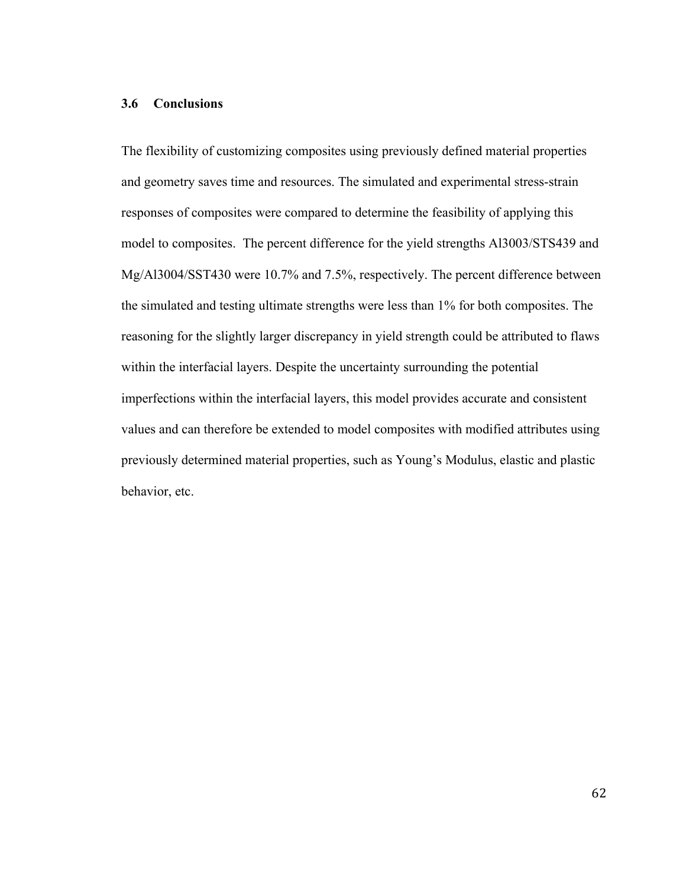### **3.6 Conclusions**

The flexibility of customizing composites using previously defined material properties and geometry saves time and resources. The simulated and experimental stress-strain responses of composites were compared to determine the feasibility of applying this model to composites. The percent difference for the yield strengths Al3003/STS439 and Mg/Al3004/SST430 were 10.7% and 7.5%, respectively. The percent difference between the simulated and testing ultimate strengths were less than 1% for both composites. The reasoning for the slightly larger discrepancy in yield strength could be attributed to flaws within the interfacial layers. Despite the uncertainty surrounding the potential imperfections within the interfacial layers, this model provides accurate and consistent values and can therefore be extended to model composites with modified attributes using previously determined material properties, such as Young's Modulus, elastic and plastic behavior, etc.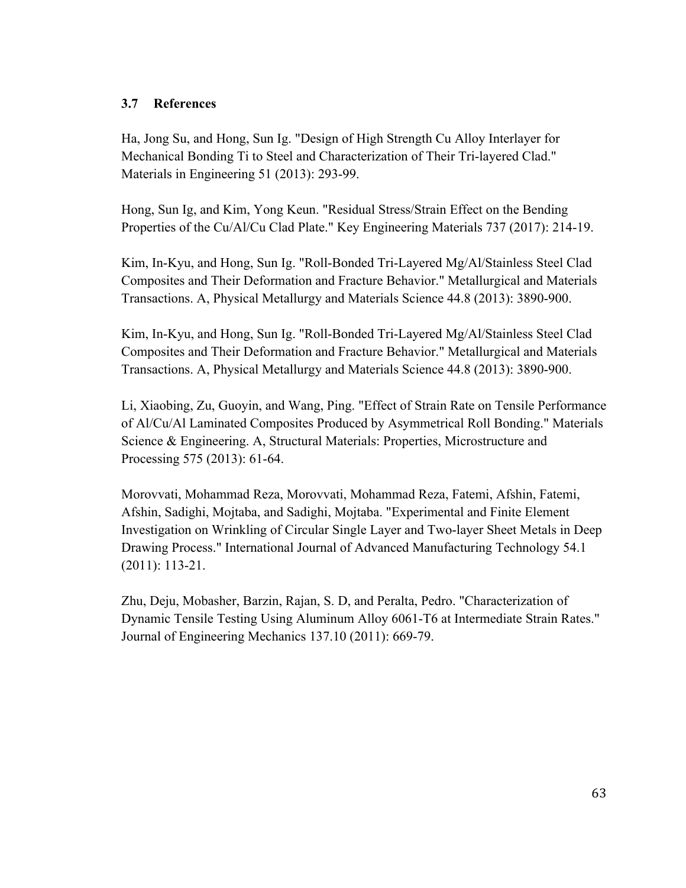# **3.7 References**

Ha, Jong Su, and Hong, Sun Ig. "Design of High Strength Cu Alloy Interlayer for Mechanical Bonding Ti to Steel and Characterization of Their Tri-layered Clad." Materials in Engineering 51 (2013): 293-99.

Hong, Sun Ig, and Kim, Yong Keun. "Residual Stress/Strain Effect on the Bending Properties of the Cu/Al/Cu Clad Plate." Key Engineering Materials 737 (2017): 214-19.

Kim, In-Kyu, and Hong, Sun Ig. "Roll-Bonded Tri-Layered Mg/Al/Stainless Steel Clad Composites and Their Deformation and Fracture Behavior." Metallurgical and Materials Transactions. A, Physical Metallurgy and Materials Science 44.8 (2013): 3890-900.

Kim, In-Kyu, and Hong, Sun Ig. "Roll-Bonded Tri-Layered Mg/Al/Stainless Steel Clad Composites and Their Deformation and Fracture Behavior." Metallurgical and Materials Transactions. A, Physical Metallurgy and Materials Science 44.8 (2013): 3890-900.

Li, Xiaobing, Zu, Guoyin, and Wang, Ping. "Effect of Strain Rate on Tensile Performance of Al/Cu/Al Laminated Composites Produced by Asymmetrical Roll Bonding." Materials Science & Engineering. A, Structural Materials: Properties, Microstructure and Processing 575 (2013): 61-64.

Morovvati, Mohammad Reza, Morovvati, Mohammad Reza, Fatemi, Afshin, Fatemi, Afshin, Sadighi, Mojtaba, and Sadighi, Mojtaba. "Experimental and Finite Element Investigation on Wrinkling of Circular Single Layer and Two-layer Sheet Metals in Deep Drawing Process." International Journal of Advanced Manufacturing Technology 54.1 (2011): 113-21.

Zhu, Deju, Mobasher, Barzin, Rajan, S. D, and Peralta, Pedro. "Characterization of Dynamic Tensile Testing Using Aluminum Alloy 6061-T6 at Intermediate Strain Rates." Journal of Engineering Mechanics 137.10 (2011): 669-79.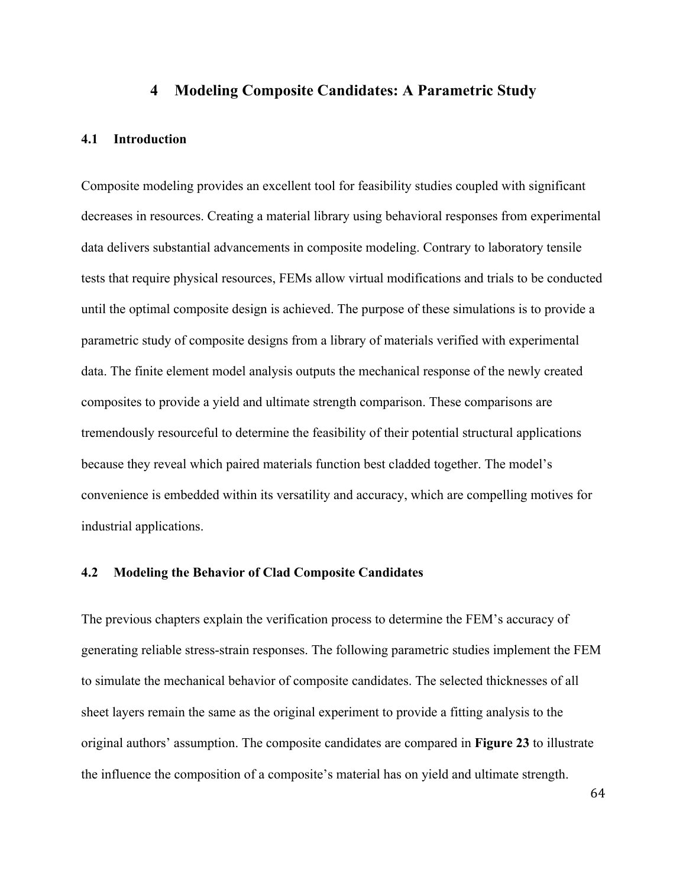## **4 Modeling Composite Candidates: A Parametric Study**

#### **4.1 Introduction**

Composite modeling provides an excellent tool for feasibility studies coupled with significant decreases in resources. Creating a material library using behavioral responses from experimental data delivers substantial advancements in composite modeling. Contrary to laboratory tensile tests that require physical resources, FEMs allow virtual modifications and trials to be conducted until the optimal composite design is achieved. The purpose of these simulations is to provide a parametric study of composite designs from a library of materials verified with experimental data. The finite element model analysis outputs the mechanical response of the newly created composites to provide a yield and ultimate strength comparison. These comparisons are tremendously resourceful to determine the feasibility of their potential structural applications because they reveal which paired materials function best cladded together. The model's convenience is embedded within its versatility and accuracy, which are compelling motives for industrial applications.

#### **4.2 Modeling the Behavior of Clad Composite Candidates**

The previous chapters explain the verification process to determine the FEM's accuracy of generating reliable stress-strain responses. The following parametric studies implement the FEM to simulate the mechanical behavior of composite candidates. The selected thicknesses of all sheet layers remain the same as the original experiment to provide a fitting analysis to the original authors' assumption. The composite candidates are compared in **Figure 23** to illustrate the influence the composition of a composite's material has on yield and ultimate strength.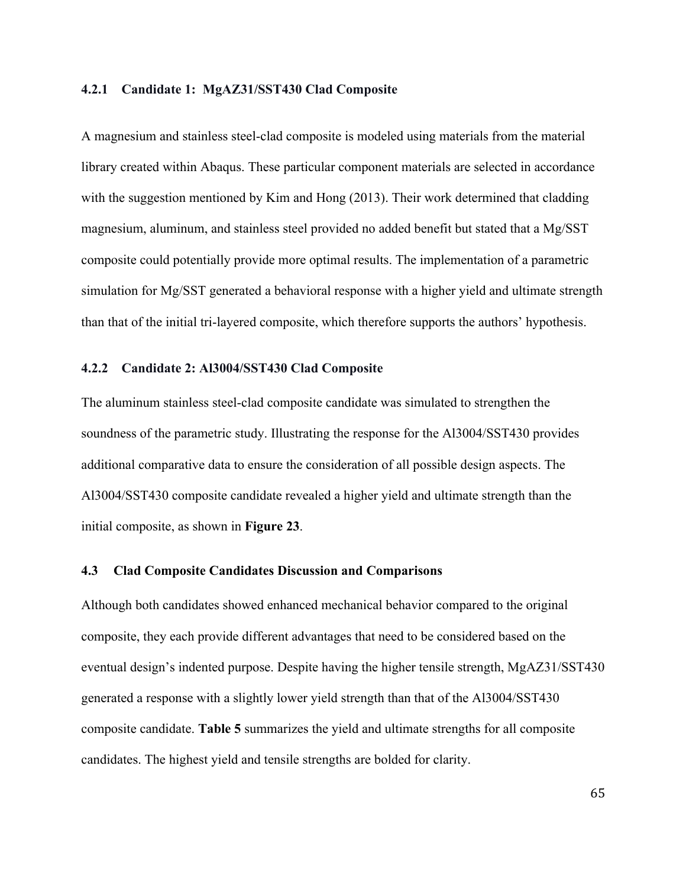#### **4.2.1 Candidate 1: MgAZ31/SST430 Clad Composite**

A magnesium and stainless steel-clad composite is modeled using materials from the material library created within Abaqus. These particular component materials are selected in accordance with the suggestion mentioned by Kim and Hong (2013). Their work determined that cladding magnesium, aluminum, and stainless steel provided no added benefit but stated that a Mg/SST composite could potentially provide more optimal results. The implementation of a parametric simulation for Mg/SST generated a behavioral response with a higher yield and ultimate strength than that of the initial tri-layered composite, which therefore supports the authors' hypothesis.

### **4.2.2 Candidate 2: Al3004/SST430 Clad Composite**

The aluminum stainless steel-clad composite candidate was simulated to strengthen the soundness of the parametric study. Illustrating the response for the Al3004/SST430 provides additional comparative data to ensure the consideration of all possible design aspects. The Al3004/SST430 composite candidate revealed a higher yield and ultimate strength than the initial composite, as shown in **Figure 23**.

#### **4.3 Clad Composite Candidates Discussion and Comparisons**

Although both candidates showed enhanced mechanical behavior compared to the original composite, they each provide different advantages that need to be considered based on the eventual design's indented purpose. Despite having the higher tensile strength, MgAZ31/SST430 generated a response with a slightly lower yield strength than that of the Al3004/SST430 composite candidate. **Table 5** summarizes the yield and ultimate strengths for all composite candidates. The highest yield and tensile strengths are bolded for clarity.

65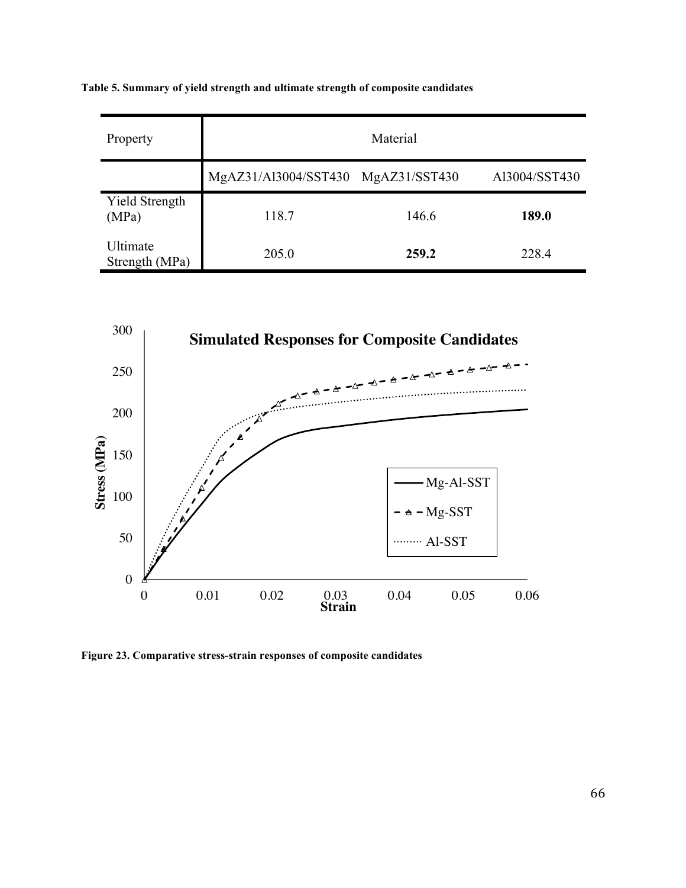**Table 5. Summary of yield strength and ultimate strength of composite candidates**

| Property                       | Material                           |       |               |
|--------------------------------|------------------------------------|-------|---------------|
|                                | MgAZ31/Al3004/SST430 MgAZ31/SST430 |       | Al3004/SST430 |
| <b>Yield Strength</b><br>(MPa) | 118.7                              | 146.6 | 189.0         |
| Ultimate<br>Strength (MPa)     | 205.0                              | 259.2 | 228.4         |



**Figure 23. Comparative stress-strain responses of composite candidates**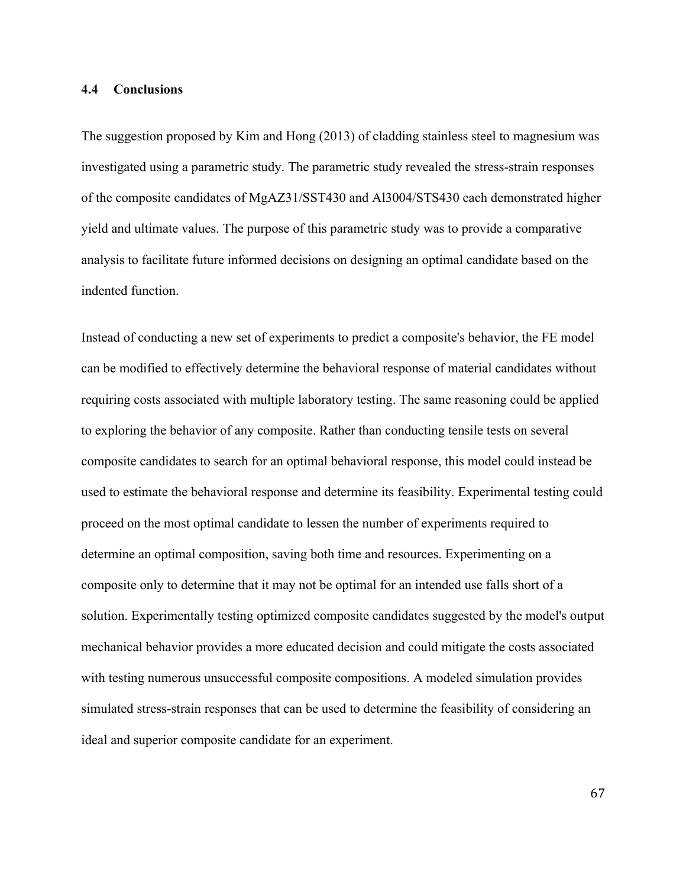#### **4.4 Conclusions**

The suggestion proposed by Kim and Hong (2013) of cladding stainless steel to magnesium was investigated using a parametric study. The parametric study revealed the stress-strain responses of the composite candidates of MgAZ31/SST430 and Al3004/STS430 each demonstrated higher yield and ultimate values. The purpose of this parametric study was to provide a comparative analysis to facilitate future informed decisions on designing an optimal candidate based on the indented function.

Instead of conducting a new set of experiments to predict a composite's behavior, the FE model can be modified to effectively determine the behavioral response of material candidates without requiring costs associated with multiple laboratory testing. The same reasoning could be applied to exploring the behavior of any composite. Rather than conducting tensile tests on several composite candidates to search for an optimal behavioral response, this model could instead be used to estimate the behavioral response and determine its feasibility. Experimental testing could proceed on the most optimal candidate to lessen the number of experiments required to determine an optimal composition, saving both time and resources. Experimenting on a composite only to determine that it may not be optimal for an intended use falls short of a solution. Experimentally testing optimized composite candidates suggested by the model's output mechanical behavior provides a more educated decision and could mitigate the costs associated with testing numerous unsuccessful composite compositions. A modeled simulation provides simulated stress-strain responses that can be used to determine the feasibility of considering an ideal and superior composite candidate for an experiment.

67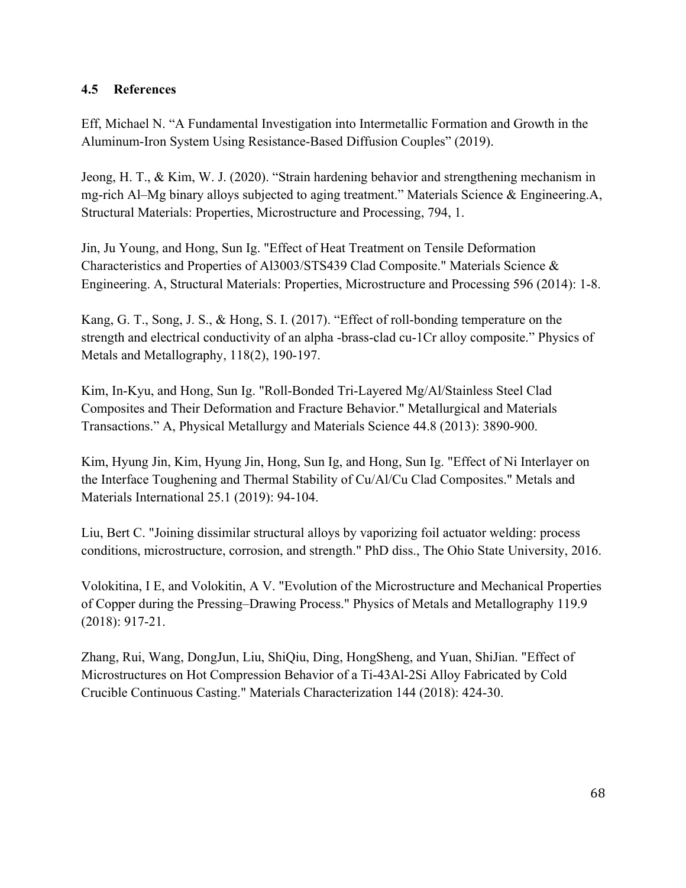# **4.5 References**

Eff, Michael N. "A Fundamental Investigation into Intermetallic Formation and Growth in the Aluminum-Iron System Using Resistance-Based Diffusion Couples" (2019).

Jeong, H. T., & Kim, W. J. (2020). "Strain hardening behavior and strengthening mechanism in mg-rich Al–Mg binary alloys subjected to aging treatment." Materials Science & Engineering.A, Structural Materials: Properties, Microstructure and Processing, 794, 1.

Jin, Ju Young, and Hong, Sun Ig. "Effect of Heat Treatment on Tensile Deformation Characteristics and Properties of Al3003/STS439 Clad Composite." Materials Science & Engineering. A, Structural Materials: Properties, Microstructure and Processing 596 (2014): 1-8.

Kang, G. T., Song, J. S., & Hong, S. I. (2017). "Effect of roll-bonding temperature on the strength and electrical conductivity of an alpha -brass-clad cu-1Cr alloy composite." Physics of Metals and Metallography, 118(2), 190-197.

Kim, In-Kyu, and Hong, Sun Ig. "Roll-Bonded Tri-Layered Mg/Al/Stainless Steel Clad Composites and Their Deformation and Fracture Behavior." Metallurgical and Materials Transactions." A, Physical Metallurgy and Materials Science 44.8 (2013): 3890-900.

Kim, Hyung Jin, Kim, Hyung Jin, Hong, Sun Ig, and Hong, Sun Ig. "Effect of Ni Interlayer on the Interface Toughening and Thermal Stability of Cu/Al/Cu Clad Composites." Metals and Materials International 25.1 (2019): 94-104.

Liu, Bert C. "Joining dissimilar structural alloys by vaporizing foil actuator welding: process conditions, microstructure, corrosion, and strength." PhD diss., The Ohio State University, 2016.

Volokitina, I E, and Volokitin, A V. "Evolution of the Microstructure and Mechanical Properties of Copper during the Pressing–Drawing Process." Physics of Metals and Metallography 119.9 (2018): 917-21.

Zhang, Rui, Wang, DongJun, Liu, ShiQiu, Ding, HongSheng, and Yuan, ShiJian. "Effect of Microstructures on Hot Compression Behavior of a Ti-43Al-2Si Alloy Fabricated by Cold Crucible Continuous Casting." Materials Characterization 144 (2018): 424-30.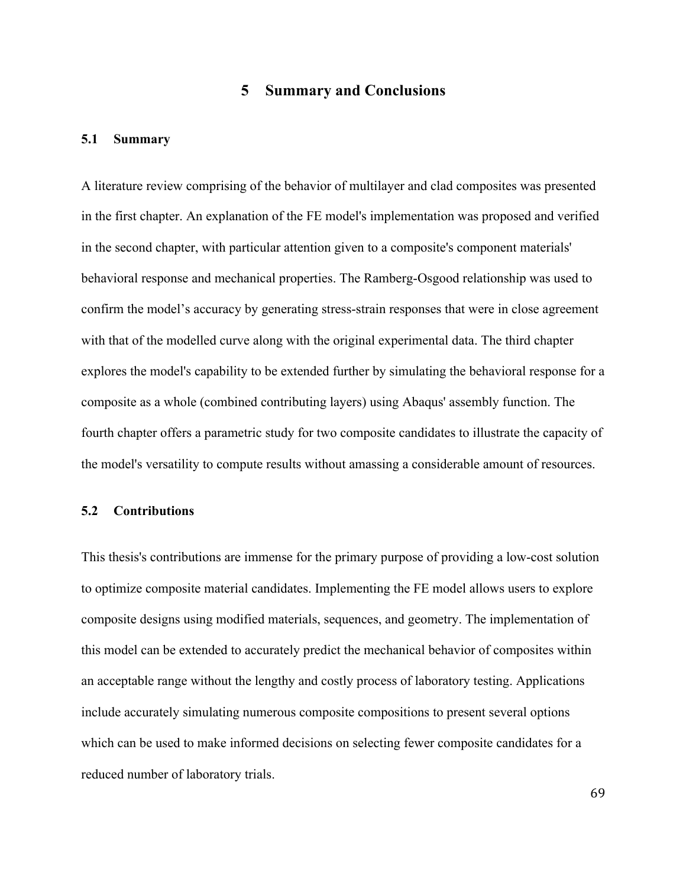# **5 Summary and Conclusions**

#### **5.1 Summary**

A literature review comprising of the behavior of multilayer and clad composites was presented in the first chapter. An explanation of the FE model's implementation was proposed and verified in the second chapter, with particular attention given to a composite's component materials' behavioral response and mechanical properties. The Ramberg-Osgood relationship was used to confirm the model's accuracy by generating stress-strain responses that were in close agreement with that of the modelled curve along with the original experimental data. The third chapter explores the model's capability to be extended further by simulating the behavioral response for a composite as a whole (combined contributing layers) using Abaqus' assembly function. The fourth chapter offers a parametric study for two composite candidates to illustrate the capacity of the model's versatility to compute results without amassing a considerable amount of resources.

#### **5.2 Contributions**

This thesis's contributions are immense for the primary purpose of providing a low-cost solution to optimize composite material candidates. Implementing the FE model allows users to explore composite designs using modified materials, sequences, and geometry. The implementation of this model can be extended to accurately predict the mechanical behavior of composites within an acceptable range without the lengthy and costly process of laboratory testing. Applications include accurately simulating numerous composite compositions to present several options which can be used to make informed decisions on selecting fewer composite candidates for a reduced number of laboratory trials.

69